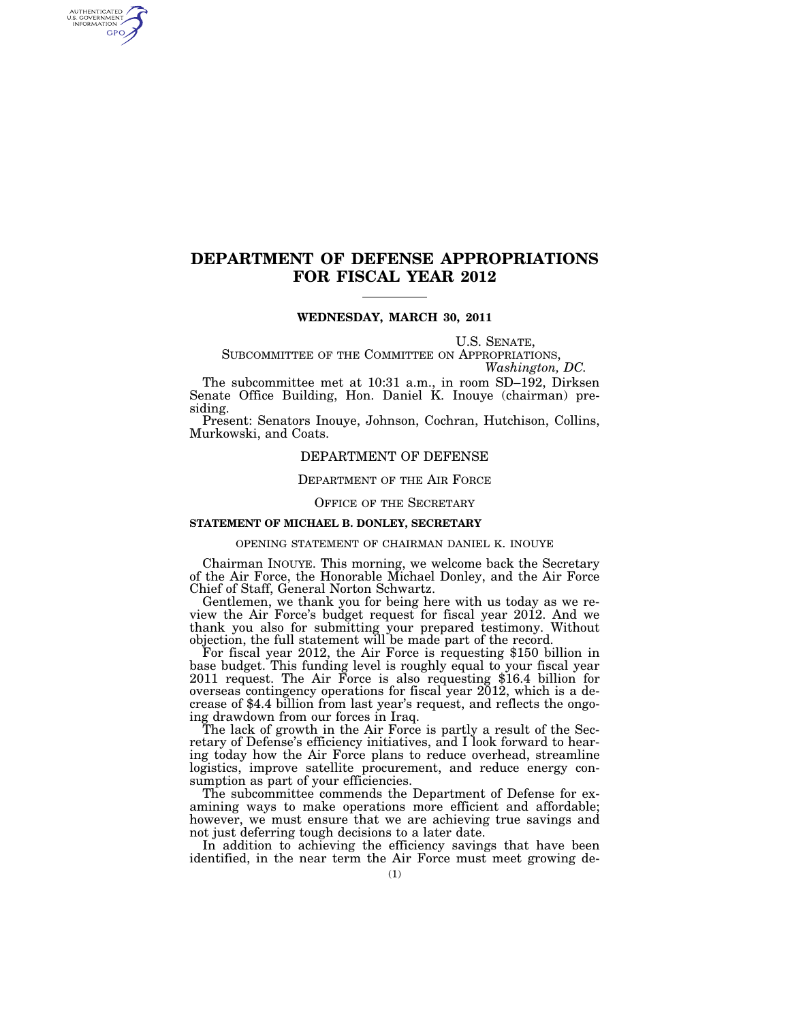# **DEPARTMENT OF DEFENSE APPROPRIATIONS FOR FISCAL YEAR 2012**

## **WEDNESDAY, MARCH 30, 2011**

U.S. SENATE,<br>SUBCOMMITTEE OF THE COMMITTEE ON APPROPRIATIONS,<br>*Washington, DC.* 

The subcommittee met at 10:31 a.m., in room SD–192, Dirksen Senate Office Building, Hon. Daniel K. Inouye (chairman) presiding.

Present: Senators Inouye, Johnson, Cochran, Hutchison, Collins, Murkowski, and Coats.

## DEPARTMENT OF DEFENSE

## DEPARTMENT OF THE AIR FORCE

## OFFICE OF THE SECRETARY

## **STATEMENT OF MICHAEL B. DONLEY, SECRETARY**

AUTHENTICATED<br>U.S. GOVERNMENT<br>INFORMATION **GPO** 

#### OPENING STATEMENT OF CHAIRMAN DANIEL K. INOUYE

Chairman INOUYE. This morning, we welcome back the Secretary of the Air Force, the Honorable Michael Donley, and the Air Force Chief of Staff, General Norton Schwartz.

Gentlemen, we thank you for being here with us today as we review the Air Force's budget request for fiscal year 2012. And we thank you also for submitting your prepared testimony. Without objection, the full statement will be made part of the record.

objection, the full statement will be made part of the record. For fiscal year 2012, the Air Force is requesting \$150 billion in base budget. This funding level is roughly equal to your fiscal year 2011 request. The Air Force is also requesting \$16.4 billion for overseas contingency operations for fiscal year 2012, which is a decrease of \$4.4 billion from last year's request, and reflects the ongoing drawdown from our forces in Iraq.

The lack of growth in the Air Force is partly a result of the Secretary of Defense's efficiency initiatives, and I look forward to hearing today how the Air Force plans to reduce overhead, streamline logistics, improve satellite procurement, and reduce energy consumption as part of your efficiencies.

The subcommittee commends the Department of Defense for examining ways to make operations more efficient and affordable; however, we must ensure that we are achieving true savings and not just deferring tough decisions to a later date.

In addition to achieving the efficiency savings that have been identified, in the near term the Air Force must meet growing de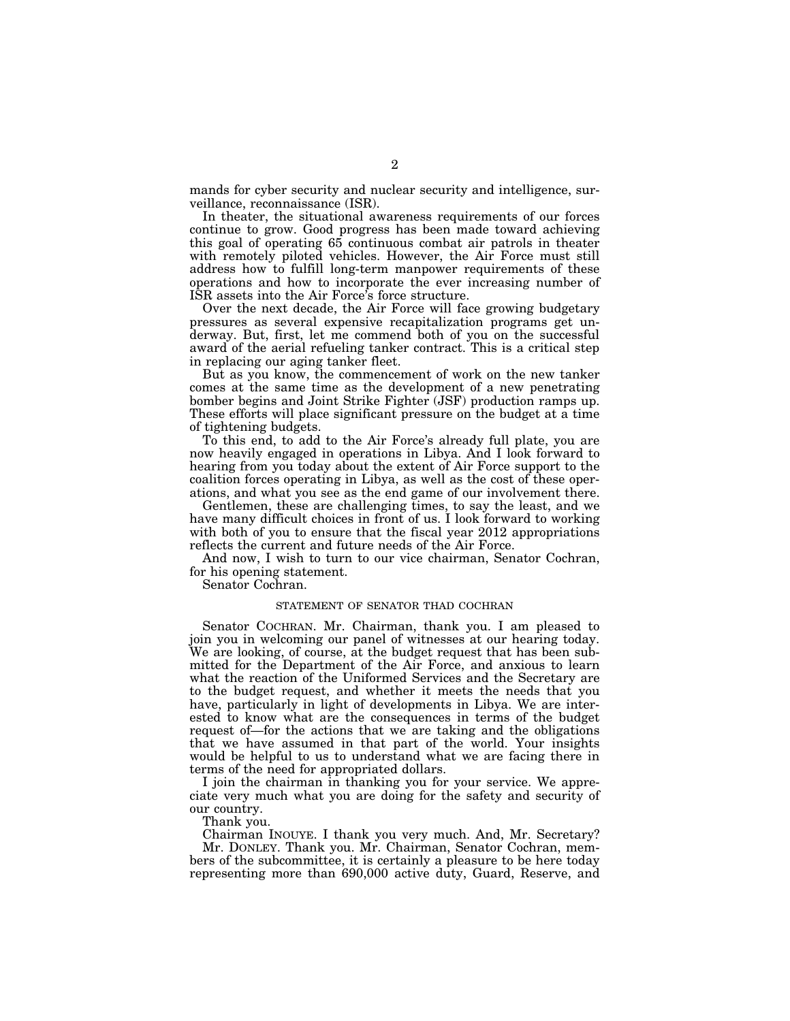mands for cyber security and nuclear security and intelligence, surveillance, reconnaissance (ISR).

In theater, the situational awareness requirements of our forces continue to grow. Good progress has been made toward achieving this goal of operating 65 continuous combat air patrols in theater with remotely piloted vehicles. However, the Air Force must still address how to fulfill long-term manpower requirements of these operations and how to incorporate the ever increasing number of ISR assets into the Air Force's force structure.

Over the next decade, the Air Force will face growing budgetary pressures as several expensive recapitalization programs get underway. But, first, let me commend both of you on the successful award of the aerial refueling tanker contract. This is a critical step in replacing our aging tanker fleet.

But as you know, the commencement of work on the new tanker comes at the same time as the development of a new penetrating bomber begins and Joint Strike Fighter (JSF) production ramps up. These efforts will place significant pressure on the budget at a time of tightening budgets.

To this end, to add to the Air Force's already full plate, you are now heavily engaged in operations in Libya. And I look forward to hearing from you today about the extent of Air Force support to the coalition forces operating in Libya, as well as the cost of these operations, and what you see as the end game of our involvement there.

Gentlemen, these are challenging times, to say the least, and we have many difficult choices in front of us. I look forward to working with both of you to ensure that the fiscal year 2012 appropriations reflects the current and future needs of the Air Force.

And now, I wish to turn to our vice chairman, Senator Cochran, for his opening statement.

Senator Cochran.

## STATEMENT OF SENATOR THAD COCHRAN

Senator COCHRAN. Mr. Chairman, thank you. I am pleased to join you in welcoming our panel of witnesses at our hearing today. We are looking, of course, at the budget request that has been submitted for the Department of the Air Force, and anxious to learn what the reaction of the Uniformed Services and the Secretary are to the budget request, and whether it meets the needs that you have, particularly in light of developments in Libya. We are interested to know what are the consequences in terms of the budget request of—for the actions that we are taking and the obligations that we have assumed in that part of the world. Your insights would be helpful to us to understand what we are facing there in terms of the need for appropriated dollars.

I join the chairman in thanking you for your service. We appreciate very much what you are doing for the safety and security of our country.

Thank you.

Chairman INOUYE. I thank you very much. And, Mr. Secretary? Mr. DONLEY. Thank you. Mr. Chairman, Senator Cochran, members of the subcommittee, it is certainly a pleasure to be here today representing more than 690,000 active duty, Guard, Reserve, and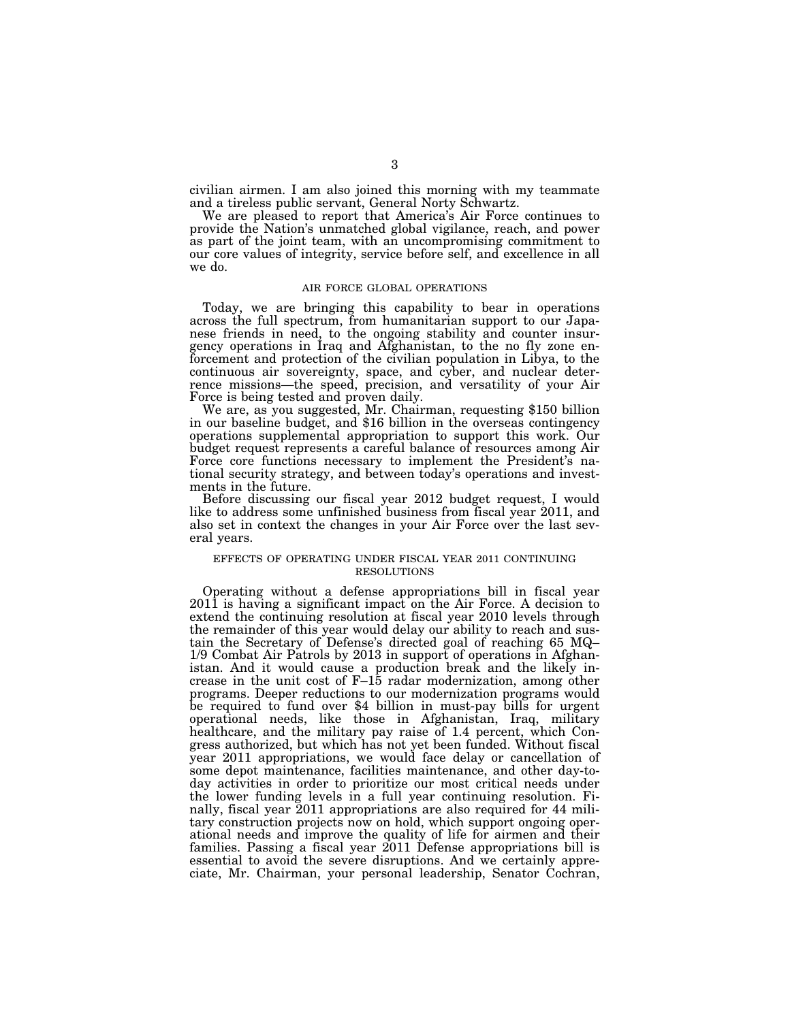civilian airmen. I am also joined this morning with my teammate and a tireless public servant, General Norty Schwartz.

We are pleased to report that America's Air Force continues to provide the Nation's unmatched global vigilance, reach, and power as part of the joint team, with an uncompromising commitment to our core values of integrity, service before self, and excellence in all we do.

## AIR FORCE GLOBAL OPERATIONS

Today, we are bringing this capability to bear in operations across the full spectrum, from humanitarian support to our Japanese friends in need, to the ongoing stability and counter insurgency operations in Iraq and Afghanistan, to the no fly zone enforcement and protection of the civilian population in Libya, to the continuous air sovereignty, space, and cyber, and nuclear deterrence missions—the speed, precision, and versatility of your Air

Force is being tested and proven daily. We are, as you suggested, Mr. Chairman, requesting \$150 billion in our baseline budget, and \$16 billion in the overseas contingency operations supplemental appropriation to support this work. Our budget request represents a careful balance of resources among Air Force core functions necessary to implement the President's national security strategy, and between today's operations and investments in the future.

Before discussing our fiscal year 2012 budget request, I would like to address some unfinished business from fiscal year 2011, and also set in context the changes in your Air Force over the last several years.

## EFFECTS OF OPERATING UNDER FISCAL YEAR 2011 CONTINUING RESOLUTIONS

Operating without a defense appropriations bill in fiscal year 2011 is having a significant impact on the Air Force. A decision to extend the continuing resolution at fiscal year 2010 levels through the remainder of this year would delay our ability to reach and sustain the Secretary of Defense's directed goal of reaching 65 MQ– 1/9 Combat Air Patrols by 2013 in support of operations in Afghanistan. And it would cause a production break and the likely increase in the unit cost of F–15 radar modernization, among other programs. Deeper reductions to our modernization programs would be required to fund over \$4 billion in must-pay bills for urgent operational needs, like those in Afghanistan, Iraq, military healthcare, and the military pay raise of 1.4 percent, which Congress authorized, but which has not yet been funded. Without fiscal year 2011 appropriations, we would face delay or cancellation of some depot maintenance, facilities maintenance, and other day-today activities in order to prioritize our most critical needs under the lower funding levels in a full year continuing resolution. Finally, fiscal year 2011 appropriations are also required for 44 military construction projects now on hold, which support ongoing operational needs and improve the quality of life for airmen and their families. Passing a fiscal year 2011 Defense appropriations bill is essential to avoid the severe disruptions. And we certainly appreciate, Mr. Chairman, your personal leadership, Senator Cochran,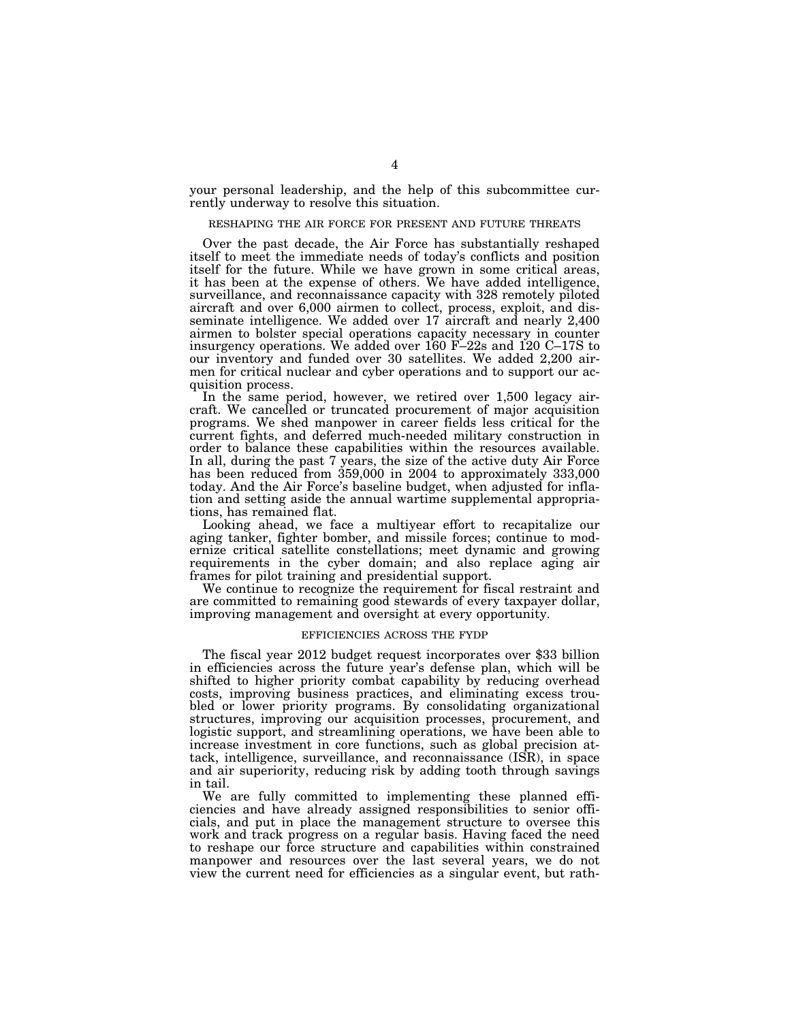your personal leadership, and the help of this subcommittee currently underway to resolve this situation.

#### RESHAPING THE AIR FORCE FOR PRESENT AND FUTURE THREATS

Over the past decade, the Air Force has substantially reshaped itself to meet the immediate needs of today's conflicts and position itself for the future. While we have grown in some critical areas, it has been at the expense of others. We have added intelligence, surveillance, and reconnaissance capacity with 328 remotely piloted aircraft and over 6,000 airmen to collect, process, exploit, and disseminate intelligence. We added over 17 aircraft and nearly 2,400 airmen to bolster special operations capacity necessary in counter insurgency operations. We added over 160 F–22s and 120 C–17S to our inventory and funded over 30 satellites. We added 2,200 airmen for critical nuclear and cyber operations and to support our acquisition process.

In the same period, however, we retired over 1,500 legacy aircraft. We cancelled or truncated procurement of major acquisition programs. We shed manpower in career fields less critical for the current fights, and deferred much-needed military construction in order to balance these capabilities within the resources available. In all, during the past 7 years, the size of the active duty Air Force has been reduced from 359,000 in 2004 to approximately 333,000 today. And the Air Force's baseline budget, when adjusted for inflation and setting aside the annual wartime supplemental appropriations, has remained flat.

Looking ahead, we face a multiyear effort to recapitalize our aging tanker, fighter bomber, and missile forces; continue to modernize critical satellite constellations; meet dynamic and growing requirements in the cyber domain; and also replace aging air frames for pilot training and presidential support.

We continue to recognize the requirement for fiscal restraint and are committed to remaining good stewards of every taxpayer dollar, improving management and oversight at every opportunity.

#### EFFICIENCIES ACROSS THE FYDP

The fiscal year 2012 budget request incorporates over \$33 billion in efficiencies across the future year's defense plan, which will be shifted to higher priority combat capability by reducing overhead costs, improving business practices, and eliminating excess troubled or lower priority programs. By consolidating organizational structures, improving our acquisition processes, procurement, and logistic support, and streamlining operations, we have been able to increase investment in core functions, such as global precision attack, intelligence, surveillance, and reconnaissance (ISR), in space and air superiority, reducing risk by adding tooth through savings in tail.

We are fully committed to implementing these planned efficiencies and have already assigned responsibilities to senior officials, and put in place the management structure to oversee this work and track progress on a regular basis. Having faced the need to reshape our force structure and capabilities within constrained manpower and resources over the last several years, we do not view the current need for efficiencies as a singular event, but rath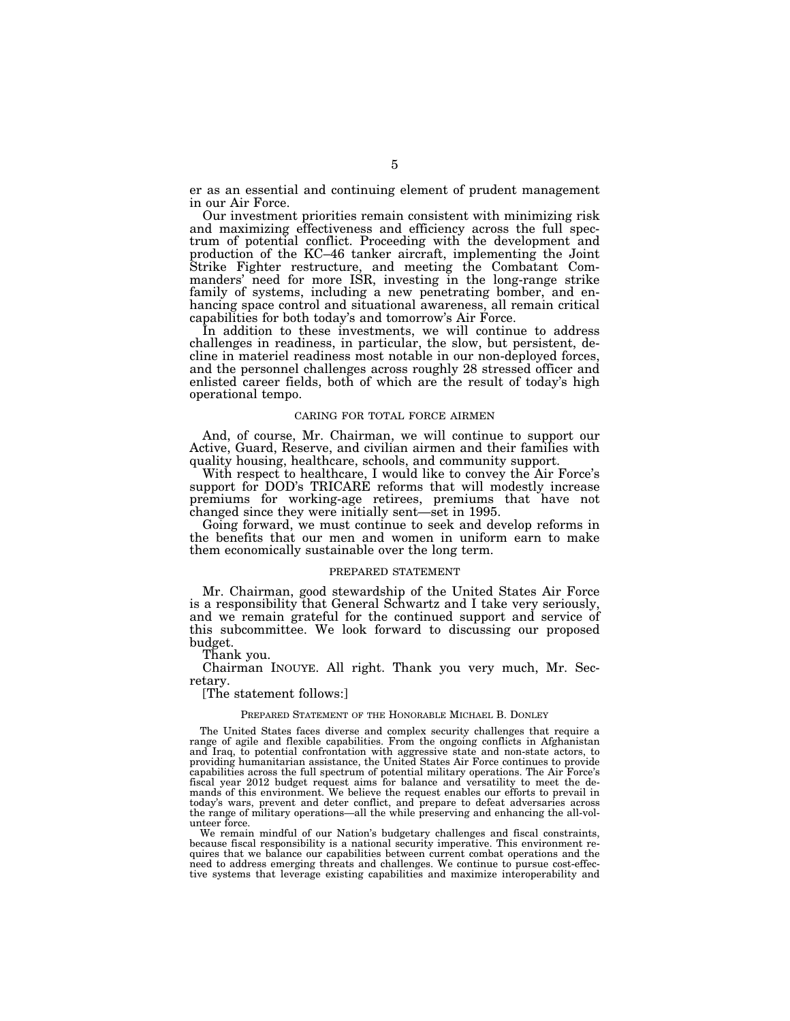er as an essential and continuing element of prudent management in our Air Force.

Our investment priorities remain consistent with minimizing risk and maximizing effectiveness and efficiency across the full spectrum of potential conflict. Proceeding with the development and production of the KC–46 tanker aircraft, implementing the Joint Strike Fighter restructure, and meeting the Combatant Commanders' need for more ISR, investing in the long-range strike family of systems, including a new penetrating bomber, and enhancing space control and situational awareness, all remain critical capabilities for both today's and tomorrow's Air Force.

In addition to these investments, we will continue to address challenges in readiness, in particular, the slow, but persistent, decline in materiel readiness most notable in our non-deployed forces, and the personnel challenges across roughly 28 stressed officer and enlisted career fields, both of which are the result of today's high operational tempo.

#### CARING FOR TOTAL FORCE AIRMEN

And, of course, Mr. Chairman, we will continue to support our Active, Guard, Reserve, and civilian airmen and their families with quality housing, healthcare, schools, and community support.

With respect to healthcare, I would like to convey the Air Force's support for DOD's TRICARE reforms that will modestly increase premiums for working-age retirees, premiums that have not changed since they were initially sent—set in 1995.

Going forward, we must continue to seek and develop reforms in the benefits that our men and women in uniform earn to make them economically sustainable over the long term.

#### PREPARED STATEMENT

Mr. Chairman, good stewardship of the United States Air Force is a responsibility that General Schwartz and I take very seriously, and we remain grateful for the continued support and service of this subcommittee. We look forward to discussing our proposed budget.

Thank you.

Chairman INOUYE. All right. Thank you very much, Mr. Secretary.

[The statement follows:]

## PREPARED STATEMENT OF THE HONORABLE MICHAEL B. DONLEY

The United States faces diverse and complex security challenges that require a range of agile and flexible capabilities. From the ongoing conflicts in Afghanistan and Iraq, to potential confrontation with aggressive state and non-state actors, to providing humanitarian assistance, the United States Air Force continues to provide capabilities across the full spectrum of potential military operations. The Air Force's fiscal year 2012 budget request aims for balance and versatility to meet the demands of this environment. We believe the request enables our efforts to prevail in today's wars, prevent and deter conflict, and prepare to defeat adversaries across the range of military operations—all the while preserving and enhancing the all-volunteer force.

We remain mindful of our Nation's budgetary challenges and fiscal constraints, because fiscal responsibility is a national security imperative. This environment requires that we balance our capabilities between current combat operations and the need to address emerging threats and challenges. We continue to pursue cost-effective systems that leverage existing capabilities and maximize interoperability and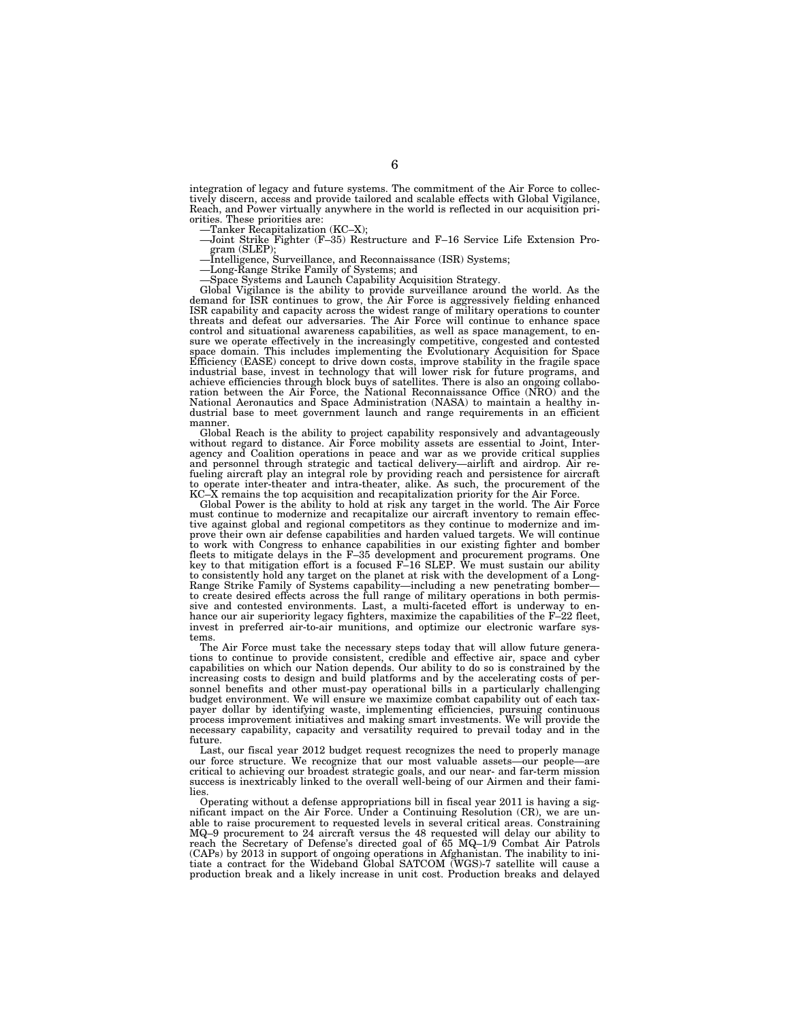integration of legacy and future systems. The commitment of the Air Force to collectively discern, access and provide tailored and scalable effects with Global Vigilance, Reach, and Power virtually anywhere in the world is reflected in our acquisition priorities. These priorities are:

- 
- —Tanker Recapitalization (KC–X); —Joint Strike Fighter (F–35) Restructure and F–16 Service Life Extension Program (SLEP); —Intelligence, Surveillance, and Reconnaissance (ISR) Systems;
- 
- —Long-Range Strike Family of Systems; and
- —Space Systems and Launch Capability Acquisition Strategy.

Global Vigilance is the ability to provide surveillance around the world. As the demand for ISR continues to grow, the Air Force is aggressively fielding enhanced ISR capability and capacity across the widest range of military operations to counter threats and defeat our adversaries. The Air Force will continue to enhance space control and situational awareness capabilities, as well as space management, to ensure we operate effectively in the increasingly competitive, congested and contested space domain. This includes implementing the Evolutionary Acquisition for Space Efficiency (EASE) concept to drive down costs, improve stability in the fragile space industrial base, invest in technology that will lower risk for future programs, and achieve efficiencies through block buys of satellites. There is also an ongoing collabo-ration between the Air Force, the National Reconnaissance Office (NRO) and the National Aeronautics and Space Administration (NASA) to maintain a healthy industrial base to meet government launch and range requirements in an efficient

manner. Global Reach is the ability to project capability responsively and advantageously without regard to distance. Air Force mobility assets are essential to Joint, Inter-agency and Coalition operations in peace and war as we provide critical supplies and personnel through strategic and tactical delivery—airlift and airdrop. Air re-<br>fueling aircraft play an integral role by providing reach and persistence for aircraft<br>to operate inter-theater and intra-theater, alike. A

Global Power is the ability to hold at risk any target in the world. The Air Force must continue to modernize and recapitalize our aircraft inventory to remain effective against global and regional competitors as they continue to modernize and improve their own air defense capabilities and harden valued targets. We will continue to work with Congress to enhance capabilities in our existing fighter and bomber fleets to mitigate delays in the F–35 development and procurement programs. One key to that mitigation effort is a focused F–16 SLEP. We must sustain our ability to consistently hold any target on the planet at risk with the development of a Long-Range Strike Family of Systems capability—including a new penetrating bomber to create desired effects across the full range of military operations in both permissive and contested environments. Last, a multi-faceted effort is underway to enhance our air superiority legacy fighters, maximize the capabilities of the F–22 fleet, invest in preferred air-to-air munitions, and optimize our electronic warfare systems.

The Air Force must take the necessary steps today that will allow future generations to continue to provide consistent, credible and effective air, space and cyber capabilities on which our Nation depends. Our ability to do so is constrained by the increasing costs to design and build platforms and by the accelerating costs of personnel benefits and other must-pay operational bills in a particularly challenging budget environment. We will ensure we maximize combat capability out of each taxpayer dollar by identifying waste, implementing efficiencies, pursuing continuous process improvement initiatives and making smart investments. We will provide the necessary capability, capacity and versatility required to prevail today and in the future.

Last, our fiscal year 2012 budget request recognizes the need to properly manage<br>ir force structure. We recognize that our most valuable assets—our people—are our force structure. We recognize that our most valuable assetscritical to achieving our broadest strategic goals, and our near- and far-term mission success is inextricably linked to the overall well-being of our Airmen and their families.

Operating without a defense appropriations bill in fiscal year 2011 is having a significant impact on the Air Force. Under a Continuing Resolution (CR), we are unable to raise procurement to requested levels in several critical areas. Constraining MQ–9 procurement to 24 aircraft versus the 48 requested will delay our ability to reach the Secretary of Defense's directed goal of 65 MQ–1/9 Combat Air Patrols (CAPs) by 2013 in support of ongoing operations in Afghanistan. The inability to ini-tiate a contract for the Wideband Global SATCOM (WGS)-7 satellite will cause a production break and a likely increase in unit cost. Production breaks and delayed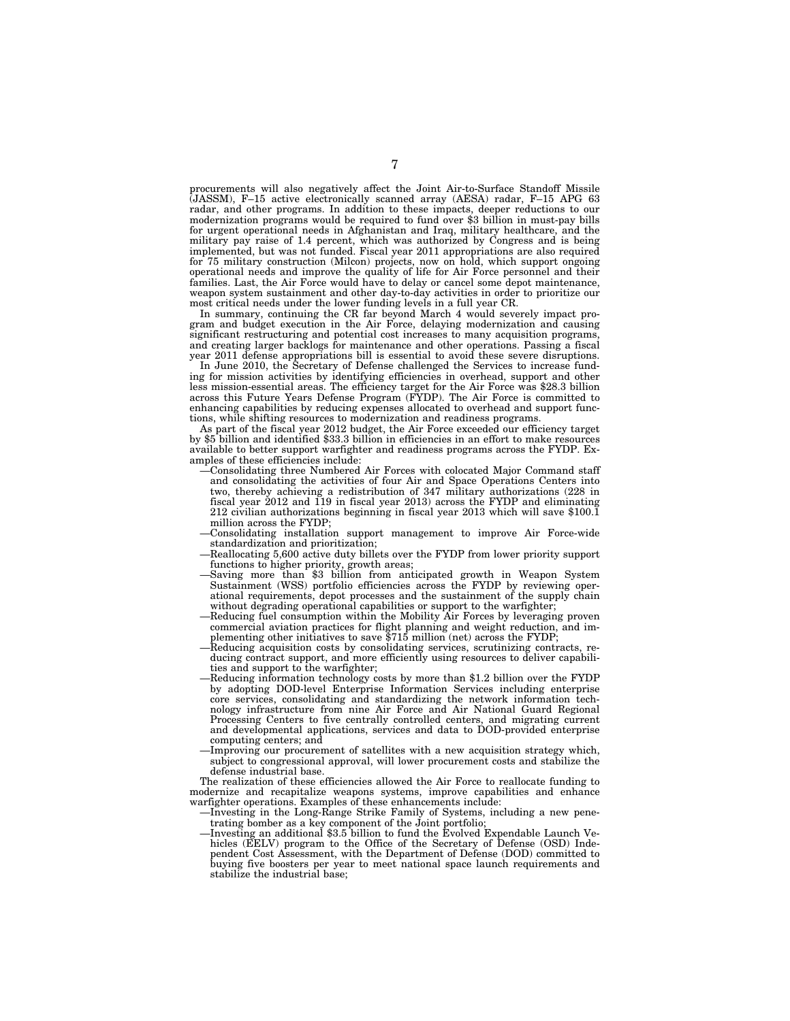procurements will also negatively affect the Joint Air-to-Surface Standoff Missile procurements will also negatively affect the bonne of the Summa F-15 APG 63<br>(JASSM), F–15 active electronically scanned array (AESA) radar, F–15 APG 63 radar, and other programs. In addition to these impacts, deeper reductions to our modernization programs would be required to fund over \$3 billion in must-pay bills for urgent operational needs in Afghanistan and Iraq, military healthcare, and the military pay raise of 1.4 percent, which was authorized by Congress and is being implemented, but was not funded. Fiscal year 2011 appropriations are also required for 75 military construction (Milcon) projects, now on hold, which support ongoing operational needs and improve the quality of life for Air Force personnel and their families. Last, the Air Force would have to delay or cancel some depot maintenance, weapon system sustainment and other day-to-day activities in order to prioritize our most critical needs under the lower funding levels in a full year CR.

In summary, continuing the CR far beyond March 4 would severely impact program and budget execution in the Air Force, delaying modernization and causing significant restructuring and potential cost increases to many acquisition programs, and creating larger backlogs for maintenance and other operations. Passing a fiscal year 2011 defense appropriations bill is essential to avoid these severe disruptions.

In June 2010, the Secretary of Defense challenged the Services to increase funding for mission activities by identifying efficiencies in overhead, support and other less mission-essential areas. The efficiency target for the Air Force was \$28.3 billion across this Future Years Defense Program (FYDP). The Air Force is committed to enhancing capabilities by reducing expenses allocated to overhead and support functions, while shifting resources to modernization and readiness programs.

As part of the fiscal year 2012 budget, the Air Force exceeded our efficiency target by \$5 billion and identified \$33.3 billion in efficiencies in an effort to make resources available to better support warfighter and readiness programs across the FYDP. Examples of these efficiencies include:

- —Consolidating three Numbered Air Forces with colocated Major Command staff and consolidating the activities of four Air and Space Operations Centers into two, thereby achieving a redistribution of 347 military authorizations (228 in fiscal year 2012 and 119 in fiscal year 2013) across the FYDP and eliminating 212 civilian authorizations beginning in fiscal year 2013 which will save \$100.1 million across the FYDP;
- —Consolidating installation support management to improve Air Force-wide standardization and prioritization;
- —Reallocating 5,600 active duty billets over the FYDP from lower priority support functions to higher priority, growth areas;
- Saving more than \$3 billion from anticipated growth in Weapon System Sustainment (WSS) portfolio efficiencies across the FYDP by reviewing operational requirements, depot processes and the sustainment of the supply chain without degrading operational capabilities or support to the warfighter;
- —Reducing fuel consumption within the Mobility Air Forces by leveraging proven commercial aviation practices for flight planning and weight reduction, and implementing other initiatives to save \$715 million (net) across the FYDP;
- —Reducing acquisition costs by consolidating services, scrutinizing contracts, reducing contract support, and more efficiently using resources to deliver capabilities and support to the warfighter;
- —Reducing information technology costs by more than \$1.2 billion over the FYDP by adopting DOD-level Enterprise Information Services including enterprise core services, consolidating and standardizing the network information technology infrastructure from nine Air Force and Air National Guard Regional Processing Centers to five centrally controlled centers, and migrating current and developmental applications, services and data to DOD-provided enterprise computing centers; and
- —Improving our procurement of satellites with a new acquisition strategy which, subject to congressional approval, will lower procurement costs and stabilize the defense industrial base.

The realization of these efficiencies allowed the Air Force to reallocate funding to modernize and recapitalize weapons systems, improve capabilities and enhance warfighter operations. Examples of these enhancements include:

- —Investing in the Long-Range Strike Family of Systems, including a new penetrating bomber as a key component of the Joint portfolio;
- —Investing an additional \$3.5 billion to fund the Evolved Expendable Launch Vehicles (EELV) program to the Office of the Secretary of Defense (OSD) Independent Cost Assessment, with the Department of Defense (DOD) committed to buying five boosters per year to meet national space launch requirements and stabilize the industrial base;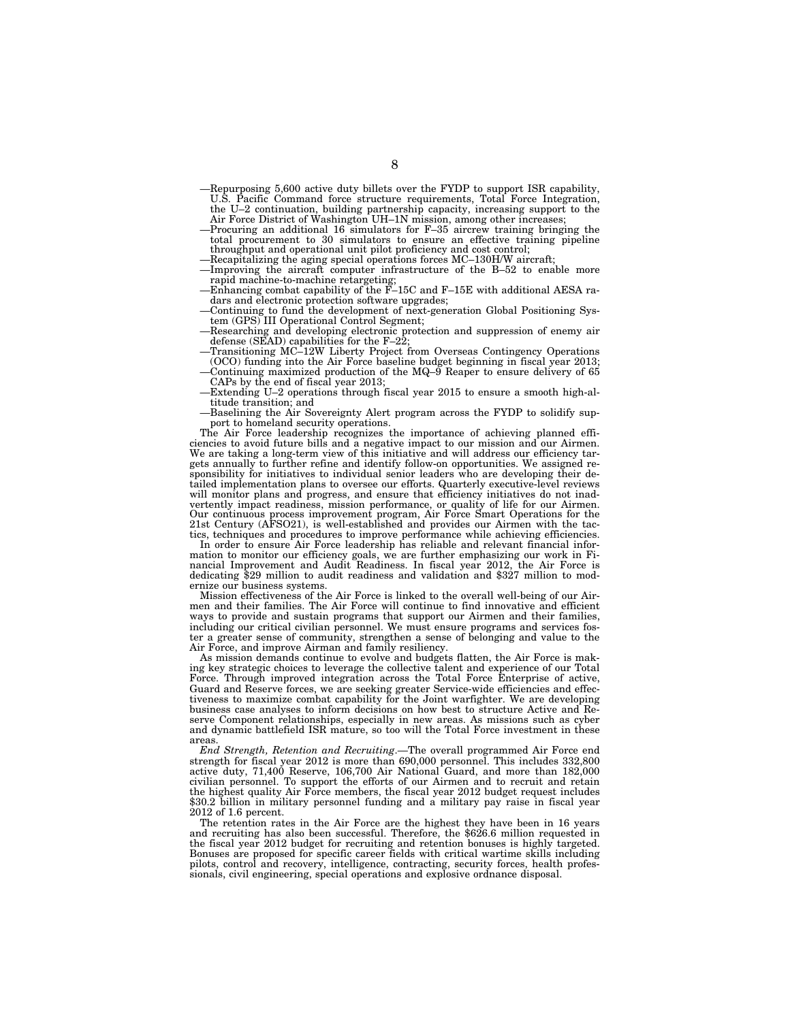- —Repurposing 5,600 active duty billets over the FYDP to support ISR capability, U.S. Pacific Command force structure requirements, Total Force Integration, the U–2 continuation, building partnership capacity, increasing support to the Air Force District of Washington UH–1N mission, among other increases;
- —Procuring an additional 16 simulators for F–35 aircrew training bringing the total procurement to 30 simulators to ensure an effective training pipeline throughput and operational unit pilot proficiency and cost control;
- —Recapitalizing the aging special operations forces MC–130H/W aircraft; —Improving the aircraft computer infrastructure of the B–52 to enable more
- rapid machine-to-machine retargeting; —Enhancing combat capability of the F–15C and F–15E with additional AESA ra-
- dars and electronic protection software upgrades; —Continuing to fund the development of next-generation Global Positioning Sys-
- tem (GPS) III Operational Control Segment; —Researching and developing electronic protection and suppression of enemy air
- defense (SEAD) capabilities for the F–22; —Transitioning MC–12W Liberty Project from Overseas Contingency Operations
- (OCO) funding into the Air Force baseline budget beginning in fiscal year 2013; —Continuing maximized production of the MQ–9 Reaper to ensure delivery of 65
- CAPs by the end of fiscal year 2013; —Extending U–2 operations through fiscal year 2015 to ensure a smooth high-al-
- titude transition; and —Baselining the Air Sovereignty Alert program across the FYDP to solidify sup-

port to homeland security operations. The Air Force leadership recognizes the importance of achieving planned efficiencies to avoid future bills and a negative impact to our mission and our Airmen. We are taking a long-term view of this initiative and will address our efficiency targets annually to further refine and identify follow-on opportunities. We assigned responsibility for initiatives to individual senior leaders who are developing their detailed implementation plans to oversee our efforts. Quarterly executive-level reviews will monitor plans and progress, and ensure that efficiency initiatives do not inadvertently impact readiness, mission performance, or quality of life for our Airmen.<br>Our continuous process improvement program, Air Force Smart Operations for the<br>21st Century (AFSO21), is well-established and provides our tics, techniques and procedures to improve performance while achieving efficiencies.

In order to ensure Air Force leadership has reliable and relevant financial information to monitor our efficiency goals, we are further emphasizing our work in Fi-nancial Improvement and Audit Readiness. In fiscal year 2012, the Air Force is dedicating \$29 million to audit readiness and validation and \$327 million to modernize our business systems.

Mission effectiveness of the Air Force is linked to the overall well-being of our Airmen and their families. The Air Force will continue to find innovative and efficient ways to provide and sustain programs that support our Airmen and their families, including our critical civilian personnel. We must ensure programs and services foster a greater sense of community, strengthen a sense of belonging and value to the Air Force, and improve Airman and family resiliency.

As mission demands continue to evolve and budgets flatten, the Air Force is making key strategic choices to leverage the collective talent and experience of our Total Force. Through improved integration across the Total Force Enterprise of active, Guard and Reserve forces, we are seeking greater Service-wide efficiencies and effectiveness to maximize combat capability for the Joint warfighter. We are developing business case analyses to inform decisions on how best to structure Active and Reserve Component relationships, especially in new areas. As missions such as cyber and dynamic battlefield ISR mature, so too will the Total Force investment in these areas.

*End Strength, Retention and Recruiting*.—The overall programmed Air Force end strength for fiscal year 2012 is more than 690,000 personnel. This includes 332,800 active duty, 71,400 Reserve, 106,700 Air National Guard, and more than 182,000 civilian personnel. To support the efforts of our Airmen and to recruit and retain the highest quality Air Force members, the fiscal year 2012 budget request includes \$30.2 billion in military personnel funding and a military pay raise in fiscal year 2012 of 1.6 percent.

The retention rates in the Air Force are the highest they have been in 16 years and recruiting has also been successful. Therefore, the \$626.6 million requested in the fiscal year 2012 budget for recruiting and retention bonuses is highly targeted. Bonuses are proposed for specific career fields with critical wartime skills including pilots, control and recovery, intelligence, contracting, security forces, health professionals, civil engineering, special operations and explosive ordnance disposal.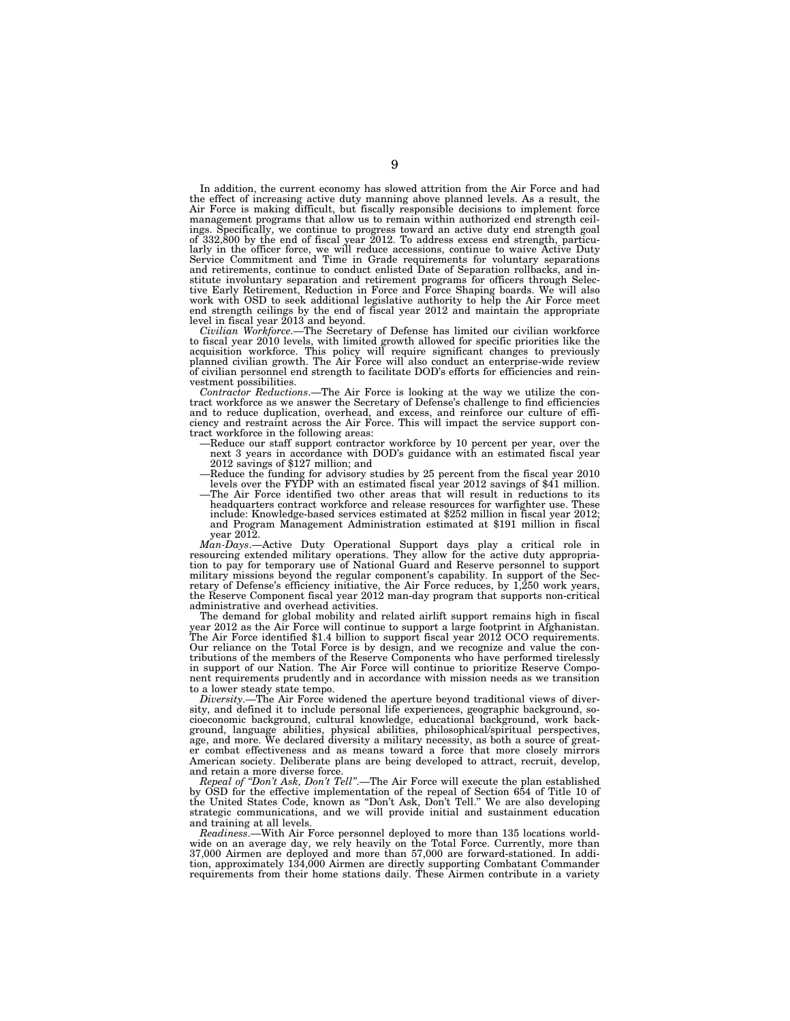In addition, the current economy has slowed attrition from the Air Force and had the effect of increasing active duty manning above planned levels. As a result, the Air Force is making difficult, but fiscally responsible decisions to implement force management programs that allow us to remain within authorized end strength ceilings. Specifically, we continue to progress toward an active duty end strength goal of 332,800 by the end of fiscal year 2012. To address excess end strength, particularly in the officer force, we will reduce accessions, continue to waive Active Duty Service Commitment and Time in Grade requirements for voluntary separations and retirements, continue to conduct enlisted Date of Separation rollbacks, and institute involuntary separation and retirement programs for officers through Selec-tive Early Retirement, Reduction in Force and Force Shaping boards. We will also work with OSD to seek additional legislative authority to help the Air Force meet end strength ceilings by the end of fiscal year 2012 and maintain the appropriate

level in fiscal year 2013 and beyond. *Civilian Workforce*.—The Secretary of Defense has limited our civilian workforce to fiscal year 2010 levels, with limited growth allowed for specific priorities like the acquisition workforce. This policy will require significant changes to previously planned civilian growth. The Air Force will also conduct an enterprise-wide review of civilian personnel end strength to facilitate DOD's efforts for efficiencies and rein-

vestment possibilities. *Contractor Reductions*.—The Air Force is looking at the way we utilize the contract workforce as we answer the Secretary of Defense's challenge to find efficiencies and to reduce duplication, overhead, and excess, and reinforce our culture of efficiency and restraint across the Air Force. This will impact the service support contract workforce in the following areas:

- Reduce our staff support contractor workforce by 10 percent per year, over the next 3 years in accordance with DOD's guidance with an estimated fiscal year 2012 savings of \$127 million; and
- —Reduce the funding for advisory studies by 25 percent from the fiscal year 2010 levels over the FYDP with an estimated fiscal year 2012 savings of \$41 million.
- —The Air Force identified two other areas that will result in reductions to its headquarters contract workforce and release resources for warfighter use. These include: Knowledge-based services estimated at \$252 million in fiscal year 2012; and Program Management Administration estimated at \$191 million in fiscal year 2012.

*Man-Days*.—Active Duty Operational Support days play a critical role in resourcing extended military operations. They allow for the active duty appropria-tion to pay for temporary use of National Guard and Reserve personnel to support military missions beyond the regular component's capability. In support of the Secretary of Defense's efficiency initiative, the Air Force reduces, by 1,250 work years, the Reserve Component fiscal year 2012 man-day program that supports non-critical administrative and overhead activities.

The demand for global mobility and related airlift support remains high in fiscal year 2012 as the Air Force will continue to support a large footprint in Afghanistan. The Air Force identified \$1.4 billion to support fiscal year 2012 OCO requirements. Our reliance on the Total Force is by design, and we recognize and value the contributions of the members of the Reserve Components who have performed tirelessly in support of our Nation. The Air Force will continue to prioritize Reserve Component requirements prudently and in accordance with mission needs as we transition to a lower steady state tempo.

*Diversity*.—The Air Force widened the aperture beyond traditional views of diversity, and defined it to include personal life experiences, geographic background, socioeconomic background, cultural knowledge, educational background, work background, language abilities, physical abilities, philosophical/spiritual perspectives, age, and more. We declared diversity a military necessity, as both a source of greater combat effectiveness and as means toward a force that more closely mirrors American society. Deliberate plans are being developed to attract, recruit, develop, and retain a more diverse force.

*Repeal of ''Don't Ask, Don't Tell''*.—The Air Force will execute the plan established by OSD for the effective implementation of the repeal of Section 654 of Title 10 of the United States Code, known as ''Don't Ask, Don't Tell.'' We are also developing strategic communications, and we will provide initial and sustainment education and training at all levels.

*Readiness*.—With Air Force personnel deployed to more than 135 locations worldwide on an average day, we rely heavily on the Total Force. Currently, more than 37,000 Airmen are deployed and more than 57,000 are forward-stationed. In addition, approximately 134,000 Airmen are directly supporting Combatant Commander requirements from their home stations daily. These Airmen contribute in a variety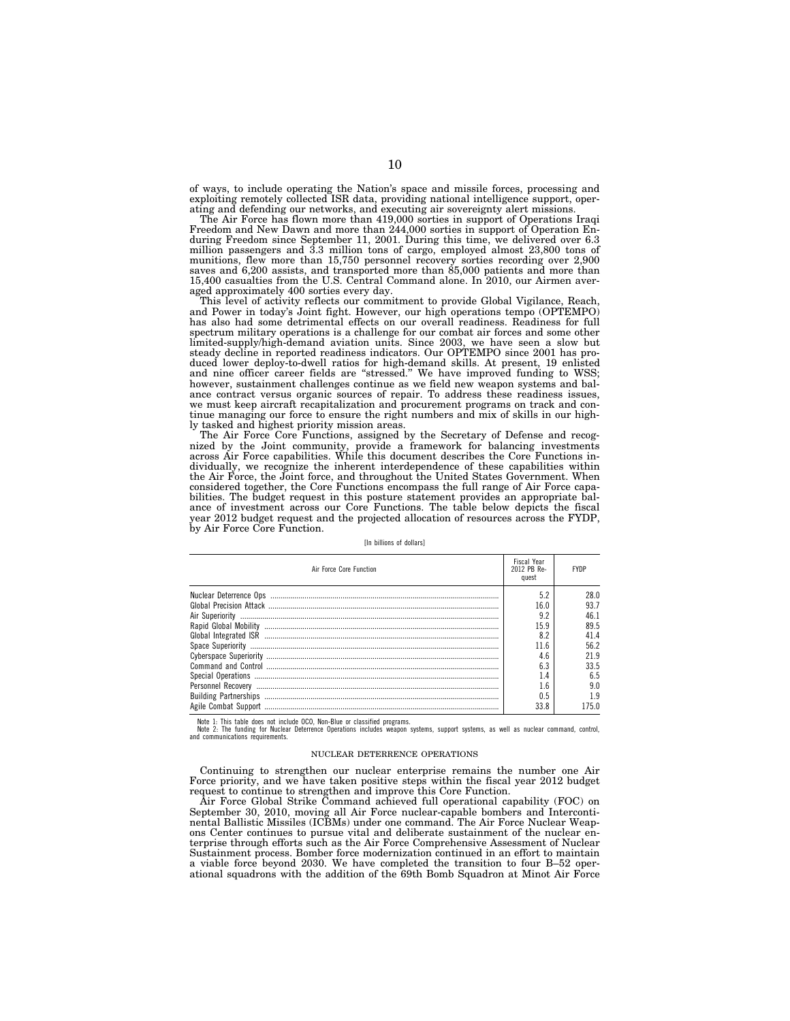of ways, to include operating the Nation's space and missile forces, processing and exploiting remotely collected ISR data, providing national intelligence support, operating and defending our networks, and executing air sovereignty alert missions.

The Air Force has flown more than 419,000 sorties in support of Operations Iraqi Freedom and New Dawn and more than 244,000 sorties in support of Operation En-during Freedom since September 11, 2001. During this time, we delivered over 6.3 million passengers and 3.3 million tons of cargo, employed almost 23,800 tons of munitions, flew more than 15,750 personnel recovery sorties recording over 2,900 saves and 6,200 assists, and transported more than 85,000 patients and more than 15,400 casualties from the U.S. Central Command alone. In 2010, our Airmen averaged approximately 400 sorties every day.

This level of activity reflects our commitment to provide Global Vigilance, Reach, and Power in today's Joint fight. However, our high operations tempo (OPTEMPO) has also had some detrimental effects on our overall readiness. Readiness for full spectrum military operations is a challenge for our combat air forces and some other limited-supply/high-demand aviation units. Since 2003, we have seen a slow but steady decline in reported readiness indicators. Our OPTEMPO since 2001 has produced lower deploy-to-dwell ratios for high-demand skills. At present, 19 enlisted and nine officer career fields are ''stressed.'' We have improved funding to WSS; however, sustainment challenges continue as we field new weapon systems and balance contract versus organic sources of repair. To address these readiness issues, we must keep aircraft recapitalization and procurement programs on track and continue managing our force to ensure the right numbers and mix of skills in our highly tasked and highest priority mission areas.

The Air Force Core Functions, assigned by the Secretary of Defense and recognized by the Joint community, provide a framework for balancing investments across Air Force capabilities. While this document describes the Core Functions individually, we recognize the inherent interdependence of these capabilities within the Air Force, the Joint force, and throughout the United States Government. When considered together, the Core Functions encompass the full range of Air Force capabilities. The budget request in this posture statement provides an appropriate balance of investment across our Core Functions. The table below depicts the fiscal year 2012 budget request and the projected allocation of resources across the FYDP, by Air Force Core Function.

[In billions of dollars]

| Air Force Core Function | <b>Fiscal Year</b><br>2012 PB Re-<br>quest | <b>FYDP</b> |
|-------------------------|--------------------------------------------|-------------|
|                         | 5.2                                        | 28 O        |
|                         | 16.0                                       |             |
|                         | 9.2                                        |             |
|                         | 15.9                                       | 89.5        |
|                         | 8.2                                        |             |
|                         | 11 6                                       | 56 2        |
|                         | 4.6                                        | 21 G        |
|                         |                                            | 33.5        |
|                         | ι.4                                        | 6.5         |
|                         | .6                                         | 9.0         |
|                         | 0.5                                        |             |
|                         | 33 R                                       |             |

Note 1: This table does not include OCO, Non-Blue or classified programs.<br>Note 2: The funding for Nuclear Deterrence Operations includes weapon systems, support systems, as well as nuclear command, control, and communications requirements.

#### NUCLEAR DETERRENCE OPERATIONS

Continuing to strengthen our nuclear enterprise remains the number one Air Force priority, and we have taken positive steps within the fiscal year 2012 budget request to continue to strengthen and improve this Core Function.

Air Force Global Strike Command achieved full operational capability (FOC) on September 30, 2010, moving all Air Force nuclear-capable bombers and Intercontinental Ballistic Missiles (ICBMs) under one command. The Air Force Nuclear Weapons Center continues to pursue vital and deliberate sustainment of the nuclear enterprise through efforts such as the Air Force Comprehensive Assessment of Nuclear Sustainment process. Bomber force modernization continued in an effort to maintain a viable force beyond 2030. We have completed the transition to four B–52 operational squadrons with the addition of the 69th Bomb Squadron at Minot Air Force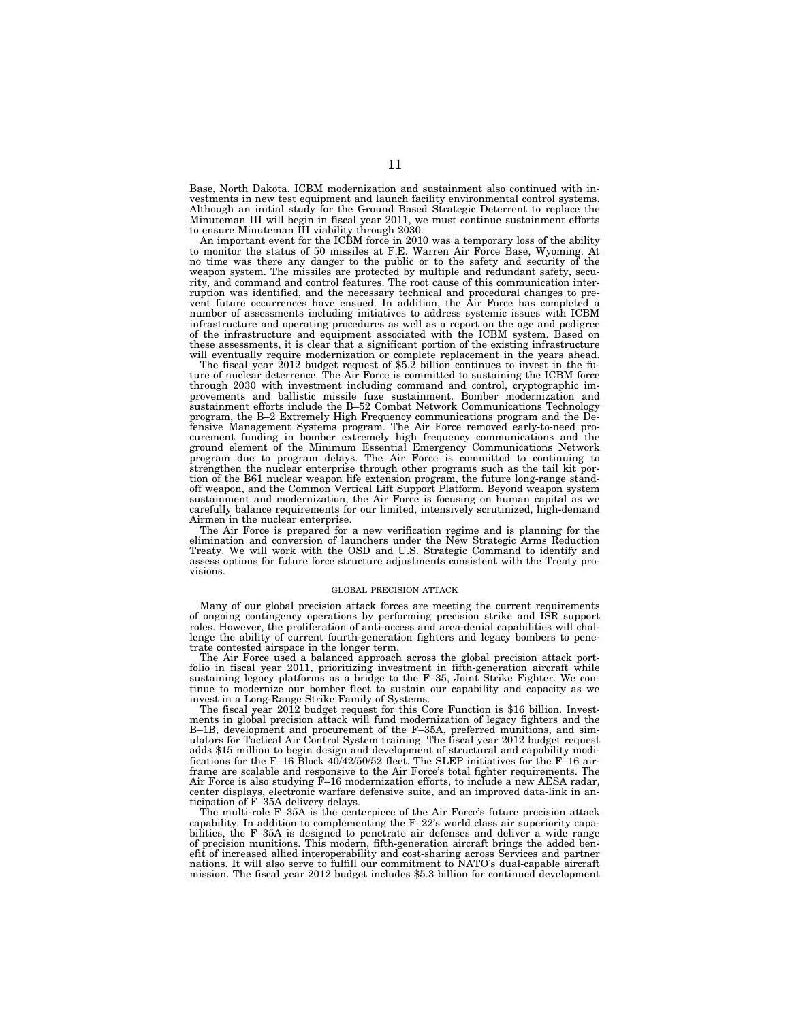Base, North Dakota. ICBM modernization and sustainment also continued with investments in new test equipment and launch facility environmental control systems. Although an initial study for the Ground Based Strategic Deterrent to replace the Minuteman III will begin in fiscal year 2011, we must continue sustainment efforts to ensure Minuteman III viability through 2030.

An important event for the ICBM force in 2010 was a temporary loss of the ability to monitor the status of 50 missiles at F.E. Warren Air Force Base, Wyoming. At no time was there any danger to the public or to the safety and security of the weapon system. The missiles are protected by multiple and redundant safety, security, and command and control features. The root cause of this communication interruption was identified, and the necessary technical and procedural changes to prevent future occurrences have ensued. In addition, the Air Force has completed a number of assessments including initiatives to address systemic issues with ICBM infrastructure and operating procedures as well as a report on the age and pedigree of the infrastructure and equipment associated with the ICBM system. Based on these assessments, it is clear that a significant portion of the existing infrastructure will eventually require modernization or complete replacement in the years ahead.

The fiscal year 2012 budget request of \$5.2 billion continues to invest in the future of nuclear deterrence. The Air Force is committed to sustaining the ICBM force through 2030 with investment including command and control, cryptographic improvements and ballistic missile fuze sustainment. Bomber modernization and sustainment efforts include the B–52 Combat Network Communications Technology program, the B–2 Extremely High Frequency communications program and the Defensive Management Systems program. The Air Force removed early-to-need procurement funding in bomber extremely high frequency communications and the ground element of the Minimum Essential Emergency Communications Network program due to program delays. The Air Force is committed to continuing to strengthen the nuclear enterprise through other programs such as the tail kit portion of the B61 nuclear weapon life extension program, the future long-range standoff weapon, and the Common Vertical Lift Support Platform. Beyond weapon system sustainment and modernization, the Air Force is focusing on human capital as we carefully balance requirements for our limited, intensively scrutinized, high-demand Airmen in the nuclear enterprise.

The Air Force is prepared for a new verification regime and is planning for the elimination and conversion of launchers under the New Strategic Arms Reduction Treaty. We will work with the OSD and U.S. Strategic Command to identify and assess options for future force structure adjustments consistent with the Treaty provisions.

#### GLOBAL PRECISION ATTACK

Many of our global precision attack forces are meeting the current requirements of ongoing contingency operations by performing precision strike and ISR support roles. However, the proliferation of anti-access and area-denial capabilities will challenge the ability of current fourth-generation fighters and legacy bombers to penetrate contested airspace in the longer term.

The Air Force used a balanced approach across the global precision attack portfolio in fiscal year 2011, prioritizing investment in fifth-generation aircraft while sustaining legacy platforms as a bridge to the F–35, Joint Strike Fighter. We continue to modernize our bomber fleet to sustain our capability and capacity as we invest in a Long-Range Strike Family of Systems.

The fiscal year 2012 budget request for this Core Function is \$16 billion. Investments in global precision attack will fund modernization of legacy fighters and the B–1B, development and procurement of the F–35A, preferred munitions, and simulators for Tactical Air Control System training. The fiscal year 2012 budget request adds \$15 million to begin design and development of structural and capability modifications for the F–16 Block 40/42/50/52 fleet. The SLEP initiatives for the F–16 airframe are scalable and responsive to the Air Force's total fighter requirements. The Air Force is also studying F–16 modernization efforts, to include a new AESA radar, center displays, electronic warfare defensive suite, and an improved data-link in anticipation of F–35A delivery delays.

The multi-role F–35A is the centerpiece of the Air Force's future precision attack capability. In addition to complementing the F–22's world class air superiority capabilities, the F–35A is designed to penetrate air defenses and deliver a wide range of precision munitions. This modern, fifth-generation aircraft brings the added benefit of increased allied interoperability and cost-sharing across Services and partner nations. It will also serve to fulfill our commitment to NATO's dual-capable aircraft mission. The fiscal year 2012 budget includes \$5.3 billion for continued development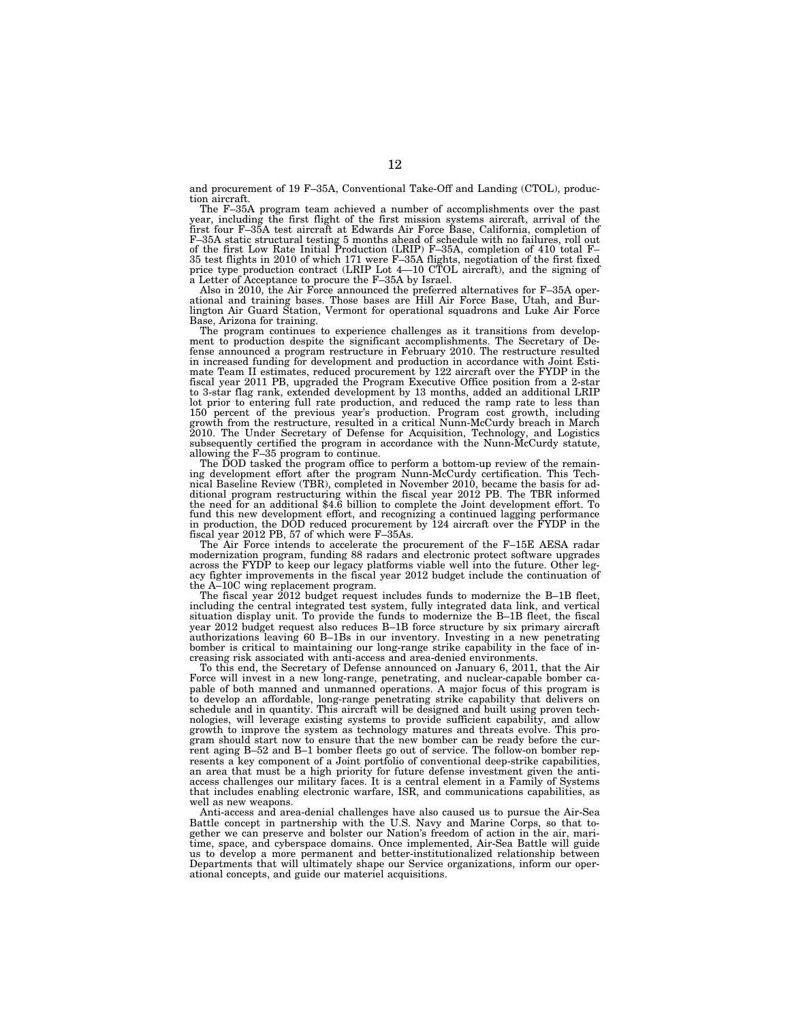and procurement of 19 F–35A, Conventional Take-Off and Landing (CTOL), production aircraft.

The F–35A program team achieved a number of accomplishments over the past year, including the first flight of the first mission systems aircraft, arrival of the first four F–35A test aircraft at Edwards Air Force Base, California, completion of F–35A static structural testing 5 months ahead of schedule with no failures, roll out of the first Low Rate Initial Production (LRIP) F–35A, completion of 410 total F– 35 test flights in 2010 of which 171 were F-35A flights, negotiation of the first fixed price type production contract (LRIP Lot 4—10 CTOL aircraft), and the signing of a Letter of Acceptance to procure the F–35A by Israel.

Also in 2010, the Air Force announced the preferred alternatives for F–35A operational and training bases. Those bases are Hill Air Force Base, Utah, and Bur-lington Air Guard Station, Vermont for operational squadrons and Luke Air Force Base, Arizona for training. The program continues to experience challenges as it transitions from develop-

ment to production despite the significant accomplishments. The Secretary of De-fense announced a program restructure in February 2010. The restructure resulted in increased funding for development and production in accordance with Joint Estimate Team II estimates, reduced procurement by 122 aircraft over the FYDP in the fiscal year 2011 PB, upgraded the Program Executive Office position from a 2-star to 3-star flag rank, extended development by 13 months, added an additional LRIP lot prior to entering full rate production, and reduced the ramp rate to less than 150 percent of the previous year's production. Program cost growth, including growth from the restructure, resulted in a critical Nunn-McCurdy breach in March 2010. The Under Secretary of Defense for Acquisition, Technology, and Logistics subsequently certified the program in accordance with the Nunn-McCurdy statute,

allowing the F–35 program to continue. The DOD tasked the program office to perform a bottom-up review of the remaining development effort after the program Nunn-McCurdy certification. This Tech-nical Baseline Review (TBR), completed in November 2010, became the basis for additional program restructuring within the fiscal year 2012 PB. The TBR informed the need for an additional \$4.6 billion to complete the Joint development effort. To fund this new development effort, and recognizing a continued lagging performance in production, the DOD reduced procurement by 124 aircraft over the FYDP in the fiscal year 2012 PB, 57 of which were F–35As.

The Air Force intends to accelerate the procurement of the F–15E AESA radar modernization program, funding 88 radars and electronic protect software upgrades across the FYDP to keep our legacy platforms viable well into the future. Other legacy fighter improvements in the fiscal year 2012 budget include the continuation of the A–10C wing replacement program.

The fiscal year 2012 budget request includes funds to modernize the B–1B fleet, including the central integrated test system, fully integrated data link, and vertical situation display unit. To provide the funds to modernize the B–1B fleet, the fiscal year 2012 budget request also reduces B–1B force structure by six primary aircraft authorizations leaving 60 B–1Bs in our inventory. Investing in a new penetrating bomber is critical to maintaining our long-range strike capability in the face of increasing risk associated with anti-access and area-denied environments.

To this end, the Secretary of Defense announced on January 6, 2011, that the Air Force will invest in a new long-range, penetrating, and nuclear-capable bomber capable of both manned and unmanned operations. A major focus of this program is to develop an affordable, long-range penetrating strike capability that delivers on schedule and in quantity. This aircraft will be designed and built using proven technologies, will leverage existing systems to provide sufficient capability, and allow growth to improve the system as technology matures and threats evolve. This program should start now to ensure that the new bomber can be ready before the current aging B–52 and B–1 bomber fleets go out of service. The follow-on bomber represents a key component of a Joint portfolio of conventional deep-strike capabilities, an area that must be a high priority for future defense investment given the antiaccess challenges our military faces. It is a central element in a Family of Systems that includes enabling electronic warfare, ISR, and communications capabilities, as well as new weapons.

Anti-access and area-denial challenges have also caused us to pursue the Air-Sea Battle concept in partnership with the U.S. Navy and Marine Corps, so that together we can preserve and bolster our Nation's freedom of action in the air, maritime, space, and cyberspace domains. Once implemented, Air-Sea Battle will guide us to develop a more permanent and better-institutionalized relationship between Departments that will ultimately shape our Service organizations, inform our operational concepts, and guide our materiel acquisitions.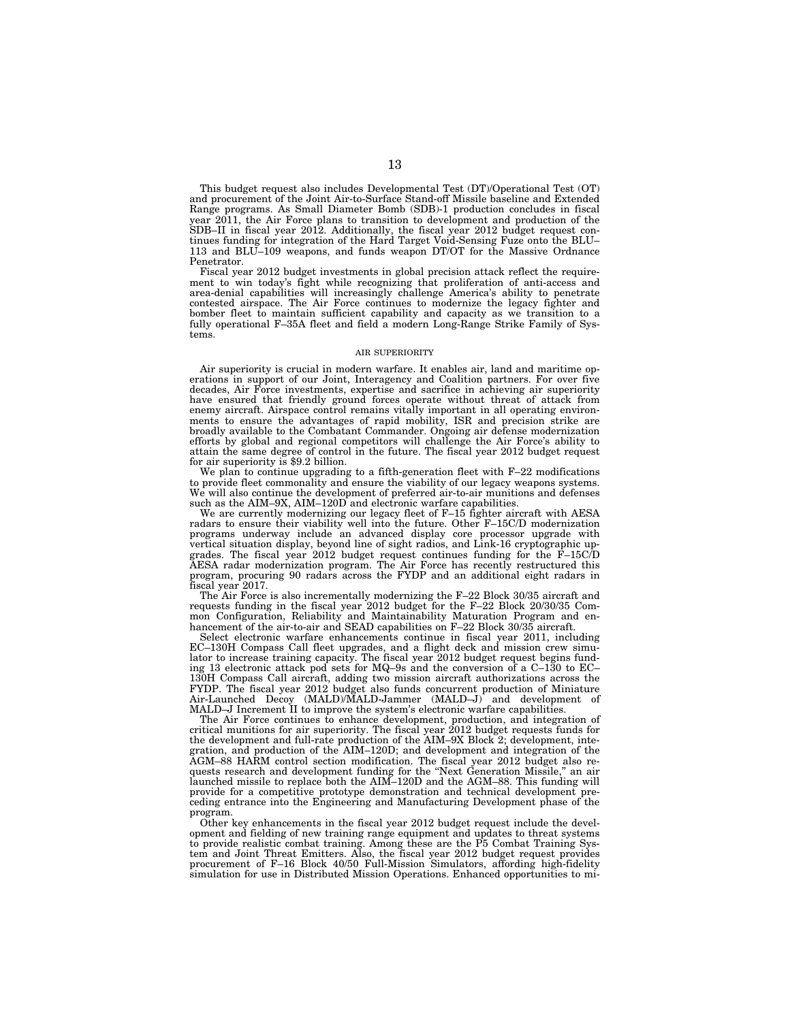This budget request also includes Developmental Test (DT)/Operational Test (OT) and procurement of the Joint Air-to-Surface Stand-off Missile baseline and Extended Range programs. As Small Diameter Bomb (SDB)-1 production concludes in fiscal year 2011, the Air Force plans to transition to development and production of the SDB–II in fiscal year 2012. Additionally, the fiscal year 2012 budget request continues funding for integration of the Hard Target Void-Sensing Fuze onto the BLU– 113 and BLU–109 weapons, and funds weapon DT/OT for the Massive Ordnance Penetrator.

Fiscal year 2012 budget investments in global precision attack reflect the requirement to win today's fight while recognizing that proliferation of anti-access and area-denial capabilities will increasingly challenge America's ability to penetrate contested airspace. The Air Force continues to modernize the legacy fighter and bomber fleet to maintain sufficient capability and capacity as we transition to a fully operational F-35A fleet and field a modern Long-Range Strike Family of Systems.

#### AIR SUPERIORITY

Air superiority is crucial in modern warfare. It enables air, land and maritime operations in support of our Joint, Interagency and Coalition partners. For over five decades, Air Force investments, expertise and sacrifice in achieving air superiority have ensured that friendly ground forces operate without threat of attack from enemy aircraft. Airspace control remains vitally important in all operating environments to ensure the advantages of rapid mobility, ISR and precision strike are broadly available to the Combatant Commander. Ongoing air defense modernization efforts by global and regional competitors will challenge the Air Force's ability to attain the same degree of control in the future. The fiscal year 2012 budget request for air superiority is \$9.2 billion.

We plan to continue upgrading to a fifth-generation fleet with F-22 modifications to provide fleet commonality and ensure the viability of our legacy weapons systems. We will also continue the development of preferred air-to-air munitions and defenses such as the AIM–9X, AIM–120D and electronic warfare capabilities.

We are currently modernizing our legacy fleet of F–15 fighter aircraft with AESA radars to ensure their viability well into the future. Other F-15C/D modernization programs underway include an advanced display core processor upgrade with vertical situation display, beyond line of sight radios, and Link-16 cryptographic upgrades. The fiscal year 2012 budget request continues funding for the F–15C/D AESA radar modernization program. The Air Force has recently restructured this program, procuring 90 radars across the FYDP and an additional eight radars in fiscal year 2017.

The Air Force is also incrementally modernizing the F–22 Block 30/35 aircraft and requests funding in the fiscal year 2012 budget for the F–22 Block 20/30/35 Common Configuration, Reliability and Maintainability Maturation Program and enhancement of the air-to-air and SEAD capabilities on F–22 Block 30/35 aircraft.

Select electronic warfare enhancements continue in fiscal year 2011, including EC–130H Compass Call fleet upgrades, and a flight deck and mission crew simulator to increase training capacity. The fiscal year 2012 budget request begins funding 13 electronic attack pod sets for MQ–9s and the conversion of a C–130 to EC– 130H Compass Call aircraft, adding two mission aircraft authorizations across the FYDP. The fiscal year 2012 budget also funds concurrent production of Miniature Air-Launched Decoy (MALD)/MALD-Jammer (MALD–J) and development of MALD–J Increment II to improve the system's electronic warfare capabilities.

The Air Force continues to enhance development, production, and integration of critical munitions for air superiority. The fiscal year 2012 budget requests funds for the development and full-rate production of the AIM–9X Block 2; development, integration, and production of the AIM–120D; and development and integration of the AGM–88 HARM control section modification. The fiscal year 2012 budget also requests research and development funding for the ''Next Generation Missile,'' an air launched missile to replace both the AIM–120D and the AGM–88. This funding will provide for a competitive prototype demonstration and technical development preceding entrance into the Engineering and Manufacturing Development phase of the program.

Other key enhancements in the fiscal year 2012 budget request include the development and fielding of new training range equipment and updates to threat systems to provide realistic combat training. Among these are the P5 Combat Training System and Joint Threat Emitters. Also, the fiscal year 2012 budget request provides procurement of F–16 Block 40/50 Full-Mission Simulators, affording high-fidelity simulation for use in Distributed Mission Operations. Enhanced opportunities to mi-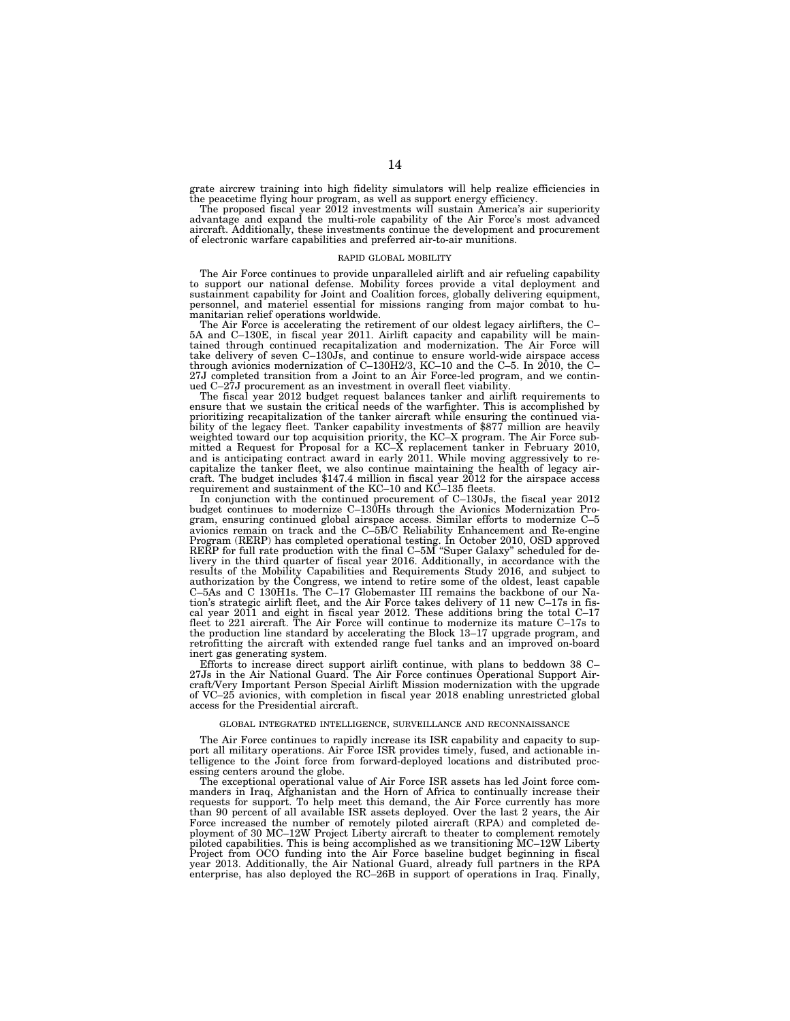grate aircrew training into high fidelity simulators will help realize efficiencies in the peacetime flying hour program, as well as support energy efficiency. The proposed fiscal year 2012 investments will sustain America's air superiority

advantage and expand the multi-role capability of the Air Force's most advanced aircraft. Additionally, these investments continue the development and procurement of electronic warfare capabilities and preferred air-to-air munitions.

#### RAPID GLOBAL MOBILITY

The Air Force continues to provide unparalleled airlift and air refueling capability to support our national defense. Mobility forces provide a vital deployment and sustainment capability for Joint and Coalition forces, globally delivering equipment, personnel, and materiel essential for missions ranging from major combat to humanitarian relief operations worldwide.

The Air Force is accelerating the retirement of our oldest legacy airlifters, the C– 5A and C–130E, in fiscal year 2011. Airlift capacity and capability will be maintained through continued recapitalization and modernization. The Air Force will<br>take delivery of seven C–130Js, and continue to ensure world-wide airspace access<br>through avionics modernization of C–130H2/3, KC–10 and the C 27J completed transition from a Joint to an Air Force-led program, and we continued C-27J procurement as an investment in overall fleet viability.

The fiscal year 2012 budget request balances tanker and airlift requirements to ensure that we sustain the critical needs of the warfighter. This is accomplished by prioritizing recapitalization of the tanker aircraft while ensuring the continued viability of the legacy fleet. Tanker capability investments of \$877 million are heavily weighted toward our top acquisition priority, the KC–X program. The Air Force submitted a Request for Proposal for a KC–X replacement tanker in February 2010, and is anticipating contract award in early 2011. While moving aggressively to recapitalize the tanker fleet, we also continue maintaining the health of legacy aircraft. The budget includes \$147.4 million in fiscal year 2012 for the airspace access requirement and sustainment of the KC–10 and KC–135 fleets.

In conjunction with the continued procurement of C–130Js, the fiscal year 2012 budget continues to modernize C–130Hs through the Avionics Modernization Program, ensuring continued global airspace access. Similar efforts to modernize C–5 avionics remain on track and the C–5B/C Reliability Enhancement and Re-engine Program (RERP) has completed operational testing. In October 2010, OSD approved RERP for full rate production with the final C–5M "Super Galaxy" scheduled for delivery in the third quarter of fiscal year 2016. Additionally, in accordance with the results of the Mobility Capabilities and Requirements Study 2016, and subject to authorization by the Congress, we intend to retire some of the oldest, least capable C–5As and C 130H1s. The C–17 Globemaster III remains the backbone of our Nation's strategic airlift fleet, and the Air Force takes delivery of 11 new C–17s in fiscal year 2011 and eight in fiscal year 2012. These additions bring the total C–17 fleet to 221 aircraft. The Air Force will continue to modernize its mature C–17s to the production line standard by accelerating the Block 13–17 upgrade program, and retrofitting the aircraft with extended range fuel tanks and an improved on-board inert gas generating system.

Efforts to increase direct support airlift continue, with plans to beddown 38 C– 27Js in the Air National Guard. The Air Force continues Operational Support Aircraft/Very Important Person Special Airlift Mission modernization with the upgrade of VC–25 avionics, with completion in fiscal year 2018 enabling unrestricted global access for the Presidential aircraft.

#### GLOBAL INTEGRATED INTELLIGENCE, SURVEILLANCE AND RECONNAISSANCE

The Air Force continues to rapidly increase its ISR capability and capacity to support all military operations. Air Force ISR provides timely, fused, and actionable intelligence to the Joint force from forward-deployed locations and distributed processing centers around the globe.

The exceptional operational value of Air Force ISR assets has led Joint force commanders in Iraq, Afghanistan and the Horn of Africa to continually increase their requests for support. To help meet this demand, the Air Force currently has more than 90 percent of all available ISR assets deployed. Over the last 2 years, the Air Force increased the number of remotely piloted aircraft (RPA) and completed deployment of 30 MC–12W Project Liberty aircraft to theater to complement remotely piloted capabilities. This is being accomplished as we transitioning MC–12W Liberty<br>Project from OCO funding into the Air Force baseline budget beginning in fiscal<br>year 2013. Additionally, the Air National Guard, already f enterprise, has also deployed the RC–26B in support of operations in Iraq. Finally,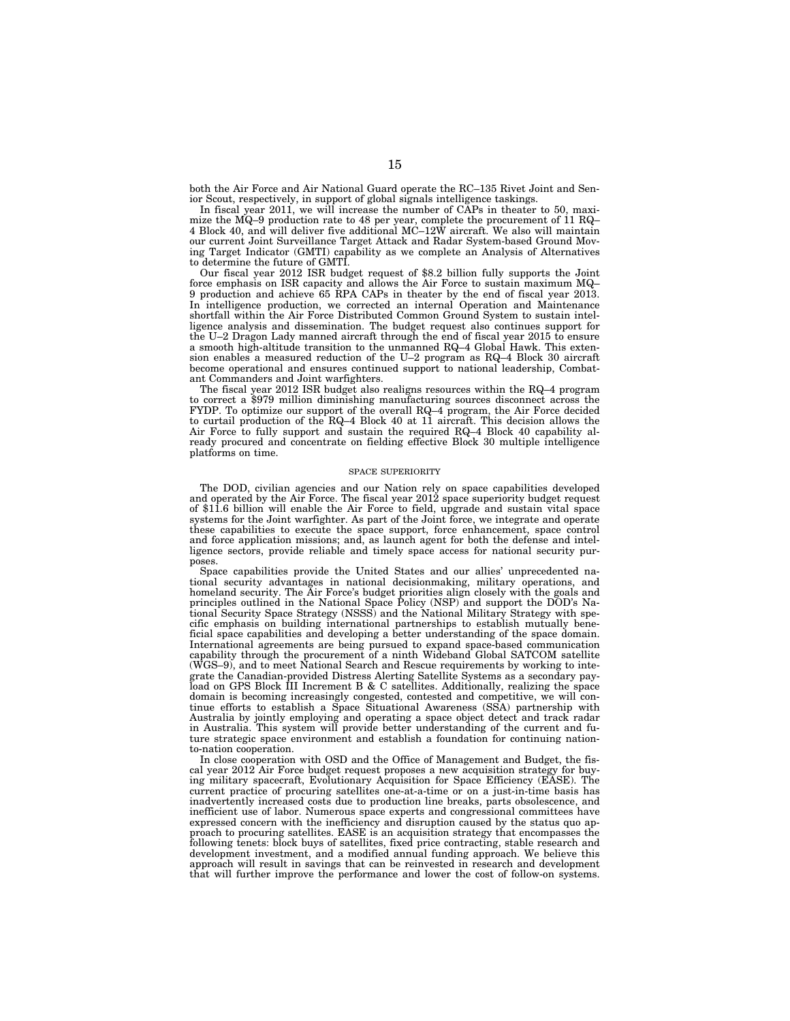both the Air Force and Air National Guard operate the RC–135 Rivet Joint and Senior Scout, respectively, in support of global signals intelligence taskings.

In fiscal year 2011, we will increase the number of CAPs in theater to 50, maximize the MQ–9 production rate to 48 per year, complete the procurement of 11 RQ– 4 Block 40, and will deliver five additional MC–12W aircraft. We also will maintain our current Joint Surveillance Target Attack and Radar System-based Ground Moving Target Indicator (GMTI) capability as we complete an Analysis of Alternatives to determine the future of GMTI.

Our fiscal year 2012 ISR budget request of \$8.2 billion fully supports the Joint force emphasis on ISR capacity and allows the Air Force to sustain maximum MQ– 9 production and achieve 65 RPA CAPs in theater by the end of fiscal year 2013. In intelligence production, we corrected an internal Operation and Maintenance shortfall within the Air Force Distributed Common Ground System to sustain intelligence analysis and dissemination. The budget request also continues support for the U–2 Dragon Lady manned aircraft through the end of fiscal year 2015 to ensure a smooth high-altitude transition to the unmanned RQ–4 Global Hawk. This extension enables a measured reduction of the U–2 program as RQ–4 Block 30 aircraft become operational and ensures continued support to national leadership, Combatant Commanders and Joint warfighters.

The fiscal year 2012 ISR budget also realigns resources within the RQ–4 program to correct a \$979 million diminishing manufacturing sources disconnect across the FYDP. To optimize our support of the overall RQ–4 program, the Air Force decided to curtail production of the RQ–4 Block 40 at 11 aircraft. This decision allows the Air Force to fully support and sustain the required RQ-4 Block 40 capability already procured and concentrate on fielding effective Block 30 multiple intelligence platforms on time.

#### SPACE SUPERIORITY

The DOD, civilian agencies and our Nation rely on space capabilities developed and operated by the Air Force. The fiscal year 2012 space superiority budget request of \$11.6 billion will enable the Air Force to field, upgrade and sustain vital space systems for the Joint warfighter. As part of the Joint force, we integrate and operate these capabilities to execute the space support, force enhancement, space control and force application missions; and, as launch agent for both the defense and intelligence sectors, provide reliable and timely space access for national security purposes.

Space capabilities provide the United States and our allies' unprecedented national security advantages in national decisionmaking, military operations, and homeland security. The Air Force's budget priorities align closely with the goals and principles outlined in the National Space Policy (NSP) and support the DOD's National Security Space Strategy (NSSS) and the National Military Strategy with specific emphasis on building international partnerships to establish mutually beneficial space capabilities and developing a better understanding of the space domain. International agreements are being pursued to expand space-based communication capability through the procurement of a ninth Wideband Global SATCOM satellite (WGS–9), and to meet National Search and Rescue requirements by working to integrate the Canadian-provided Distress Alerting Satellite Systems as a secondary payload on GPS Block III Increment B & C satellites. Additionally, realizing the space domain is becoming increasingly congested, contested and competitive, we will continue efforts to establish a Space Situational Awareness (SSA) partnership with Australia by jointly employing and operating a space object detect and track radar in Australia. This system will provide better understanding of the current and future strategic space environment and establish a foundation for continuing nationto-nation cooperation.

In close cooperation with OSD and the Office of Management and Budget, the fiscal year 2012 Air Force budget request proposes a new acquisition strategy for buying military spacecraft, Evolutionary Acquisition for Space Efficiency (EASE). The current practice of procuring satellites one-at-a-time or on a just-in-time basis has inadvertently increased costs due to production line breaks, parts obsolescence, and inefficient use of labor. Numerous space experts and congressional committees have expressed concern with the inefficiency and disruption caused by the status quo approach to procuring satellites. EASE is an acquisition strategy that encompasses the following tenets: block buys of satellites, fixed price contracting, stable research and development investment, and a modified annual funding approach. We believe this approach will result in savings that can be reinvested in research and development that will further improve the performance and lower the cost of follow-on systems.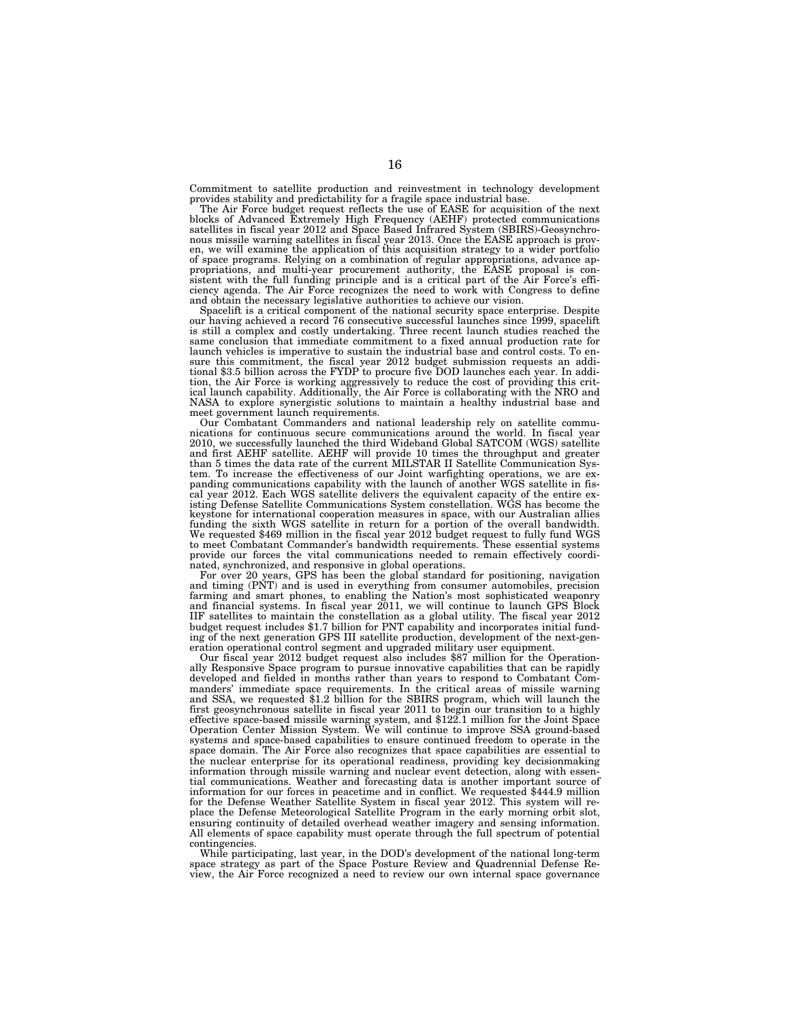Commitment to satellite production and reinvestment in technology development provides stability and predictability for a fragile space industrial base. The Air Force budget request reflects the use of EASE for acquisition of the next

blocks of Advanced Extremely High Frequency (AEHF) protected communications satellites in fiscal year 2012 and Space Based Infrared System (SBIRS)-Geosynchro-<br>nous missile warning satellites in fiscal year 2013. Once the EASE approach is prov-<br>en, we will examine the application of this acquisitio of space programs. Relying on a combination of regular appropriations, advance appropriations, and multi-year procurement authority, the EASE proposal is consistent with the full funding principle and is a critical part of ciency agenda. The Air Force recognizes the need to work with Congress to define and obtain the necessary legislative authorities to achieve our vision.

Spacelift is a critical component of the national security space enterprise. Despite our having achieved a record 76 consecutive successful launches since 1999, spacelift is still a complex and costly undertaking. Three recent launch studies reached the same conclusion that immediate commitment to a fixed annual production rate for launch vehicles is imperative to sustain the industrial base and control costs. To ensure this commitment, the fiscal year 2012 budget submission requests an addi-tional \$3.5 billion across the FYDP to procure five DOD launches each year. In addition, the Air Force is working aggressively to reduce the cost of providing this crit-ical launch capability. Additionally, the Air Force is collaborating with the NRO and NASA to explore synergistic solutions to maintain a healthy industrial base and meet government launch requirements.

Our Combatant Commanders and national leadership rely on satellite commu-nications for continuous secure communications around the world. In fiscal year 2010, we successfully launched the third Wideband Global SATCOM (WGS) satellite and first AEHF satellite. AEHF will provide 10 times the throughput and greater than 5 times the data rate of the current MILSTAR II Satellite Communication System. To increase the effectiveness of our Joint warfighting operations, we are ex-panding communications capability with the launch of another WGS satellite in fiscal year 2012. Each WGS satellite delivers the equivalent capacity of the entire existing Defense Satellite Communications System constellation. WGS has become the keystone for international cooperation measures in space, with our Australian allies<br>funding the sixth WGS satellite in return for a portion of the overall bandwidth.<br>We requested \$469 million in the fiscal year 2012 budge provide our forces the vital communications needed to remain effectively coordinated, synchronized, and responsive in global operations.

For over 20 years, GPS has been the global standard for positioning, navigation and timing (PNT) and is used in everything from consumer automobiles, precision farming and smart phones, to enabling the Nation's most sophisticated weaponry and financial systems. In fiscal year 2011, we will continue to launch GPS Block IIF satellites to maintain the constellation as a global utility. The fiscal year 2012 budget request includes \$1.7 billion for PNT capability and incorporates initial funding of the next generation GPS III satellite production, development of the next-generation operational control segment and upgraded military user equipment.

Our fiscal year 2012 budget request also includes \$87 million for the Operationally Responsive Space program to pursue innovative capabilities that can be rapidly developed and fielded in months rather than years to respond to Combatant Commanders' immediate space requirements. In the critical areas of missile warning and SSA, we requested \$1.2 billion for the SBIRS program, which will launch the first geosynchronous satellite in fiscal year 2011 to begin our transition to a highly effective space-based missile warning system, and \$122.1 million for the Joint Space Operation Center Mission System. We will continue to improve SSA ground-based systems and space-based capabilities to ensure continued freedom to operate in the space domain. The Air Force also recognizes that space capabilities are essential to the nuclear enterprise for its operational readiness, providing key decisionmaking information through missile warning and nuclear event detection, along with essential communications. Weather and forecasting data is another important source of information for our forces in peacetime and in conflict. We requested \$444.9 million for the Defense Weather Satellite System in fiscal year 2012. This system will replace the Defense Meteorological Satellite Program in the early morning orbit slot, ensuring continuity of detailed overhead weather imagery and sensing information. All elements of space capability must operate through the full spectrum of potential contingencies.

While participating, last year, in the DOD's development of the national long-term space strategy as part of the Space Posture Review and Quadrennial Defense Review, the Air Force recognized a need to review our own internal space governance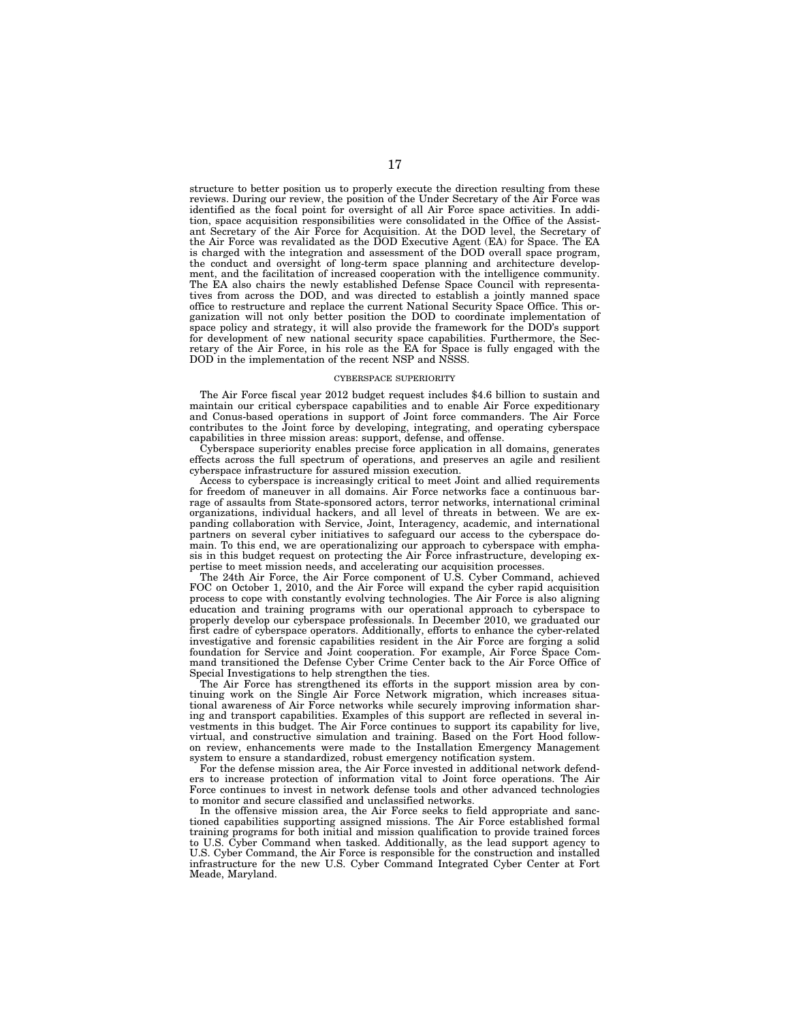structure to better position us to properly execute the direction resulting from these reviews. During our review, the position of the Under Secretary of the Air Force was identified as the focal point for oversight of all Air Force space activities. In addition, space acquisition responsibilities were consolidated in the Office of the Assistant Secretary of the Air Force for Acquisition. At the DOD level, the Secretary of the Air Force was revalidated as the DOD Executive Agent (EA) for Space. The EA is charged with the integration and assessment of the DOD overall space program, the conduct and oversight of long-term space planning and architecture development, and the facilitation of increased cooperation with the intelligence community. The EA also chairs the newly established Defense Space Council with representatives from across the DOD, and was directed to establish a jointly manned space office to restructure and replace the current National Security Space Office. This organization will not only better position the DOD to coordinate implementation of space policy and strategy, it will also provide the framework for the DOD's support for development of new national security space capabilities. Furthermore, the Secretary of the Air Force, in his role as the EA for Space is fully engaged with the DOD in the implementation of the recent NSP and NSSS.

#### CYBERSPACE SUPERIORITY

The Air Force fiscal year 2012 budget request includes \$4.6 billion to sustain and maintain our critical cyberspace capabilities and to enable Air Force expeditionary and Conus-based operations in support of Joint force commanders. The Air Force contributes to the Joint force by developing, integrating, and operating cyberspace capabilities in three mission areas: support, defense, and offense.

Cyberspace superiority enables precise force application in all domains, generates effects across the full spectrum of operations, and preserves an agile and resilient cyberspace infrastructure for assured mission execution.

Access to cyberspace is increasingly critical to meet Joint and allied requirements for freedom of maneuver in all domains. Air Force networks face a continuous barrage of assaults from State-sponsored actors, terror networks, international criminal organizations, individual hackers, and all level of threats in between. We are expanding collaboration with Service, Joint, Interagency, academic, and international partners on several cyber initiatives to safeguard our access to the cyberspace domain. To this end, we are operationalizing our approach to cyberspace with emphasis in this budget request on protecting the Air Force infrastructure, developing expertise to meet mission needs, and accelerating our acquisition processes.

The 24th Air Force, the Air Force component of U.S. Cyber Command, achieved FOC on October 1, 2010, and the Air Force will expand the cyber rapid acquisition process to cope with constantly evolving technologies. The Air Force is also aligning education and training programs with our operational approach to cyberspace to properly develop our cyberspace professionals. In December 2010, we graduated our first cadre of cyberspace operators. Additionally, efforts to enhance the cyber-related investigative and forensic capabilities resident in the Air Force are forging a solid foundation for Service and Joint cooperation. For example, Air Force Space Command transitioned the Defense Cyber Crime Center back to the Air Force Office of Special Investigations to help strengthen the ties.

The Air Force has strengthened its efforts in the support mission area by continuing work on the Single Air Force Network migration, which increases situational awareness of Air Force networks while securely improving information sharing and transport capabilities. Examples of this support are reflected in several investments in this budget. The Air Force continues to support its capability for live, virtual, and constructive simulation and training. Based on the Fort Hood followon review, enhancements were made to the Installation Emergency Management system to ensure a standardized, robust emergency notification system.

For the defense mission area, the Air Force invested in additional network defenders to increase protection of information vital to Joint force operations. The Air Force continues to invest in network defense tools and other advanced technologies to monitor and secure classified and unclassified networks.

In the offensive mission area, the Air Force seeks to field appropriate and sanctioned capabilities supporting assigned missions. The Air Force established formal training programs for both initial and mission qualification to provide trained forces to U.S. Cyber Command when tasked. Additionally, as the lead support agency to U.S. Cyber Command, the Air Force is responsible for the construction and installed infrastructure for the new U.S. Cyber Command Integrated Cyber Center at Fort Meade, Maryland.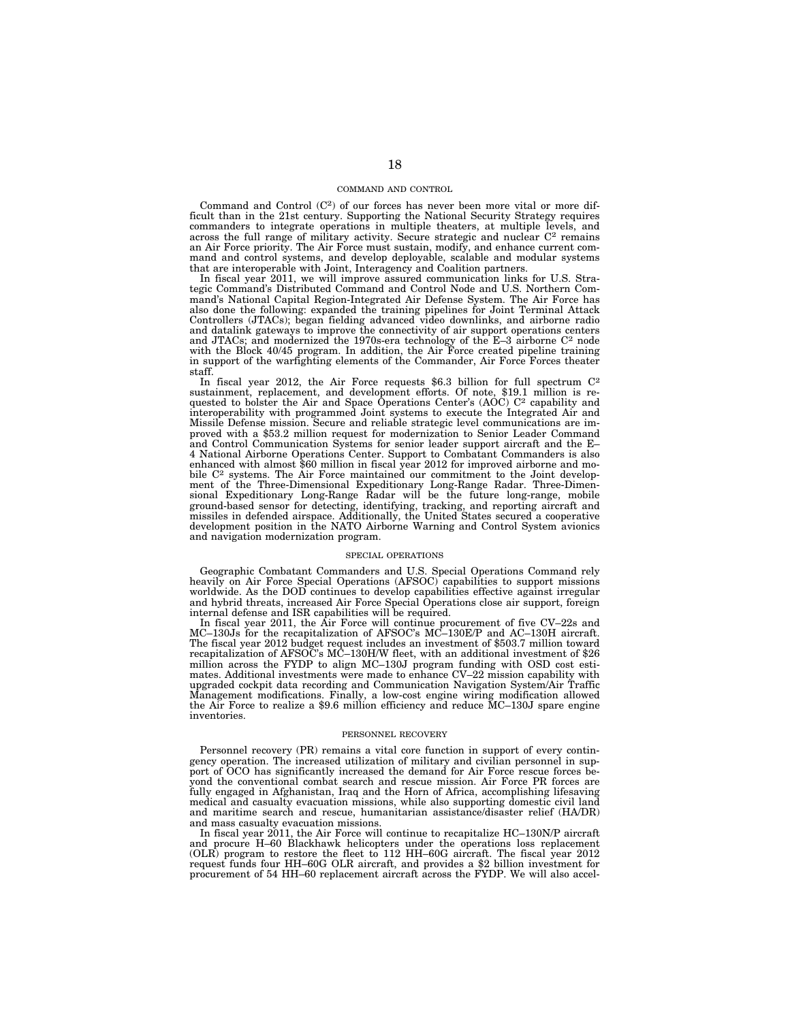#### COMMAND AND CONTROL

Command and Control (C<sup>2</sup>) of our forces has never been more vital or more difficult than in the 21st century. Supporting the National Security Strategy requires commanders to integrate operations in multiple theaters, at multiple levels, and across the full range of military activity. Secure strategic and nuclear  $C<sup>2</sup>$  remains an Air Force priority. The Air Force must sustain, modify, and enhance current command and control systems, and develop deployable, scalable and modular systems that are interoperable with Joint, Interagency and Coalition partners.

In fiscal year 2011, we will improve assured communication links for U.S. Strategic Command's Distributed Command and Control Node and U.S. Northern Command's National Capital Region-Integrated Air Defense System. The Air Force has also done the following: expanded the training pipelines for Joint Terminal Attack Controllers (JTACs); began fielding advanced video downlinks, and airborne radio and datalink gateways to improve the connectivity of air support operations centers and JTACs; and modernized the 1970s-era technology of the  $E-3$  airborne  $C<sup>2</sup>$  node with the Block 40/45 program. In addition, the Air Force created pipeline training in support of the warfighting elements of the Commander, Air Force Forces theater staff.

In fiscal year 2012, the Air Force requests \$6.3 billion for full spectrum C<sup>2</sup> sustainment, replacement, and development efforts. Of note, \$19.1 million is requested to bolster the Air and Space Operations Center's (AOC) C<sup>2</sup> capability and interoperability with programmed Joint systems to execute the Integrated Air and Missile Defense mission. Secure and reliable strategic level communications are improved with a \$53.2 million request for modernization to Senior Leader Command and Control Communication Systems for senior leader support aircraft and the E– 4 National Airborne Operations Center. Support to Combatant Commanders is also enhanced with almost \$60 million in fiscal year 2012 for improved airborne and mobile C2 systems. The Air Force maintained our commitment to the Joint development of the Three-Dimensional Expeditionary Long-Range Radar. Three-Dimensional Expeditionary Long-Range Radar will be the future long-range, mobile ground-based sensor for detecting, identifying, tracking, and reporting aircraft and missiles in defended airspace. Additionally, the United States secured a cooperative development position in the NATO Airborne Warning and Control System avionics and navigation modernization program.

#### SPECIAL OPERATIONS

Geographic Combatant Commanders and U.S. Special Operations Command rely heavily on Air Force Special Operations (AFSOC) capabilities to support missions worldwide. As the DOD continues to develop capabilities effective against irregular and hybrid threats, increased Air Force Special Operations close air support, foreign internal defense and ISR capabilities will be required.

In fiscal year 2011, the Air Force will continue procurement of five CV–22s and MC–130Js for the recapitalization of AFSOC's MC–130E/P and AC–130H aircraft. The fiscal year 2012 budget request includes an investment of \$503.7 million toward recapitalization of AFSOC's MC–130H/W fleet, with an additional investment of \$26 million across the FYDP to align MC–130J program funding with OSD cost estimates. Additional investments were made to enhance CV–22 mission capability with upgraded cockpit data recording and Communication Navigation System/Air Traffic Management modifications. Finally, a low-cost engine wiring modification allowed the Air Force to realize a \$9.6 million efficiency and reduce MC–130J spare engine inventories.

#### PERSONNEL RECOVERY

Personnel recovery (PR) remains a vital core function in support of every contingency operation. The increased utilization of military and civilian personnel in support of OCO has significantly increased the demand for Air Force rescue forces beyond the conventional combat search and rescue mission. Air Force PR forces are fully engaged in Afghanistan, Iraq and the Horn of Africa, accomplishing lifesaving medical and casualty evacuation missions, while also supporting domestic civil land and maritime search and rescue, humanitarian assistance/disaster relief (HA/DR) and mass casualty evacuation missions.

In fiscal year 2011, the Air Force will continue to recapitalize HC–130N/P aircraft and procure H–60 Blackhawk helicopters under the operations loss replacement (OLR) program to restore the fleet to 112 HH–60G aircraft. The fiscal year 2012 request funds four HH–60G OLR aircraft, and provides a \$2 billion investment for procurement of 54 HH–60 replacement aircraft across the FYDP. We will also accel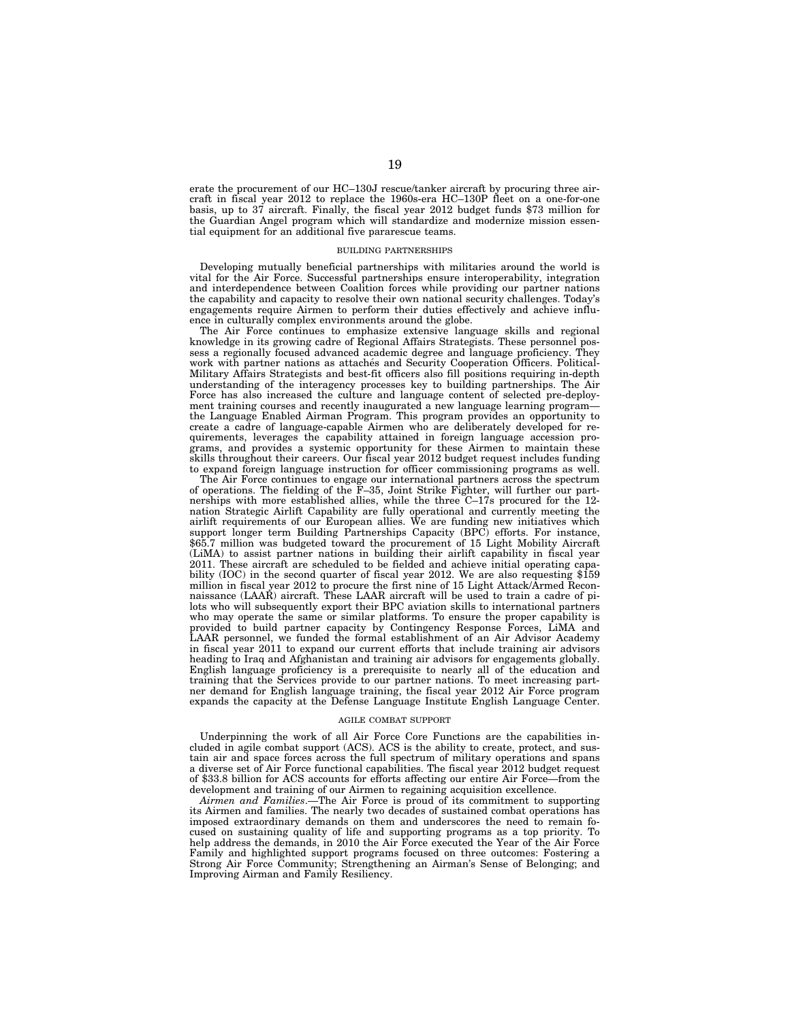erate the procurement of our HC–130J rescue/tanker aircraft by procuring three aircraft in fiscal year 2012 to replace the 1960s-era HC–130P fleet on a one-for-one basis, up to 37 aircraft. Finally, the fiscal year 2012 budget funds \$73 million for the Guardian Angel program which will standardize and modernize mission essential equipment for an additional five pararescue teams.

#### BUILDING PARTNERSHIPS

Developing mutually beneficial partnerships with militaries around the world is vital for the Air Force. Successful partnerships ensure interoperability, integration and interdependence between Coalition forces while providing our partner nations the capability and capacity to resolve their own national security challenges. Today's engagements require Airmen to perform their duties effectively and achieve influence in culturally complex environments around the globe.

The Air Force continues to emphasize extensive language skills and regional knowledge in its growing cadre of Regional Affairs Strategists. These personnel possess a regionally focused advanced academic degree and language proficiency. They work with partner nations as attaches and Security Cooperation Officers. Political-Military Affairs Strategists and best-fit officers also fill positions requiring in-depth understanding of the interagency processes key to building partnerships. The Air Force has also increased the culture and language content of selected pre-deployment training courses and recently inaugurated a new language learning programthe Language Enabled Airman Program. This program provides an opportunity to create a cadre of language-capable Airmen who are deliberately developed for requirements, leverages the capability attained in foreign language accession programs, and provides a systemic opportunity for these Airmen to maintain these skills throughout their careers. Our fiscal year 2012 budget request includes funding to expand foreign language instruction for officer commissioning programs as well.

The Air Force continues to engage our international partners across the spectrum of operations. The fielding of the F–35, Joint Strike Fighter, will further our partnerships with more established allies, while the three C–17s procured for the 12 nation Strategic Airlift Capability are fully operational and currently meeting the airlift requirements of our European allies. We are funding new initiatives which support longer term Building Partnerships Capacity (BPC) efforts. For instance, \$65.7 million was budgeted toward the procurement of 15 Light Mobility Aircraft (LiMA) to assist partner nations in building their airlift capability in fiscal year 2011. These aircraft are scheduled to be fielded and achieve initial operating capability (IOC) in the second quarter of fiscal year 2012. We are also requesting \$159 million in fiscal year 2012 to procure the first nine of 15 Light Attack/Armed Reconnaissance (LAAR) aircraft. These LAAR aircraft will be used to train a cadre of pilots who will subsequently export their BPC aviation skills to international partners who may operate the same or similar platforms. To ensure the proper capability is provided to build partner capacity by Contingency Response Forces, LiMA and LAAR personnel, we funded the formal establishment of an Air Advisor Academy in fiscal year 2011 to expand our current efforts that include training air advisors heading to Iraq and Afghanistan and training air advisors for engagements globally. English language proficiency is a prerequisite to nearly all of the education and training that the Services provide to our partner nations. To meet increasing partner demand for English language training, the fiscal year 2012 Air Force program expands the capacity at the Defense Language Institute English Language Center.

## AGILE COMBAT SUPPORT

Underpinning the work of all Air Force Core Functions are the capabilities included in agile combat support (ACS). ACS is the ability to create, protect, and sustain air and space forces across the full spectrum of military operations and spans a diverse set of Air Force functional capabilities. The fiscal year 2012 budget request of \$33.8 billion for ACS accounts for efforts affecting our entire Air Force—from the development and training of our Airmen to regaining acquisition excellence.

*Airmen and Families*.—The Air Force is proud of its commitment to supporting its Airmen and families. The nearly two decades of sustained combat operations has imposed extraordinary demands on them and underscores the need to remain focused on sustaining quality of life and supporting programs as a top priority. To help address the demands, in 2010 the Air Force executed the Year of the Air Force Family and highlighted support programs focused on three outcomes: Fostering a Strong Air Force Community; Strengthening an Airman's Sense of Belonging; and Improving Airman and Family Resiliency.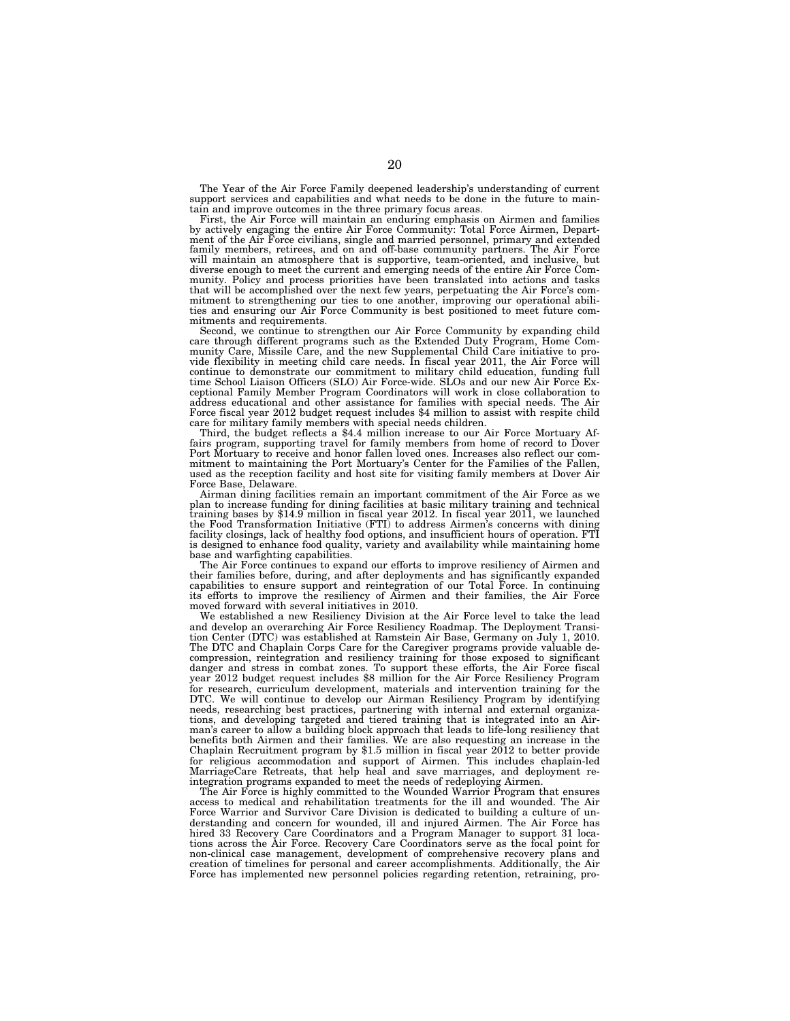The Year of the Air Force Family deepened leadership's understanding of current support services and capabilities and what needs to be done in the future to maintain and improve outcomes in the three primary focus areas.

First, the Air Force will maintain an enduring emphasis on Airmen and families by actively engaging the entire Air Force Community: Total Force Airmen, Department of the Air Force civilians, single and married personnel, primary and extended<br>family members, retirees, and on and off-base community partners. The Air Force<br>will maintain an atmosphere that is supportive, team-orien diverse enough to meet the current and emerging needs of the entire Air Force Community. Policy and process priorities have been translated into actions and tasks that will be accomplished over the next few years, perpetuating the Air Force's commitment to strengthening our ties to one another, improving our operational abili-ties and ensuring our Air Force Community is best positioned to meet future commitments and requirements.

Second, we continue to strengthen our Air Force Community by expanding child care through different programs such as the Extended Duty Program, Home Com-munity Care, Missile Care, and the new Supplemental Child Care initiative to provide flexibility in meeting child care needs. In fiscal year 2011, the Air Force will continue to demonstrate our commitment to military child education, funding full time School Liaison Officers (SLO) Air Force-wide. SLOs and our new Air Force Exceptional Family Member Program Coordinators will work in close collaboration to address educational and other assistance for families with special needs. The Air Force fiscal year 2012 budget request includes \$4 million to assist with respite child care for military family members with special needs children. Third, the budget reflects a \$4.4 million increase to our Air Force Mortuary Af-

fairs program, supporting travel for family members from home of record to Dover Port Mortuary to receive and honor fallen loved ones. Increases also reflect our commitment to maintaining the Port Mortuary's Center for the Families of the Fallen, used as the reception facility and host site for visiting family members at Dover Air Force Base, Delaware.

Airman dining facilities remain an important commitment of the Air Force as we plan to increase funding for dining facilities at basic military training and technical training bases by \$14.9 million in fiscal year 2012. In fiscal year 2011, we launched the Food Transformation Initiative (FTI) to address Airmen's concerns with dining facility closings, lack of healthy food options, and insufficient hours of operation. FTI is designed to enhance food quality, variety and availability while maintaining home base and warfighting capabilities.

The Air Force continues to expand our efforts to improve resiliency of Airmen and their families before, during, and after deployments and has significantly expanded capabilities to ensure support and reintegration of our Total Force. In continuing its efforts to improve the resiliency of Airmen and their families, the Air Force moved forward with several initiatives in 2010.

We established a new Resiliency Division at the Air Force level to take the lead and develop an overarching Air Force Resiliency Roadmap. The Deployment Transition Center (DTC) was established at Ramstein Air Base, Germany on July 1, 2010. The DTC and Chaplain Corps Care for the Caregiver programs provide valuable decompression, reintegration and resiliency training for those exposed to significant danger and stress in combat zones. To support these efforts, the Air Force fiscal year 2012 budget request includes \$8 million for the Air Force Resiliency Program for research, curriculum development, materials and intervention training for the DTC. We will continue to develop our Airman Resiliency Program by identifying needs, researching best practices, partnering with internal and external organizations, and developing targeted and tiered training that is integrated into an Airman's career to allow a building block approach that leads to life-long resiliency that benefits both Airmen and their families. We are also requesting an increase in the Chaplain Recruitment program by \$1.5 million in fiscal year 2012 to better provide for religious accommodation and support of Airmen. This includes chaplain-led MarriageCare Retreats, that help heal and save marriages, and deployment reintegration programs expanded to meet the needs of redeploying Airmen.

The Air Force is highly committed to the Wounded Warrior Program that ensures access to medical and rehabilitation treatments for the ill and wounded. The Air Force Warrior and Survivor Care Division is dedicated to building a culture of understanding and concern for wounded, ill and injured Airmen. The Air Force has hired 33 Recovery Care Coordinators and a Program Manager to support 31 locations across the Air Force. Recovery Care Coordinators serve as the focal point for non-clinical case management, development of comprehensive recovery plans and creation of timelines for personal and career accomplishments. Additionally, the Air Force has implemented new personnel policies regarding retention, retraining, pro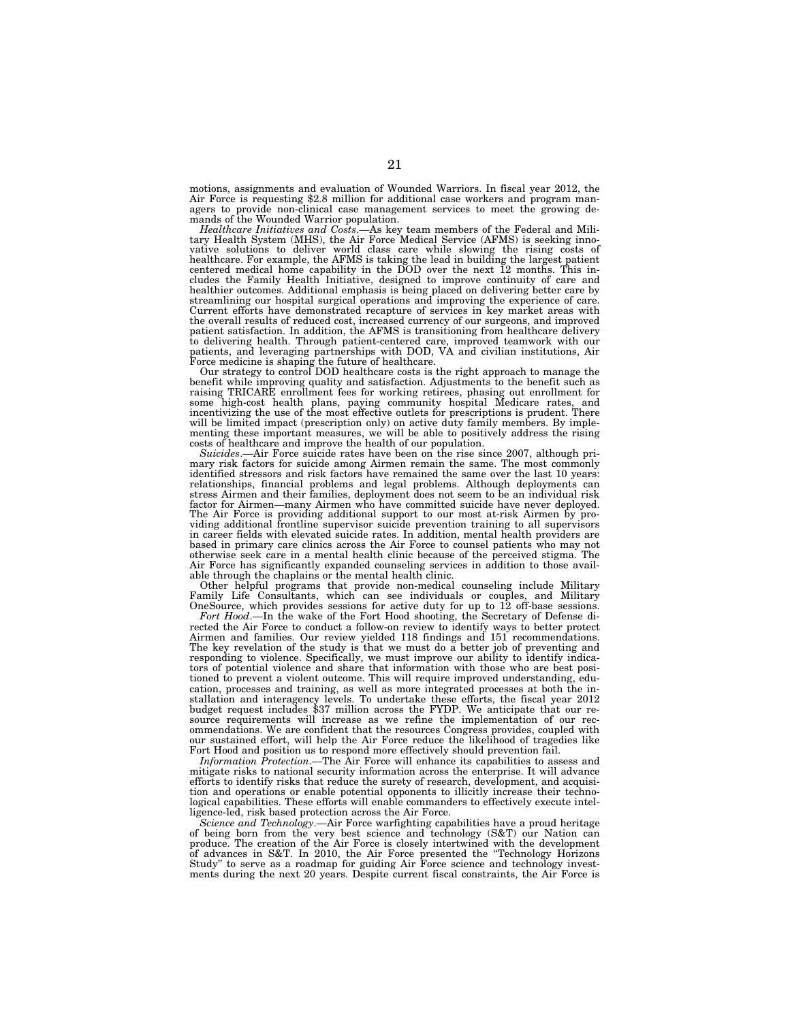motions, assignments and evaluation of Wounded Warriors. In fiscal year 2012, the Air Force is requesting \$2.8 million for additional case workers and program managers to provide non-clinical case management services to meet the growing demands of the Wounded Warrior population.

*Healthcare Initiatives and Costs*.—As key team members of the Federal and Military Health System (MHS), the Air Force Medical Service (AFMS) is seeking innovative solutions to deliver world class care while slowing the rising costs of healthcare. For example, the AFMS is taking the lead in building the largest patient centered medical home capability in the DOD over the next cludes the Family Health Initiative, designed to improve continuity of care and healthier outcomes. Additional emphasis is being placed on delivering better care by streamlining our hospital surgical operations and improving the experience of care. Current efforts have demonstrated recapture of services in key market areas with the overall results of reduced cost, increased currency of our surgeons, and improved patient satisfaction. In addition, the AFMS is transitioning from healthcare delivery to delivering health. Through patient-centered care, improved teamwork with our patients, and leveraging partnerships with DOD, VA and civilian institutions, Air

Force medicine is shaping the future of healthcare. Our strategy to control DOD healthcare costs is the right approach to manage the benefit while improving quality and satisfaction. Adjustments to the benefit such as raising TRICARE enrollment fees for working retirees, phasing out enrollment for some high-cost health plans, paying community hospital Medicare rates, and incentivizing the use of the most effective outlets for prescriptions is prudent. There will be limited impact (prescription only) on active duty family members. By imple-menting these important measures, we will be able to positively address the rising costs of healthcare and improve the health of our population.

*Suicides*.—Air Force suicide rates have been on the rise since 2007, although primary risk factors for suicide among Airmen remain the same. The most commonly identified stressors and risk factors have remained the same over the last 10 years: relationships, financial problems and legal problems. Although deployments can stress Airmen and their families, deployment does not seem to be an individual risk factor for Airmen—many Airmen who have committed suicide have never deployed. The Air Force is providing additional support to our most at-risk Airmen by pro-viding additional frontline supervisor suicide prevention training to all supervisors in career fields with elevated suicide rates. In addition, mental health providers are based in primary care clinics across the Air Force to counsel patients who may not otherwise seek care in a mental health clinic because of the perceived stigma. The Air Force has significantly expanded counseling services in addition to those available through the chaplains or the mental health clinic.

Other helpful programs that provide non-medical counseling include Military Family Life Consultants, which can see individuals or couples, and Military OneSource, which provides sessions for active duty for up to 12 off-base sessions.

*Fort Hood*.—In the wake of the Fort Hood shooting, the Secretary of Defense directed the Air Force to conduct a follow-on review to identify ways to better protect Airmen and families. Our review yielded 118 findings and 151 recommendations. The key revelation of the study is that we must do a better job of preventing and responding to violence. Specifically, we must improve our ability to identify indicators of potential violence and share that information with those who are best positioned to prevent a violent outcome. This will require improved understanding, education, processes and training, as well as more integrated processes at both the installation and interagency levels. To undertake these efforts, the fiscal year 2012 budget request includes \$37 million across the FYDP. We anticipate that our resource requirements will increase as we refine the implementation of our recommendations. We are confident that the resources Congress provides, coupled with our sustained effort, will help the Air Force reduce the likelihood of tragedies like Fort Hood and position us to respond more effectively should prevention fail.

*Information Protection*.—The Air Force will enhance its capabilities to assess and mitigate risks to national security information across the enterprise. It will advance efforts to identify risks that reduce the surety of research, development, and acquisition and operations or enable potential opponents to illicitly increase their technological capabilities. These efforts will enable commanders to effectively execute intelligence-led, risk based protection across the Air Force.

*Science and Technology*.—Air Force warfighting capabilities have a proud heritage of being born from the very best science and technology (S&T) our Nation can produce. The creation of the Air Force is closely intertwined with the development of advances in S&T. In 2010, the Air Force presented the ''Technology Horizons Study'' to serve as a roadmap for guiding Air Force science and technology investments during the next 20 years. Despite current fiscal constraints, the Air Force is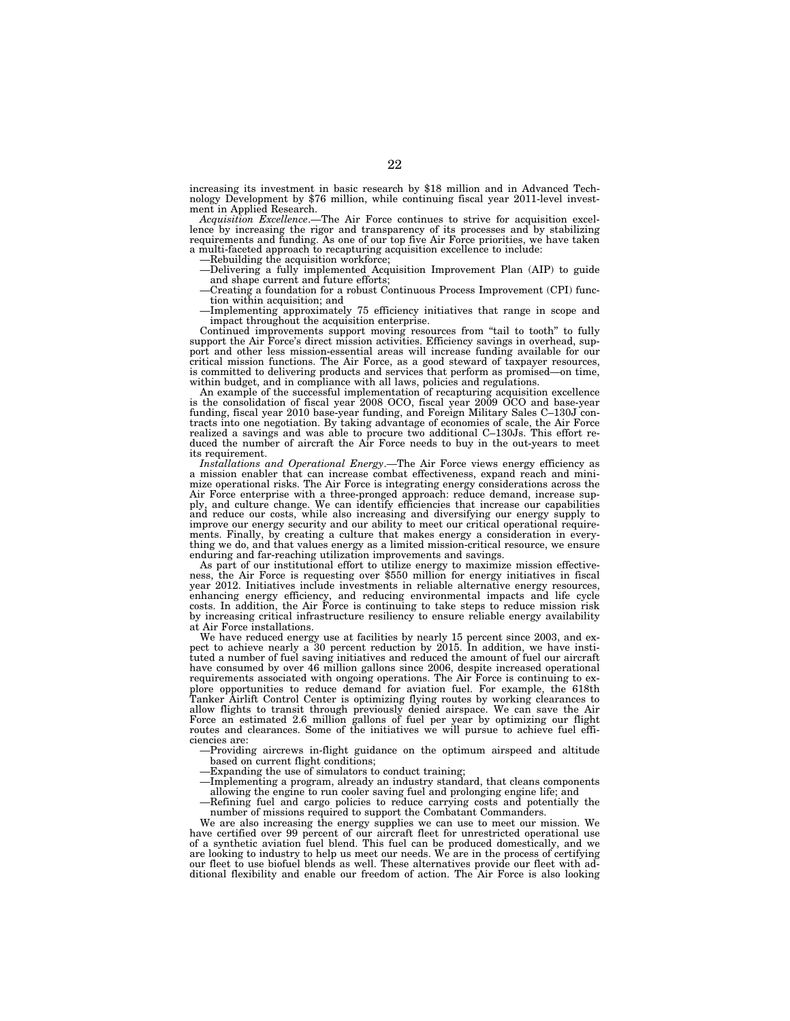increasing its investment in basic research by \$18 million and in Advanced Technology Development by \$76 million, while continuing fiscal year 2011-level investment in Applied Research.

*Acquisition Excellence*.—The Air Force continues to strive for acquisition excellence by increasing the rigor and transparency of its processes and by stabilizing requirements and funding. As one of our top five Air Force priorities, we have taken a multi-faceted approach to recapturing acquisition excellence to include:

—Rebuilding the acquisition workforce;

—Delivering a fully implemented Acquisition Improvement Plan (AIP) to guide and shape current and future efforts; —Creating a foundation for a robust Continuous Process Improvement (CPI) func-

tion within acquisition; and

—Implementing approximately 75 efficiency initiatives that range in scope and impact throughout the acquisition enterprise.

Continued improvements support moving resources from "tail to tooth" to fully support the Air Force's direct mission activities. Efficiency savings in overhead, support and other less mission-essential areas will increase funding available for our critical mission functions. The Air Force, as a good steward of taxpayer resources, is committed to delivering products and services that perform as promised—on time, within budget, and in compliance with all laws, policies and regulations.

An example of the successful implementation of recapturing acquisition excellence is the consolidation of fiscal year 2008 OCO, fiscal year 2009 OCO and base-year funding, fiscal year 2010 base-year funding, and Foreign Military Sales C–130J contracts into one negotiation. By taking advantage of economies of scale, the Air Force realized a savings and was able to procure two additional C–130Js. This effort reduced the number of aircraft the Air Force needs to buy in the out-years to meet its requirement.

*Installations and Operational Energy*.—The Air Force views energy efficiency as a mission enabler that can increase combat effectiveness, expand reach and minimize operational risks. The Air Force is integrating energy considerations across the Air Force enterprise with a three-pronged approach: reduce demand, increase sup-<br>ply, and culture change. We can identify efficiencies that increase our capabilities<br>and reduce our costs, while also increasing and diversif improve our energy security and our ability to meet our critical operational requirements. Finally, by creating a culture that makes energy a consideration in everything we do, and that values energy as a limited mission-critical resource, we ensure enduring and far-reaching utilization improvements and savings.<br>As part of our institutional effort to utilize energy to maximize mission effective-

ness, the Air Force is requesting over \$550 million for energy initiatives in fiscal year 2012. Initiatives include investments in reliable alternative energy resources, enhancing energy efficiency, and reducing environmental impacts and life cycle costs. In addition, the Air Force is continuing to take steps to reduce mission risk by increasing critical infrastructure resiliency to ensure reliable energy availability at Air Force installations.

We have reduced energy use at facilities by nearly 15 percent since 2003, and expect to achieve nearly a 30 percent reduction by 2015. In addition, we have instituted a number of fuel saving initiatives and reduced the amount of fuel our aircraft have consumed by over 46 million gallons since 2006, despite increased operational requirements associated with ongoing operations. The Air Force is continuing to explore opportunities to reduce demand for aviation fuel. For example, the 618th Tanker Airlift Control Center is optimizing flying routes by working clearances to allow flights to transit through previously denied airspace. We can save the Air Force an estimated 2.6 million gallons of fuel per year by optimizing our flight routes and clearances. Some of the initiatives we will pursue to achieve fuel efficiencies are:

—Providing aircrews in-flight guidance on the optimum airspeed and altitude based on current flight conditions;

—Expanding the use of simulators to conduct training;

—Implementing a program, already an industry standard, that cleans components allowing the engine to run cooler saving fuel and prolonging engine life; and

—Refining fuel and cargo policies to reduce carrying costs and potentially the number of missions required to support the Combatant Commanders.

We are also increasing the energy supplies we can use to meet our mission. We have certified over 99 percent of our aircraft fleet for unrestricted operational use of a synthetic aviation fuel blend. This fuel can be produced domestically, and we are looking to industry to help us meet our needs. We are in the process of certifying our fleet to use biofuel blends as well. These alternatives provide our fleet with additional flexibility and enable our freedom of action. The Air Force is also looking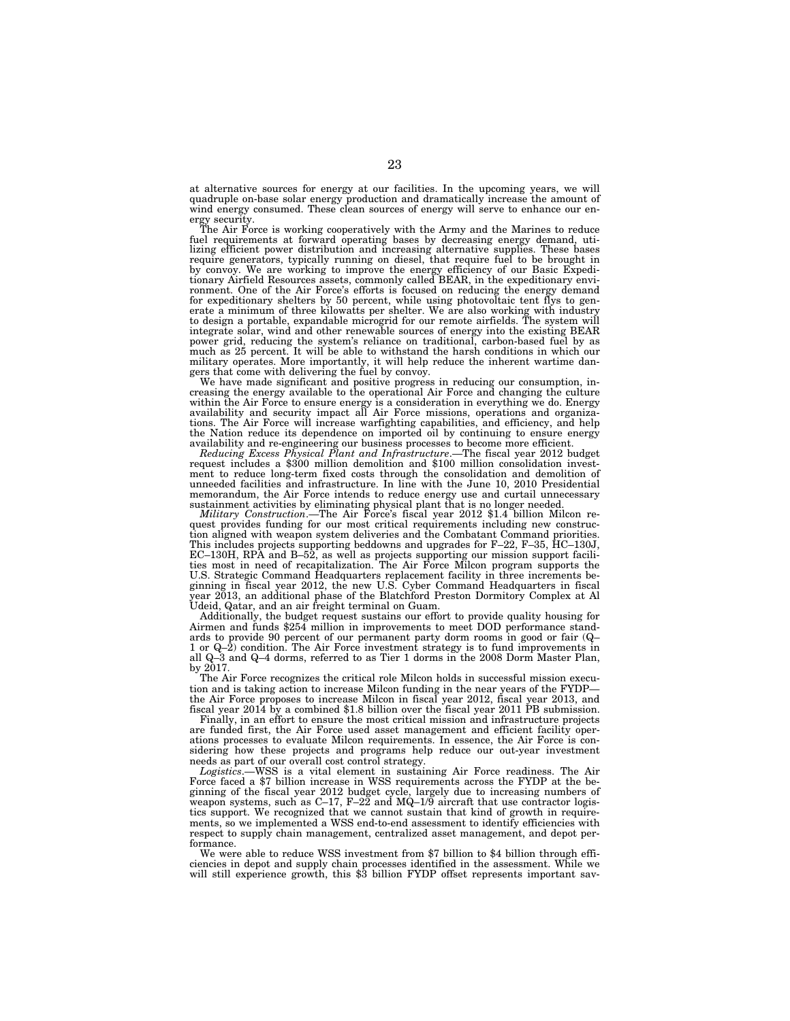at alternative sources for energy at our facilities. In the upcoming years, we will quadruple on-base solar energy production and dramatically increase the amount of wind energy consumed. These clean sources of energy will serve to enhance our en-

ergy security. The Air Force is working cooperatively with the Army and the Marines to reduce fuel requirements at forward operating bases by decreasing energy demand, uti-lizing efficient power distribution and increasing alternative supplies. These bases require generators, typically running on diesel, that require fuel to be brought in by convoy. We are working to improve the energy efficiency of our Basic Expedi-tionary Airfield Resources assets, commonly called BEAR, in the expeditionary environment. One of the Air Force's efforts is focused on reducing the energy demand for expeditionary shelters by 50 percent, while using photovoltaic tent flys to gen-erate a minimum of three kilowatts per shelter. We are also working with industry to design a portable, expandable microgrid for our remote airfields. The system will integrate solar, wind and other renewable sources of energy into the existing BEAR power grid, reducing the system's reliance on traditional, carbon-based fuel by as much as 25 percent. It will be able to withstand the harsh conditions in which our military operates. More importantly, it will help reduce the inherent wartime dangers that come with delivering the fuel by convoy.

We have made significant and positive progress in reducing our consumption, in-creasing the energy available to the operational Air Force and changing the culture within the Air Force to ensure energy is a consideration in everything we do. Energy availability and security impact all Air Force missions, operations and organizations. The Air Force will increase warfighting capabilities, and efficiency, and help the Nation reduce its dependence on imported oil by continuing to ensure energy

availability and re-engineering our business processes to become more efficient.<br>Reducing Excess Physical Plant and Infrastructure.—The fiscal year 2012 budget<br>request includes a \$300 million demolition and \$100 million co ment to reduce long-term fixed costs through the consolidation and demolition of unneeded facilities and infrastructure. In line with the June 10, 2010 Presidential memorandum, the Air Force intends to reduce energy use and curtail unnecessary<br>sustainment activities by eliminating physical plant that is no longer needed.<br>*Military Construction.*—The Air Force's fiscal year 2012 \$1.4 b

quest provides funding for our most critical requirements including new construction aligned with weapon system deliveries and the Combatant Command priorities. This includes projects supporting beddowns and upgrades for F–22, F–35, HC–130J, EC–130H, RPA and B–52, as well as projects supporting our mission support facili-ties most in need of recapitalization. The Air Force Milcon program supports the U.S. Strategic Command Headquarters replacement facility in three increments beginning in fiscal year 2012, the new U.S. Cyber Command Headquarters in fiscal<br>year 2013, an additional phase of the Blatchford Preston Dormito Udeid, Qatar, and an air freight terminal on Guam.

Additionally, the budget request sustains our effort to provide quality housing for Airmen and funds \$254 million in improvements to meet DOD performance standards to provide 90 percent of our permanent party dorm rooms in good or fair (Q– 1 or Q–2) condition. The Air Force investment strategy is to fund improvements in all Q–3 and Q–4 dorms, referred to as Tier 1 dorms in the 2008 Dorm Master Plan, by 2017.

The Air Force recognizes the critical role Milcon holds in successful mission execution and is taking action to increase Milcon funding in the near years of the FYDP the Air Force proposes to increase Milcon in fiscal year 2012, fiscal year 2013, and fiscal year 2014 by a combined \$1.8 billion over the fiscal year 2011 PB submission.

Finally, in an effort to ensure the most critical mission and infrastructure projects are funded first, the Air Force used asset management and efficient facility operations processes to evaluate Milcon requirements. In essence, the Air Force is considering how these projects and programs help reduce our out-year investment needs as part of our overall cost control strategy.

*Logistics*.—WSS is a vital element in sustaining Air Force readiness. The Air Force faced a \$7 billion increase in WSS requirements across the FYDP at the beginning of the fiscal year 2012 budget cycle, largely due to increasing numbers of weapon systems, such as  $C-17$ ,  $F-22$  and  $MQ-1/9$  aircraft that use contractor logistics support. We recognized that we cannot sustain that kind of growth in requirements, so we implemented a WSS end-to-end assessment to identify efficiencies with respect to supply chain management, centralized asset management, and depot performance.

We were able to reduce WSS investment from \$7 billion to \$4 billion through efficiencies in depot and supply chain processes identified in the assessment. While we will still experience growth, this \$3 billion FYDP offset represents important sav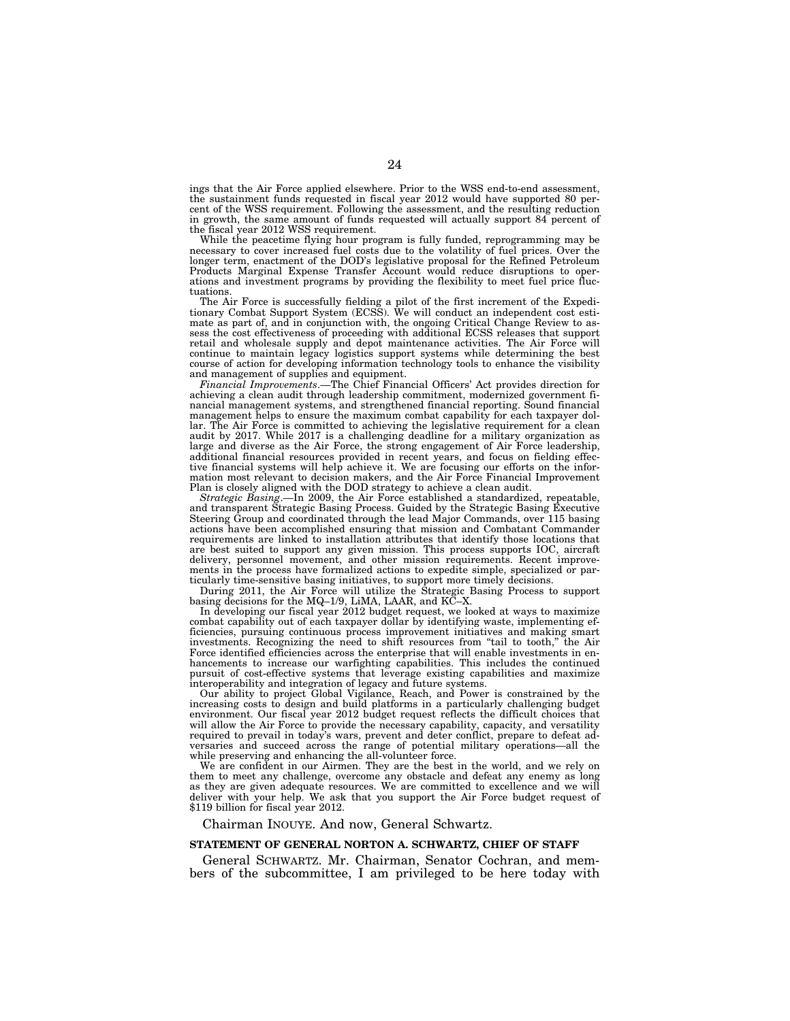ings that the Air Force applied elsewhere. Prior to the WSS end-to-end assessment, the sustainment funds requested in fiscal year 2012 would have supported 80 percent of the WSS requirement. Following the assessment, and the resulting reduction in growth, the same amount of funds requested will actually support 84 percent of the fiscal year 2012 WSS requirement.

While the peacetime flying hour program is fully funded, reprogramming may be necessary to cover increased fuel costs due to the volatility of fuel prices. Over the longer term, enactment of the DOD's legislative proposal for the Refined Petroleum Products Marginal Expense Transfer Account would reduce disruptions to operations and investment programs by providing the flexibility to meet fuel price fluctuations.

The Air Force is successfully fielding a pilot of the first increment of the Expeditionary Combat Support System (ECSS). We will conduct an independent cost estimate as part of, and in conjunction with, the ongoing Critical Change Review to assess the cost effectiveness of proceeding with additional ECSS releases that support retail and wholesale supply and depot maintenance activities. The Air Force will continue to maintain legacy logistics support systems while determining the best course of action for developing information technology tools to enhance the visibility and management of supplies and equipment.

*Financial Improvements*.—The Chief Financial Officers' Act provides direction for achieving a clean audit through leadership commitment, modernized government financial management systems, and strengthened financial reporting. Sound financial management helps to ensure the maximum combat capability for each taxpayer dollar. The Air Force is committed to achieving the legislative requirement for a clean audit by 2017. While 2017 is a challenging deadline for a military organization as large and diverse as the Air Force, the strong engagement of Air Force leadership, additional financial resources provided in recent years, and focus on fielding effective financial systems will help achieve it. We are focusing our efforts on the information most relevant to decision makers, and the Air Force Financial Improvement Plan is closely aligned with the DOD strategy to achieve a clean audit.

*Strategic Basing*.—In 2009, the Air Force established a standardized, repeatable, and transparent Strategic Basing Process. Guided by the Strategic Basing Executive Steering Group and coordinated through the lead Major Commands, over 115 basing actions have been accomplished ensuring that mission and Combatant Commander requirements are linked to installation attributes that identify those locations that are best suited to support any given mission. This process supports IOC, aircraft delivery, personnel movement, and other mission requirements. Recent improvements in the process have formalized actions to expedite simple, specialized or particularly time-sensitive basing initiatives, to support more timely decisions.

During 2011, the Air Force will utilize the Strategic Basing Process to support basing decisions for the MQ–1/9, LiMA, LAAR, and KC–X.

In developing our fiscal year 2012 budget request, we looked at ways to maximize combat capability out of each taxpayer dollar by identifying waste, implementing efficiencies, pursuing continuous process improvement initiatives and making smart investments. Recognizing the need to shift resources from ''tail to tooth,'' the Air Force identified efficiencies across the enterprise that will enable investments in enhancements to increase our warfighting capabilities. This includes the continued pursuit of cost-effective systems that leverage existing capabilities and maximize interoperability and integration of legacy and future systems.

Our ability to project Global Vigilance, Reach, and Power is constrained by the increasing costs to design and build platforms in a particularly challenging budget environment. Our fiscal year 2012 budget request reflects the difficult choices that will allow the Air Force to provide the necessary capability, capacity, and versatility required to prevail in today's wars, prevent and deter conflict, prepare to defeat adversaries and succeed across the range of potential military operations—all the while preserving and enhancing the all-volunteer force.

We are confident in our Airmen. They are the best in the world, and we rely on them to meet any challenge, overcome any obstacle and defeat any enemy as long as they are given adequate resources. We are committed to excellence and we will deliver with your help. We ask that you support the Air Force budget request of \$119 billion for fiscal year 2012.

Chairman INOUYE. And now, General Schwartz.

## **STATEMENT OF GENERAL NORTON A. SCHWARTZ, CHIEF OF STAFF**

General SCHWARTZ. Mr. Chairman, Senator Cochran, and members of the subcommittee, I am privileged to be here today with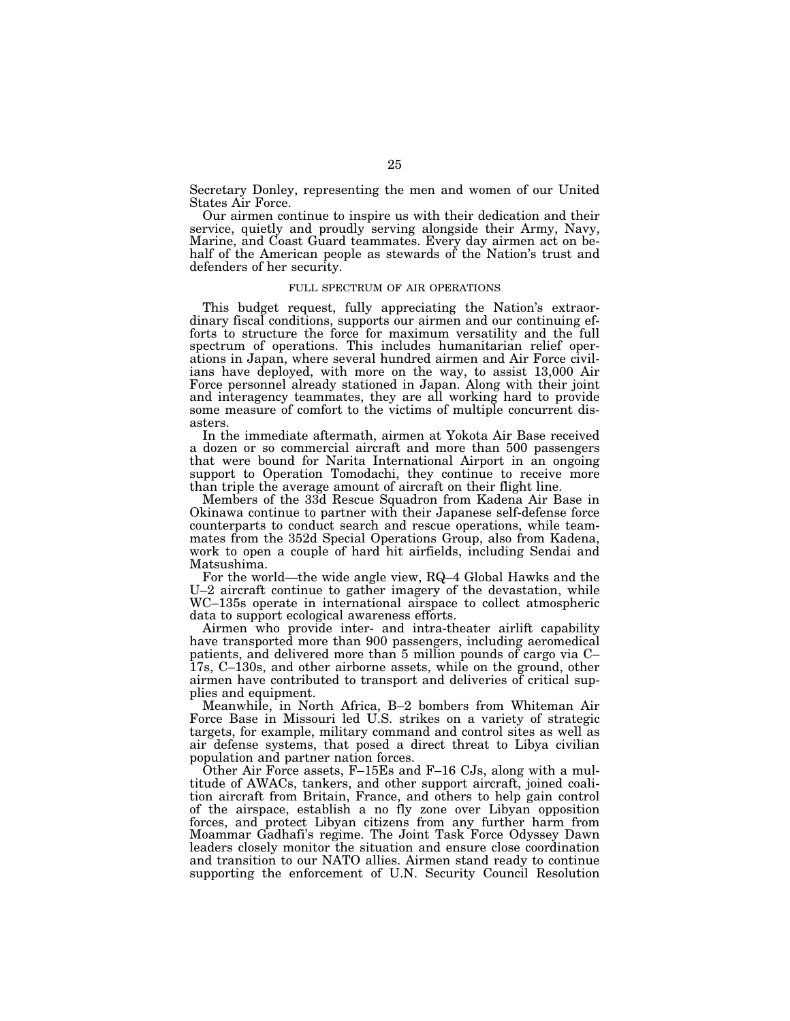Secretary Donley, representing the men and women of our United States Air Force.

Our airmen continue to inspire us with their dedication and their service, quietly and proudly serving alongside their Army, Navy, Marine, and Coast Guard teammates. Every day airmen act on behalf of the American people as stewards of the Nation's trust and defenders of her security.

## FULL SPECTRUM OF AIR OPERATIONS

This budget request, fully appreciating the Nation's extraordinary fiscal conditions, supports our airmen and our continuing efforts to structure the force for maximum versatility and the full spectrum of operations. This includes humanitarian relief operations in Japan, where several hundred airmen and Air Force civilians have deployed, with more on the way, to assist 13,000 Air Force personnel already stationed in Japan. Along with their joint and interagency teammates, they are all working hard to provide some measure of comfort to the victims of multiple concurrent disasters.

In the immediate aftermath, airmen at Yokota Air Base received a dozen or so commercial aircraft and more than 500 passengers that were bound for Narita International Airport in an ongoing support to Operation Tomodachi, they continue to receive more than triple the average amount of aircraft on their flight line.

Members of the 33d Rescue Squadron from Kadena Air Base in Okinawa continue to partner with their Japanese self-defense force counterparts to conduct search and rescue operations, while teammates from the 352d Special Operations Group, also from Kadena, work to open a couple of hard hit airfields, including Sendai and Matsushima.

For the world—the wide angle view, RQ–4 Global Hawks and the U–2 aircraft continue to gather imagery of the devastation, while WC–135s operate in international airspace to collect atmospheric data to support ecological awareness efforts.

Airmen who provide inter- and intra-theater airlift capability have transported more than 900 passengers, including aeromedical patients, and delivered more than 5 million pounds of cargo via C– 17s, C–130s, and other airborne assets, while on the ground, other airmen have contributed to transport and deliveries of critical supplies and equipment.

Meanwhile, in North Africa, B–2 bombers from Whiteman Air Force Base in Missouri led U.S. strikes on a variety of strategic targets, for example, military command and control sites as well as air defense systems, that posed a direct threat to Libya civilian population and partner nation forces.

Other Air Force assets, F–15Es and F–16 CJs, along with a multitude of AWACs, tankers, and other support aircraft, joined coalition aircraft from Britain, France, and others to help gain control of the airspace, establish a no fly zone over Libyan opposition forces, and protect Libyan citizens from any further harm from Moammar Gadhafi's regime. The Joint Task Force Odyssey Dawn leaders closely monitor the situation and ensure close coordination and transition to our NATO allies. Airmen stand ready to continue supporting the enforcement of U.N. Security Council Resolution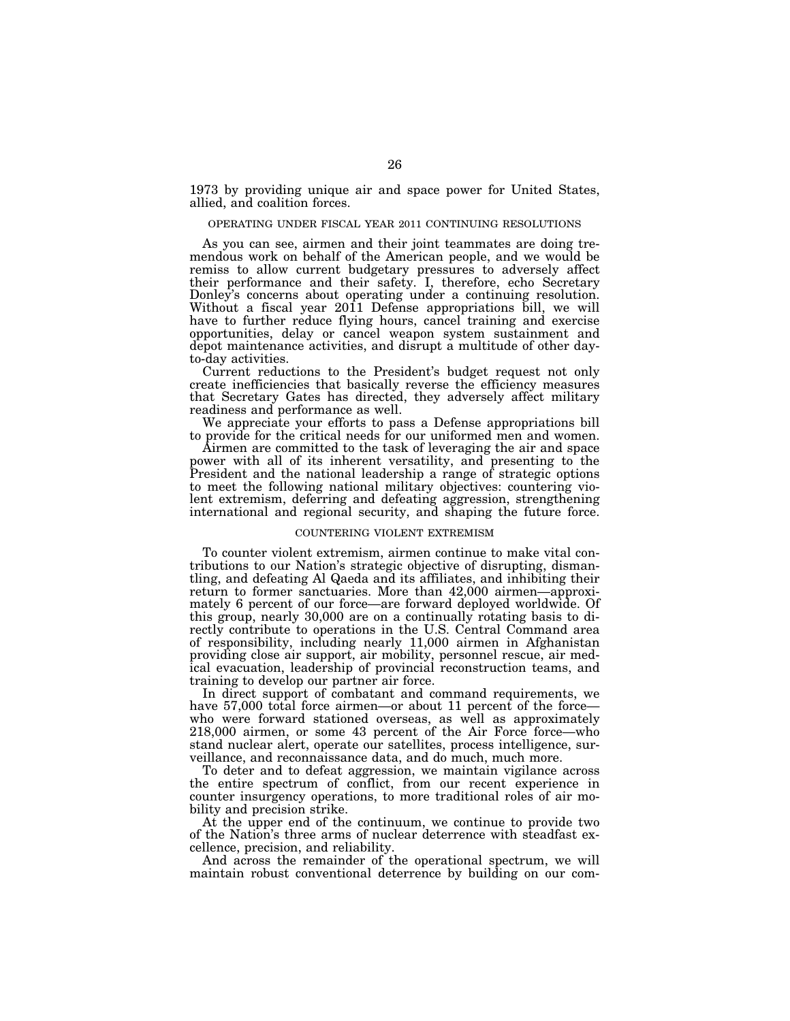1973 by providing unique air and space power for United States, allied, and coalition forces.

## OPERATING UNDER FISCAL YEAR 2011 CONTINUING RESOLUTIONS

As you can see, airmen and their joint teammates are doing tremendous work on behalf of the American people, and we would be remiss to allow current budgetary pressures to adversely affect their performance and their safety. I, therefore, echo Secretary Donley's concerns about operating under a continuing resolution. Without a fiscal year 2011 Defense appropriations bill, we will have to further reduce flying hours, cancel training and exercise opportunities, delay or cancel weapon system sustainment and depot maintenance activities, and disrupt a multitude of other dayto-day activities.

Current reductions to the President's budget request not only create inefficiencies that basically reverse the efficiency measures that Secretary Gates has directed, they adversely affect military readiness and performance as well.

We appreciate your efforts to pass a Defense appropriations bill to provide for the critical needs for our uniformed men and women.

Airmen are committed to the task of leveraging the air and space power with all of its inherent versatility, and presenting to the President and the national leadership a range of strategic options to meet the following national military objectives: countering violent extremism, deferring and defeating aggression, strengthening international and regional security, and shaping the future force.

## COUNTERING VIOLENT EXTREMISM

To counter violent extremism, airmen continue to make vital contributions to our Nation's strategic objective of disrupting, dismantling, and defeating Al Qaeda and its affiliates, and inhibiting their return to former sanctuaries. More than 42,000 airmen—approximately 6 percent of our force—are forward deployed worldwide. Of this group, nearly 30,000 are on a continually rotating basis to directly contribute to operations in the U.S. Central Command area of responsibility, including nearly 11,000 airmen in Afghanistan providing close air support, air mobility, personnel rescue, air medical evacuation, leadership of provincial reconstruction teams, and training to develop our partner air force.

In direct support of combatant and command requirements, we have 57,000 total force airmen—or about 11 percent of the force who were forward stationed overseas, as well as approximately 218,000 airmen, or some 43 percent of the Air Force force—who stand nuclear alert, operate our satellites, process intelligence, surveillance, and reconnaissance data, and do much, much more.

To deter and to defeat aggression, we maintain vigilance across the entire spectrum of conflict, from our recent experience in counter insurgency operations, to more traditional roles of air mobility and precision strike.

At the upper end of the continuum, we continue to provide two of the Nation's three arms of nuclear deterrence with steadfast excellence, precision, and reliability.

And across the remainder of the operational spectrum, we will maintain robust conventional deterrence by building on our com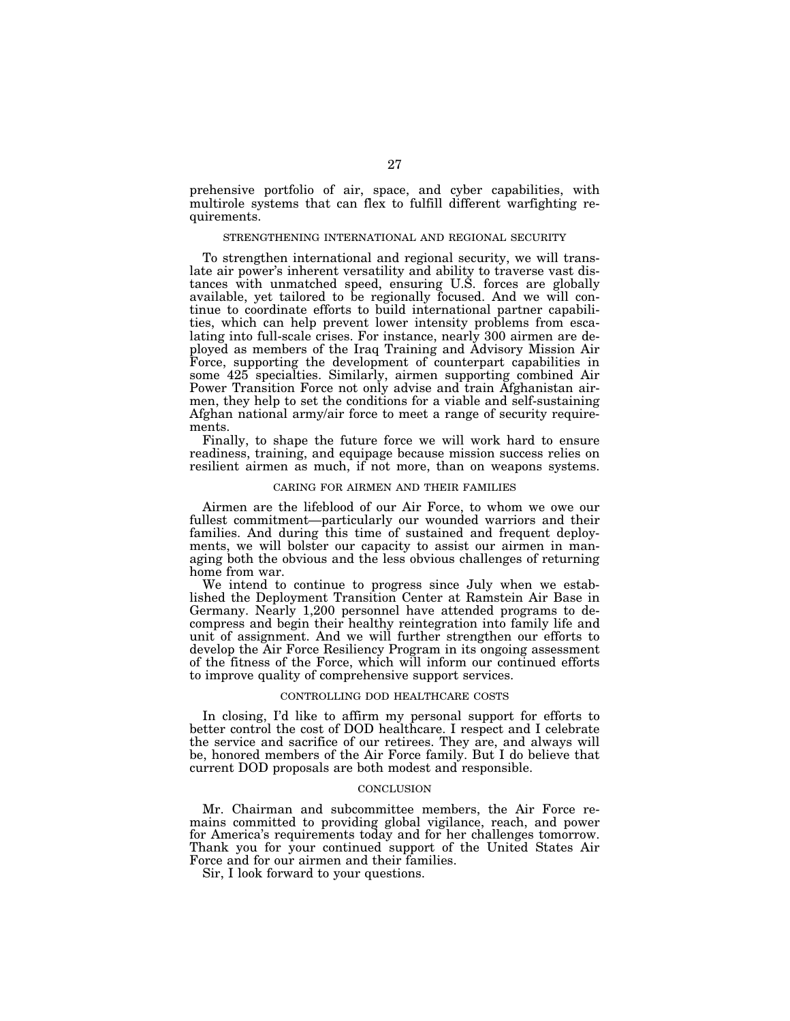prehensive portfolio of air, space, and cyber capabilities, with multirole systems that can flex to fulfill different warfighting requirements.

## STRENGTHENING INTERNATIONAL AND REGIONAL SECURITY

To strengthen international and regional security, we will translate air power's inherent versatility and ability to traverse vast distances with unmatched speed, ensuring U.S. forces are globally available, yet tailored to be regionally focused. And we will continue to coordinate efforts to build international partner capabilities, which can help prevent lower intensity problems from escalating into full-scale crises. For instance, nearly 300 airmen are deployed as members of the Iraq Training and Advisory Mission Air Force, supporting the development of counterpart capabilities in some 425 specialties. Similarly, airmen supporting combined Air Power Transition Force not only advise and train Afghanistan airmen, they help to set the conditions for a viable and self-sustaining Afghan national army/air force to meet a range of security requirements.

Finally, to shape the future force we will work hard to ensure readiness, training, and equipage because mission success relies on resilient airmen as much, if not more, than on weapons systems.

## CARING FOR AIRMEN AND THEIR FAMILIES

Airmen are the lifeblood of our Air Force, to whom we owe our fullest commitment—particularly our wounded warriors and their families. And during this time of sustained and frequent deployments, we will bolster our capacity to assist our airmen in managing both the obvious and the less obvious challenges of returning home from war.

We intend to continue to progress since July when we established the Deployment Transition Center at Ramstein Air Base in Germany. Nearly 1,200 personnel have attended programs to decompress and begin their healthy reintegration into family life and unit of assignment. And we will further strengthen our efforts to develop the Air Force Resiliency Program in its ongoing assessment of the fitness of the Force, which will inform our continued efforts to improve quality of comprehensive support services.

## CONTROLLING DOD HEALTHCARE COSTS

In closing, I'd like to affirm my personal support for efforts to better control the cost of DOD healthcare. I respect and I celebrate the service and sacrifice of our retirees. They are, and always will be, honored members of the Air Force family. But I do believe that current DOD proposals are both modest and responsible.

#### **CONCLUSION**

Mr. Chairman and subcommittee members, the Air Force remains committed to providing global vigilance, reach, and power for America's requirements today and for her challenges tomorrow. Thank you for your continued support of the United States Air Force and for our airmen and their families.

Sir, I look forward to your questions.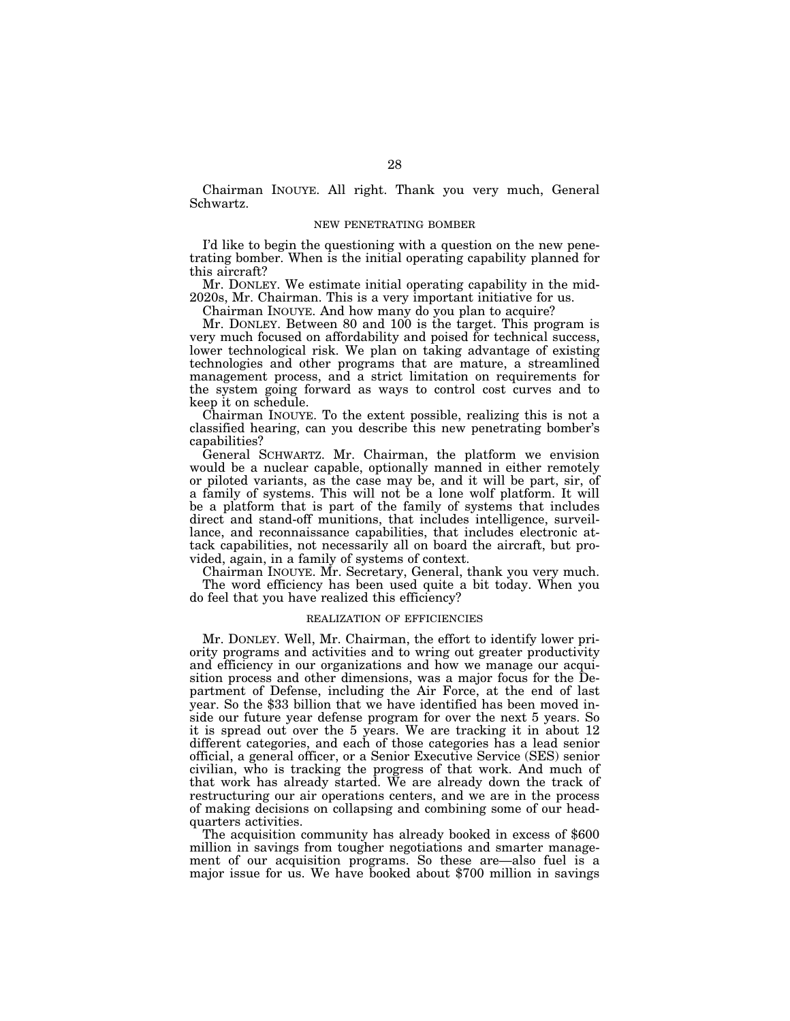Chairman INOUYE. All right. Thank you very much, General Schwartz.

## NEW PENETRATING BOMBER

I'd like to begin the questioning with a question on the new penetrating bomber. When is the initial operating capability planned for this aircraft?

Mr. DONLEY. We estimate initial operating capability in the mid-2020s, Mr. Chairman. This is a very important initiative for us.

Chairman INOUYE. And how many do you plan to acquire?

Mr. DONLEY. Between 80 and 100 is the target. This program is very much focused on affordability and poised for technical success, lower technological risk. We plan on taking advantage of existing technologies and other programs that are mature, a streamlined management process, and a strict limitation on requirements for the system going forward as ways to control cost curves and to keep it on schedule.

Chairman INOUYE. To the extent possible, realizing this is not a classified hearing, can you describe this new penetrating bomber's capabilities?

General SCHWARTZ. Mr. Chairman, the platform we envision would be a nuclear capable, optionally manned in either remotely or piloted variants, as the case may be, and it will be part, sir, of a family of systems. This will not be a lone wolf platform. It will be a platform that is part of the family of systems that includes direct and stand-off munitions, that includes intelligence, surveillance, and reconnaissance capabilities, that includes electronic attack capabilities, not necessarily all on board the aircraft, but provided, again, in a family of systems of context.

Chairman INOUYE. Mr. Secretary, General, thank you very much. The word efficiency has been used quite a bit today. When you do feel that you have realized this efficiency?

#### REALIZATION OF EFFICIENCIES

Mr. DONLEY. Well, Mr. Chairman, the effort to identify lower priority programs and activities and to wring out greater productivity and efficiency in our organizations and how we manage our acquisition process and other dimensions, was a major focus for the Department of Defense, including the Air Force, at the end of last year. So the \$33 billion that we have identified has been moved inside our future year defense program for over the next 5 years. So it is spread out over the 5 years. We are tracking it in about 12 different categories, and each of those categories has a lead senior official, a general officer, or a Senior Executive Service (SES) senior civilian, who is tracking the progress of that work. And much of that work has already started. We are already down the track of restructuring our air operations centers, and we are in the process of making decisions on collapsing and combining some of our headquarters activities.

The acquisition community has already booked in excess of \$600 million in savings from tougher negotiations and smarter management of our acquisition programs. So these are—also fuel is a major issue for us. We have booked about \$700 million in savings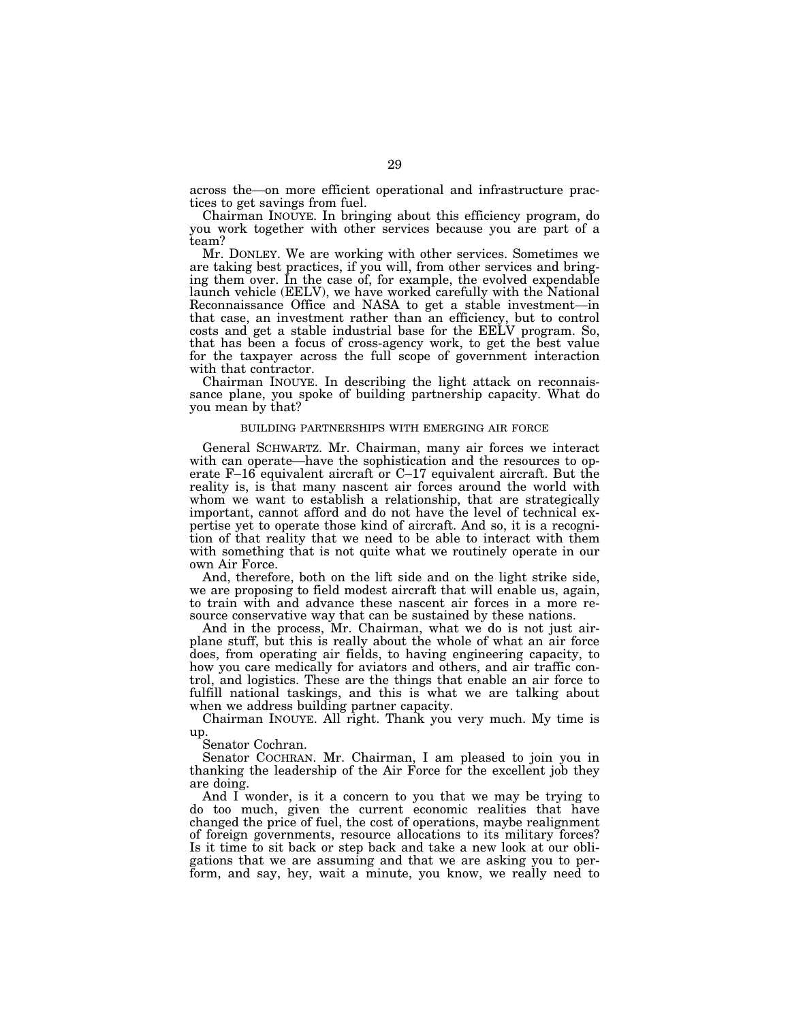across the—on more efficient operational and infrastructure practices to get savings from fuel.

Chairman INOUYE. In bringing about this efficiency program, do you work together with other services because you are part of a team?

Mr. DONLEY. We are working with other services. Sometimes we are taking best practices, if you will, from other services and bringing them over. In the case of, for example, the evolved expendable launch vehicle (EELV), we have worked carefully with the National Reconnaissance Office and NASA to get a stable investment—in that case, an investment rather than an efficiency, but to control costs and get a stable industrial base for the EELV program. So, that has been a focus of cross-agency work, to get the best value for the taxpayer across the full scope of government interaction with that contractor.

Chairman INOUYE. In describing the light attack on reconnaissance plane, you spoke of building partnership capacity. What do you mean by that?

## BUILDING PARTNERSHIPS WITH EMERGING AIR FORCE

General SCHWARTZ. Mr. Chairman, many air forces we interact with can operate—have the sophistication and the resources to operate F–16 equivalent aircraft or C–17 equivalent aircraft. But the reality is, is that many nascent air forces around the world with whom we want to establish a relationship, that are strategically important, cannot afford and do not have the level of technical expertise yet to operate those kind of aircraft. And so, it is a recognition of that reality that we need to be able to interact with them with something that is not quite what we routinely operate in our own Air Force.

And, therefore, both on the lift side and on the light strike side, we are proposing to field modest aircraft that will enable us, again, to train with and advance these nascent air forces in a more resource conservative way that can be sustained by these nations.

And in the process, Mr. Chairman, what we do is not just airplane stuff, but this is really about the whole of what an air force does, from operating air fields, to having engineering capacity, to how you care medically for aviators and others, and air traffic control, and logistics. These are the things that enable an air force to fulfill national taskings, and this is what we are talking about when we address building partner capacity.

Chairman INOUYE. All right. Thank you very much. My time is up.

Senator Cochran.

Senator COCHRAN. Mr. Chairman, I am pleased to join you in thanking the leadership of the Air Force for the excellent job they are doing.

And I wonder, is it a concern to you that we may be trying to do too much, given the current economic realities that have changed the price of fuel, the cost of operations, maybe realignment of foreign governments, resource allocations to its military forces? Is it time to sit back or step back and take a new look at our obligations that we are assuming and that we are asking you to perform, and say, hey, wait a minute, you know, we really need to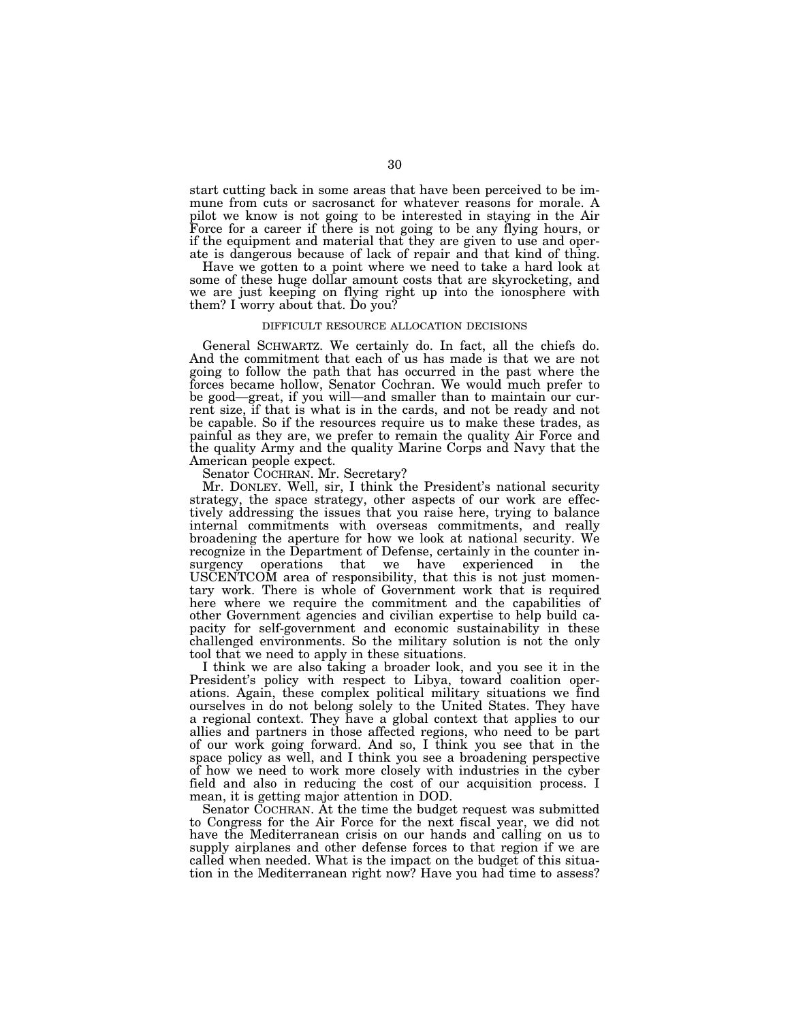start cutting back in some areas that have been perceived to be immune from cuts or sacrosanct for whatever reasons for morale. A pilot we know is not going to be interested in staying in the Air Force for a career if there is not going to be any flying hours, or if the equipment and material that they are given to use and operate is dangerous because of lack of repair and that kind of thing.

Have we gotten to a point where we need to take a hard look at some of these huge dollar amount costs that are skyrocketing, and we are just keeping on flying right up into the ionosphere with them? I worry about that. Do you?

## DIFFICULT RESOURCE ALLOCATION DECISIONS

General SCHWARTZ. We certainly do. In fact, all the chiefs do. And the commitment that each of us has made is that we are not going to follow the path that has occurred in the past where the forces became hollow, Senator Cochran. We would much prefer to be good—great, if you will—and smaller than to maintain our current size, if that is what is in the cards, and not be ready and not be capable. So if the resources require us to make these trades, as painful as they are, we prefer to remain the quality Air Force and the quality Army and the quality Marine Corps and Navy that the American people expect.

Senator COCHRAN. Mr. Secretary?

Mr. DONLEY. Well, sir, I think the President's national security strategy, the space strategy, other aspects of our work are effectively addressing the issues that you raise here, trying to balance internal commitments with overseas commitments, and really broadening the aperture for how we look at national security. We recognize in the Department of Defense, certainly in the counter insurgency operations that we have experienced in the USCENTCOM area of responsibility, that this is not just momentary work. There is whole of Government work that is required here where we require the commitment and the capabilities of other Government agencies and civilian expertise to help build capacity for self-government and economic sustainability in these challenged environments. So the military solution is not the only tool that we need to apply in these situations.

I think we are also taking a broader look, and you see it in the President's policy with respect to Libya, toward coalition operations. Again, these complex political military situations we find ourselves in do not belong solely to the United States. They have a regional context. They have a global context that applies to our allies and partners in those affected regions, who need to be part of our work going forward. And so, I think you see that in the space policy as well, and I think you see a broadening perspective of how we need to work more closely with industries in the cyber field and also in reducing the cost of our acquisition process. I mean, it is getting major attention in DOD.

Senator COCHRAN. At the time the budget request was submitted to Congress for the Air Force for the next fiscal year, we did not have the Mediterranean crisis on our hands and calling on us to supply airplanes and other defense forces to that region if we are called when needed. What is the impact on the budget of this situation in the Mediterranean right now? Have you had time to assess?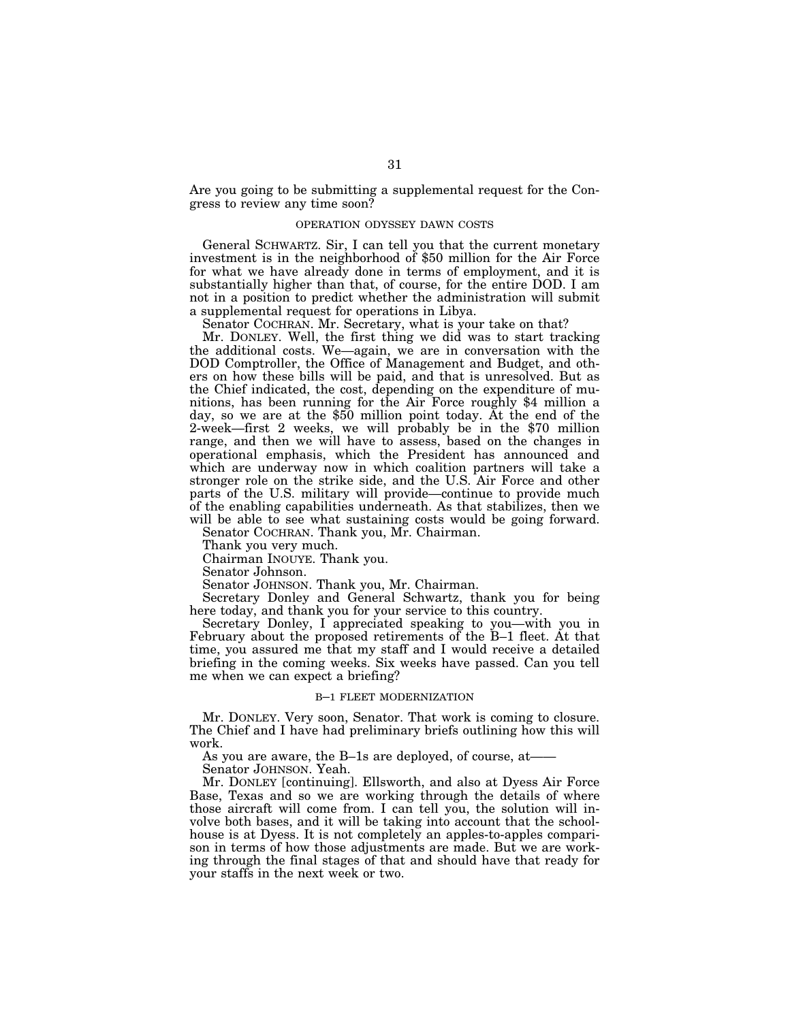Are you going to be submitting a supplemental request for the Congress to review any time soon?

## OPERATION ODYSSEY DAWN COSTS

General SCHWARTZ. Sir, I can tell you that the current monetary investment is in the neighborhood of \$50 million for the Air Force for what we have already done in terms of employment, and it is substantially higher than that, of course, for the entire DOD. I am not in a position to predict whether the administration will submit a supplemental request for operations in Libya.

Senator COCHRAN. Mr. Secretary, what is your take on that?

Mr. DONLEY. Well, the first thing we did was to start tracking the additional costs. We—again, we are in conversation with the DOD Comptroller, the Office of Management and Budget, and others on how these bills will be paid, and that is unresolved. But as the Chief indicated, the cost, depending on the expenditure of munitions, has been running for the Air Force roughly \$4 million a day, so we are at the \$50 million point today. At the end of the 2-week—first 2 weeks, we will probably be in the \$70 million range, and then we will have to assess, based on the changes in operational emphasis, which the President has announced and which are underway now in which coalition partners will take a stronger role on the strike side, and the U.S. Air Force and other parts of the U.S. military will provide—continue to provide much of the enabling capabilities underneath. As that stabilizes, then we will be able to see what sustaining costs would be going forward.

Senator COCHRAN. Thank you, Mr. Chairman.

Thank you very much.

Chairman INOUYE. Thank you.

Senator Johnson.

Senator JOHNSON. Thank you, Mr. Chairman.

Secretary Donley and General Schwartz, thank you for being here today, and thank you for your service to this country.

Secretary Donley, I appreciated speaking to you—with you in February about the proposed retirements of the B–1 fleet. At that time, you assured me that my staff and I would receive a detailed briefing in the coming weeks. Six weeks have passed. Can you tell me when we can expect a briefing?

## B–1 FLEET MODERNIZATION

Mr. DONLEY. Very soon, Senator. That work is coming to closure. The Chief and I have had preliminary briefs outlining how this will work.

As you are aware, the B–1s are deployed, of course, at——

Senator JOHNSON. Yeah.

Mr. DONLEY [continuing]. Ellsworth, and also at Dyess Air Force Base, Texas and so we are working through the details of where those aircraft will come from. I can tell you, the solution will involve both bases, and it will be taking into account that the schoolhouse is at Dyess. It is not completely an apples-to-apples comparison in terms of how those adjustments are made. But we are working through the final stages of that and should have that ready for your staffs in the next week or two.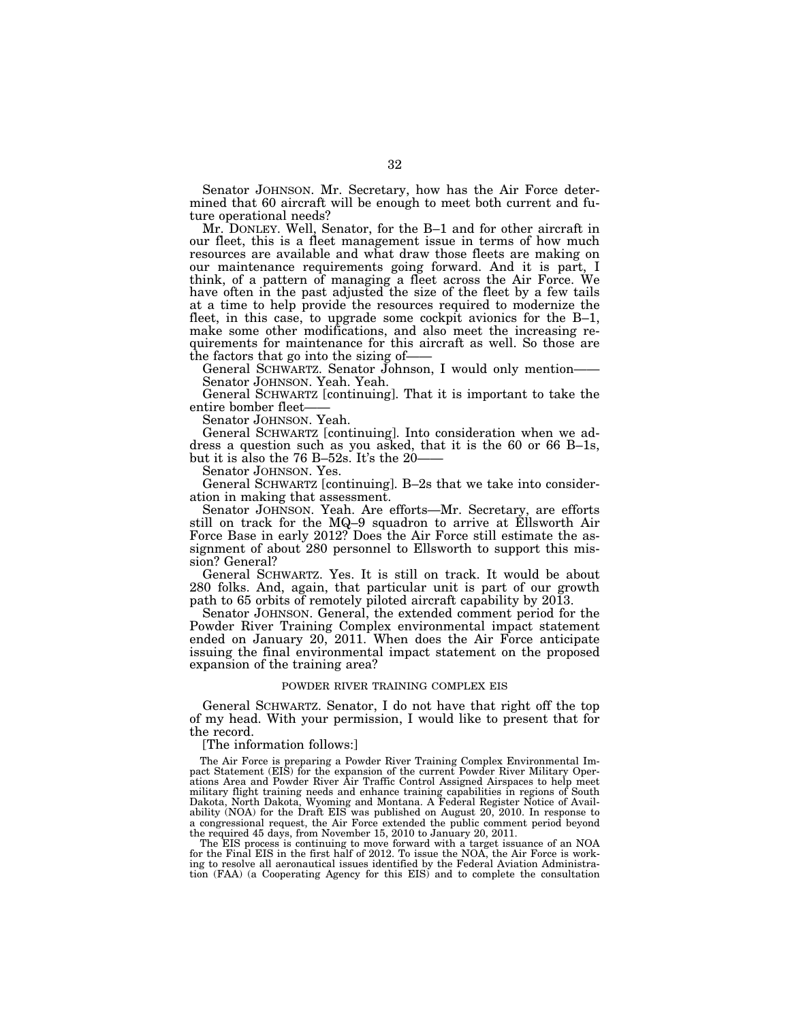Senator JOHNSON. Mr. Secretary, how has the Air Force determined that 60 aircraft will be enough to meet both current and future operational needs?

Mr. DONLEY. Well, Senator, for the B–1 and for other aircraft in our fleet, this is a fleet management issue in terms of how much resources are available and what draw those fleets are making on our maintenance requirements going forward. And it is part, I think, of a pattern of managing a fleet across the Air Force. We have often in the past adjusted the size of the fleet by a few tails at a time to help provide the resources required to modernize the fleet, in this case, to upgrade some cockpit avionics for the B–1, make some other modifications, and also meet the increasing requirements for maintenance for this aircraft as well. So those are the factors that go into the sizing of-

General SCHWARTZ. Senator Johnson, I would only mention—— Senator JOHNSON. Yeah. Yeah.

General SCHWARTZ [continuing]. That it is important to take the entire bomber fleet——

Senator JOHNSON. Yeah.

General SCHWARTZ [continuing]. Into consideration when we address a question such as you asked, that it is the 60 or 66 B–1s, but it is also the 76 B–52s. It's the 20–

Senator JOHNSON. Yes.

General SCHWARTZ [continuing]. B–2s that we take into consideration in making that assessment.

Senator JOHNSON. Yeah. Are efforts—Mr. Secretary, are efforts still on track for the MQ–9 squadron to arrive at Ellsworth Air Force Base in early 2012? Does the Air Force still estimate the assignment of about 280 personnel to Ellsworth to support this mission? General?

General SCHWARTZ. Yes. It is still on track. It would be about 280 folks. And, again, that particular unit is part of our growth path to 65 orbits of remotely piloted aircraft capability by 2013.

Senator JOHNSON. General, the extended comment period for the Powder River Training Complex environmental impact statement ended on January 20, 2011. When does the Air Force anticipate issuing the final environmental impact statement on the proposed expansion of the training area?

## POWDER RIVER TRAINING COMPLEX EIS

General SCHWARTZ. Senator, I do not have that right off the top of my head. With your permission, I would like to present that for the record.

[The information follows:]

The Air Force is preparing a Powder River Training Complex Environmental Impact Statement (EIS) for the expansion of the current Powder River Military Operations Area and Powder River Air Traffic Control Assigned Airspaces to help meet military flight training needs and enhance training capabilities in regions of South Dakota, North Dakota, Wyoming and Montana. A Federal Register Notice of Availability (NOA) for the Draft EIS was published on August 20, 2010. In response to a congressional request, the Air Force extended the public comment period beyond the required 45 days, from November 15, 2010 to January 20, 2011.

The EIS process is continuing to move forward with a target issuance of an NOA for the Final EIS in the first half of 2012. To issue the NOA, the Air Force is working to resolve all aeronautical issues identified by the Federal Aviation Administration (FAA) (a Cooperating Agency for this EIS) and to complete the consultation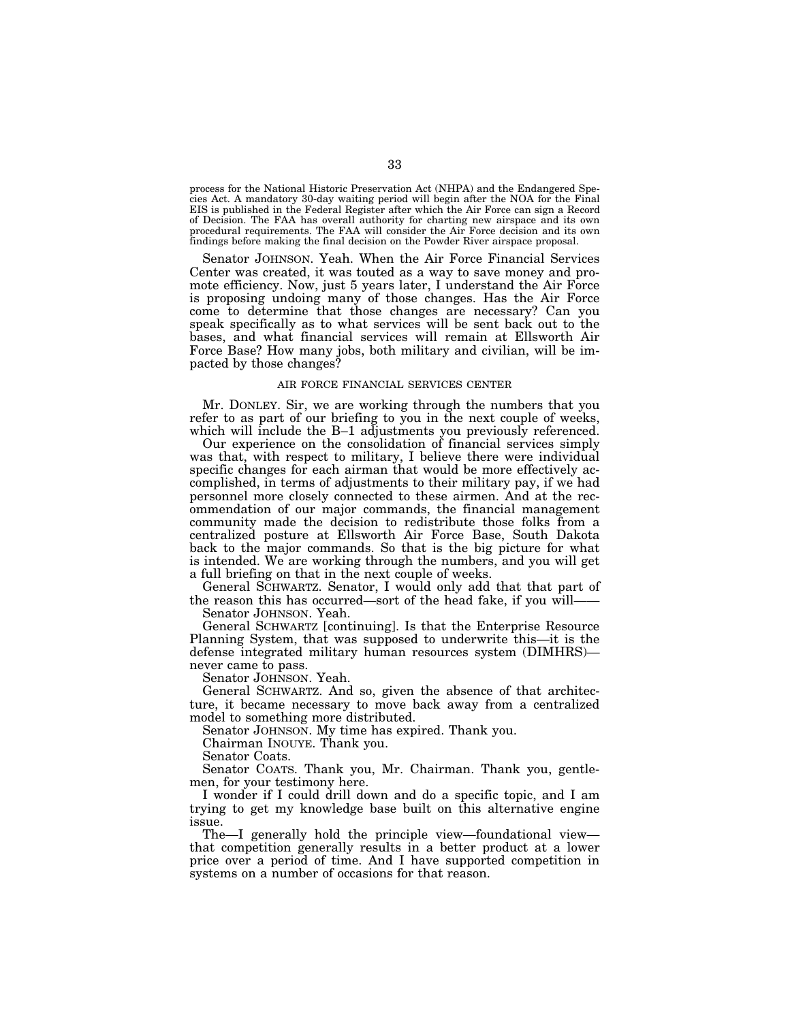process for the National Historic Preservation Act (NHPA) and the Endangered Species Act. A mandatory 30-day waiting period will begin after the NOA for the Final EIS is published in the Federal Register after which the Air Force can sign a Record of Decision. The FAA has overall authority for charting new airspace and its own procedural requirements. The FAA will consider the Air Force decision and its own findings before making the final decision on the Powder River airspace proposal.

Senator JOHNSON. Yeah. When the Air Force Financial Services Center was created, it was touted as a way to save money and promote efficiency. Now, just 5 years later, I understand the Air Force is proposing undoing many of those changes. Has the Air Force come to determine that those changes are necessary? Can you speak specifically as to what services will be sent back out to the bases, and what financial services will remain at Ellsworth Air Force Base? How many jobs, both military and civilian, will be impacted by those changes?

## AIR FORCE FINANCIAL SERVICES CENTER

Mr. DONLEY. Sir, we are working through the numbers that you refer to as part of our briefing to you in the next couple of weeks, which will include the B–1 adjustments you previously referenced.

Our experience on the consolidation of financial services simply was that, with respect to military, I believe there were individual specific changes for each airman that would be more effectively accomplished, in terms of adjustments to their military pay, if we had personnel more closely connected to these airmen. And at the recommendation of our major commands, the financial management community made the decision to redistribute those folks from a centralized posture at Ellsworth Air Force Base, South Dakota back to the major commands. So that is the big picture for what is intended. We are working through the numbers, and you will get a full briefing on that in the next couple of weeks.

General SCHWARTZ. Senator, I would only add that that part of the reason this has occurred—sort of the head fake, if you will——

Senator JOHNSON. Yeah.

General SCHWARTZ [continuing]. Is that the Enterprise Resource Planning System, that was supposed to underwrite this—it is the defense integrated military human resources system (DIMHRS) never came to pass.

Senator JOHNSON. Yeah.

General SCHWARTZ. And so, given the absence of that architecture, it became necessary to move back away from a centralized model to something more distributed.

Senator JOHNSON. My time has expired. Thank you.

Chairman INOUYE. Thank you.

Senator Coats.

Senator COATS. Thank you, Mr. Chairman. Thank you, gentlemen, for your testimony here.

I wonder if I could drill down and do a specific topic, and I am trying to get my knowledge base built on this alternative engine issue.

The—I generally hold the principle view—foundational view that competition generally results in a better product at a lower price over a period of time. And I have supported competition in systems on a number of occasions for that reason.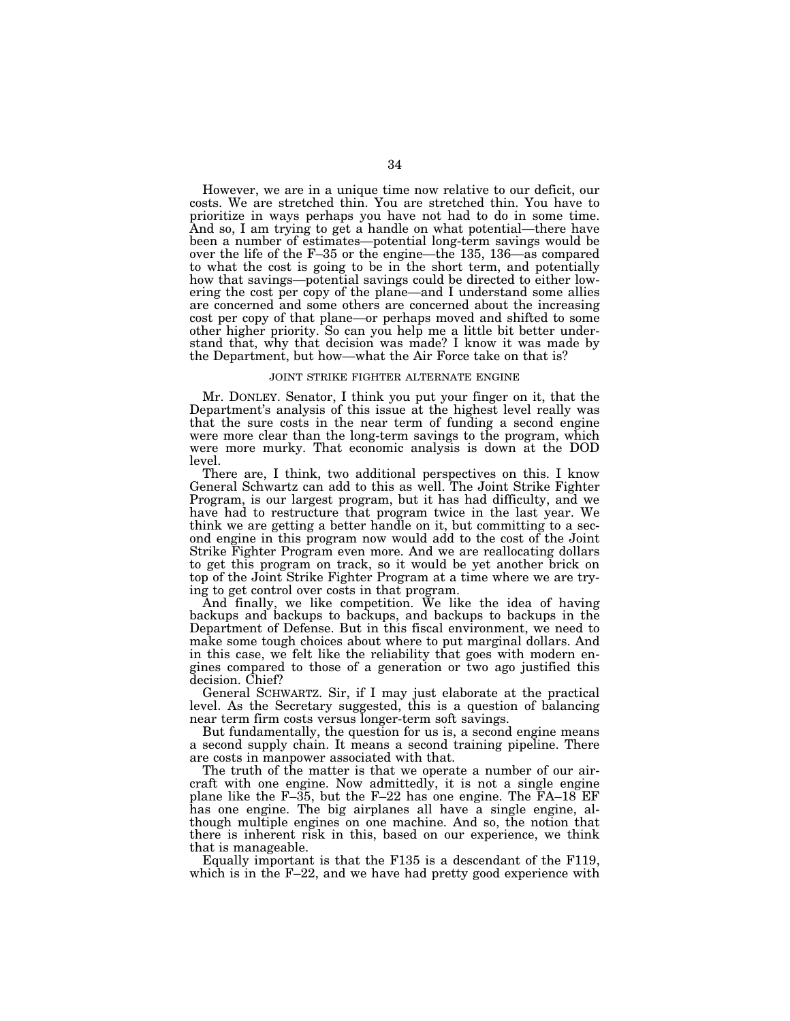However, we are in a unique time now relative to our deficit, our costs. We are stretched thin. You are stretched thin. You have to prioritize in ways perhaps you have not had to do in some time. And so, I am trying to get a handle on what potential—there have been a number of estimates—potential long-term savings would be over the life of the F–35 or the engine—the 135, 136—as compared to what the cost is going to be in the short term, and potentially how that savings—potential savings could be directed to either lowering the cost per copy of the plane—and I understand some allies are concerned and some others are concerned about the increasing cost per copy of that plane—or perhaps moved and shifted to some other higher priority. So can you help me a little bit better understand that, why that decision was made? I know it was made by the Department, but how—what the Air Force take on that is?

## JOINT STRIKE FIGHTER ALTERNATE ENGINE

Mr. DONLEY. Senator, I think you put your finger on it, that the Department's analysis of this issue at the highest level really was that the sure costs in the near term of funding a second engine were more clear than the long-term savings to the program, which were more murky. That economic analysis is down at the DOD level.

There are, I think, two additional perspectives on this. I know General Schwartz can add to this as well. The Joint Strike Fighter Program, is our largest program, but it has had difficulty, and we have had to restructure that program twice in the last year. We think we are getting a better handle on it, but committing to a second engine in this program now would add to the cost of the Joint Strike Fighter Program even more. And we are reallocating dollars to get this program on track, so it would be yet another brick on top of the Joint Strike Fighter Program at a time where we are trying to get control over costs in that program.

And finally, we like competition. We like the idea of having backups and backups to backups, and backups to backups in the Department of Defense. But in this fiscal environment, we need to make some tough choices about where to put marginal dollars. And in this case, we felt like the reliability that goes with modern engines compared to those of a generation or two ago justified this decision. Chief?

General SCHWARTZ. Sir, if I may just elaborate at the practical level. As the Secretary suggested, this is a question of balancing near term firm costs versus longer-term soft savings.

But fundamentally, the question for us is, a second engine means a second supply chain. It means a second training pipeline. There are costs in manpower associated with that.

The truth of the matter is that we operate a number of our aircraft with one engine. Now admittedly, it is not a single engine plane like the F–35, but the F–22 has one engine. The FA–18 EF has one engine. The big airplanes all have a single engine, although multiple engines on one machine. And so, the notion that there is inherent risk in this, based on our experience, we think that is manageable.

Equally important is that the F135 is a descendant of the F119, which is in the F–22, and we have had pretty good experience with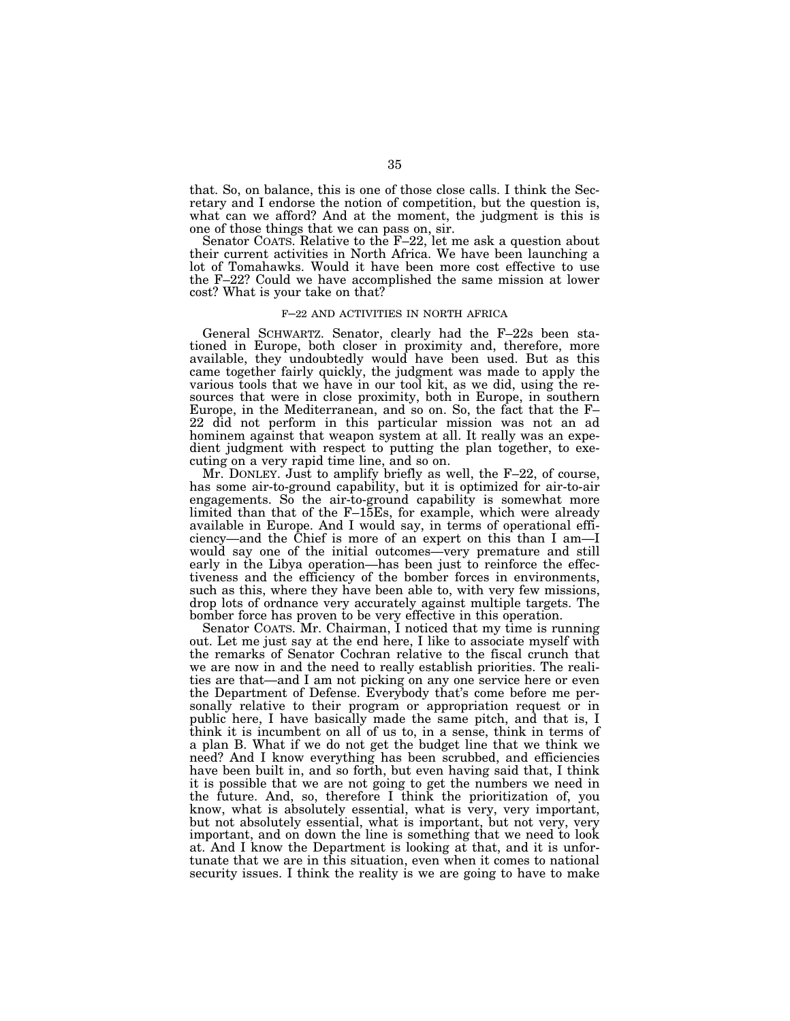that. So, on balance, this is one of those close calls. I think the Secretary and I endorse the notion of competition, but the question is, what can we afford? And at the moment, the judgment is this is one of those things that we can pass on, sir.

Senator COATS. Relative to the F–22, let me ask a question about their current activities in North Africa. We have been launching a lot of Tomahawks. Would it have been more cost effective to use the F–22? Could we have accomplished the same mission at lower cost? What is your take on that?

## F–22 AND ACTIVITIES IN NORTH AFRICA

General SCHWARTZ. Senator, clearly had the F–22s been stationed in Europe, both closer in proximity and, therefore, more available, they undoubtedly would have been used. But as this came together fairly quickly, the judgment was made to apply the various tools that we have in our tool kit, as we did, using the resources that were in close proximity, both in Europe, in southern Europe, in the Mediterranean, and so on. So, the fact that the F– 22 did not perform in this particular mission was not an ad hominem against that weapon system at all. It really was an expedient judgment with respect to putting the plan together, to executing on a very rapid time line, and so on.

Mr. DONLEY. Just to amplify briefly as well, the F–22, of course, has some air-to-ground capability, but it is optimized for air-to-air engagements. So the air-to-ground capability is somewhat more limited than that of the F–15Es, for example, which were already available in Europe. And I would say, in terms of operational efficiency—and the Chief is more of an expert on this than I am—I would say one of the initial outcomes—very premature and still early in the Libya operation—has been just to reinforce the effectiveness and the efficiency of the bomber forces in environments, such as this, where they have been able to, with very few missions, drop lots of ordnance very accurately against multiple targets. The bomber force has proven to be very effective in this operation.

Senator COATS. Mr. Chairman, I noticed that my time is running out. Let me just say at the end here, I like to associate myself with the remarks of Senator Cochran relative to the fiscal crunch that we are now in and the need to really establish priorities. The realities are that—and I am not picking on any one service here or even the Department of Defense. Everybody that's come before me personally relative to their program or appropriation request or in public here, I have basically made the same pitch, and that is, I think it is incumbent on all of us to, in a sense, think in terms of a plan B. What if we do not get the budget line that we think we need? And I know everything has been scrubbed, and efficiencies have been built in, and so forth, but even having said that, I think it is possible that we are not going to get the numbers we need in the future. And, so, therefore I think the prioritization of, you know, what is absolutely essential, what is very, very important, but not absolutely essential, what is important, but not very, very important, and on down the line is something that we need to look at. And I know the Department is looking at that, and it is unfortunate that we are in this situation, even when it comes to national security issues. I think the reality is we are going to have to make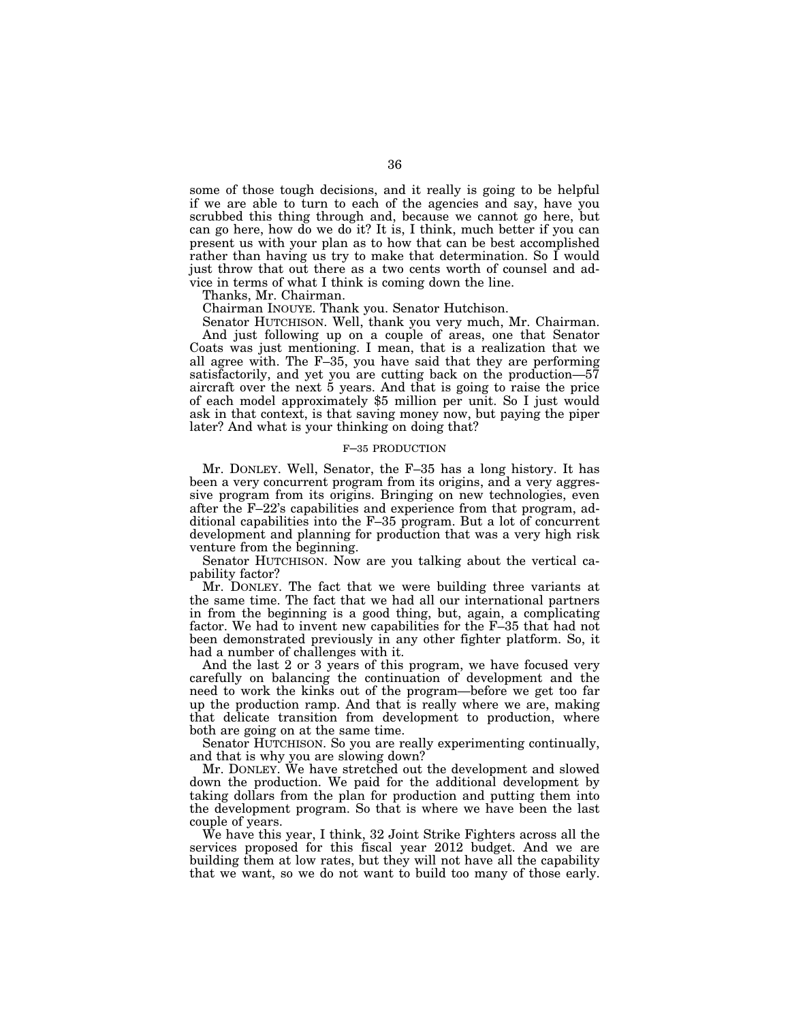some of those tough decisions, and it really is going to be helpful if we are able to turn to each of the agencies and say, have you scrubbed this thing through and, because we cannot go here, but can go here, how do we do it? It is, I think, much better if you can present us with your plan as to how that can be best accomplished rather than having us try to make that determination. So I would just throw that out there as a two cents worth of counsel and advice in terms of what I think is coming down the line.

Thanks, Mr. Chairman.

Chairman INOUYE. Thank you. Senator Hutchison.

Senator HUTCHISON. Well, thank you very much, Mr. Chairman. And just following up on a couple of areas, one that Senator Coats was just mentioning. I mean, that is a realization that we all agree with. The F–35, you have said that they are performing satisfactorily, and yet you are cutting back on the production—57 aircraft over the next 5 years. And that is going to raise the price of each model approximately \$5 million per unit. So I just would ask in that context, is that saving money now, but paying the piper later? And what is your thinking on doing that?

## F–35 PRODUCTION

Mr. DONLEY. Well, Senator, the F–35 has a long history. It has been a very concurrent program from its origins, and a very aggressive program from its origins. Bringing on new technologies, even after the F–22's capabilities and experience from that program, additional capabilities into the F–35 program. But a lot of concurrent development and planning for production that was a very high risk venture from the beginning.

Senator HUTCHISON. Now are you talking about the vertical capability factor?

Mr. DONLEY. The fact that we were building three variants at the same time. The fact that we had all our international partners in from the beginning is a good thing, but, again, a complicating factor. We had to invent new capabilities for the F–35 that had not been demonstrated previously in any other fighter platform. So, it had a number of challenges with it.

And the last 2 or 3 years of this program, we have focused very carefully on balancing the continuation of development and the need to work the kinks out of the program—before we get too far up the production ramp. And that is really where we are, making that delicate transition from development to production, where both are going on at the same time.

Senator HUTCHISON. So you are really experimenting continually, and that is why you are slowing down?

Mr. DONLEY. We have stretched out the development and slowed down the production. We paid for the additional development by taking dollars from the plan for production and putting them into the development program. So that is where we have been the last couple of years.

We have this year, I think, 32 Joint Strike Fighters across all the services proposed for this fiscal year 2012 budget. And we are building them at low rates, but they will not have all the capability that we want, so we do not want to build too many of those early.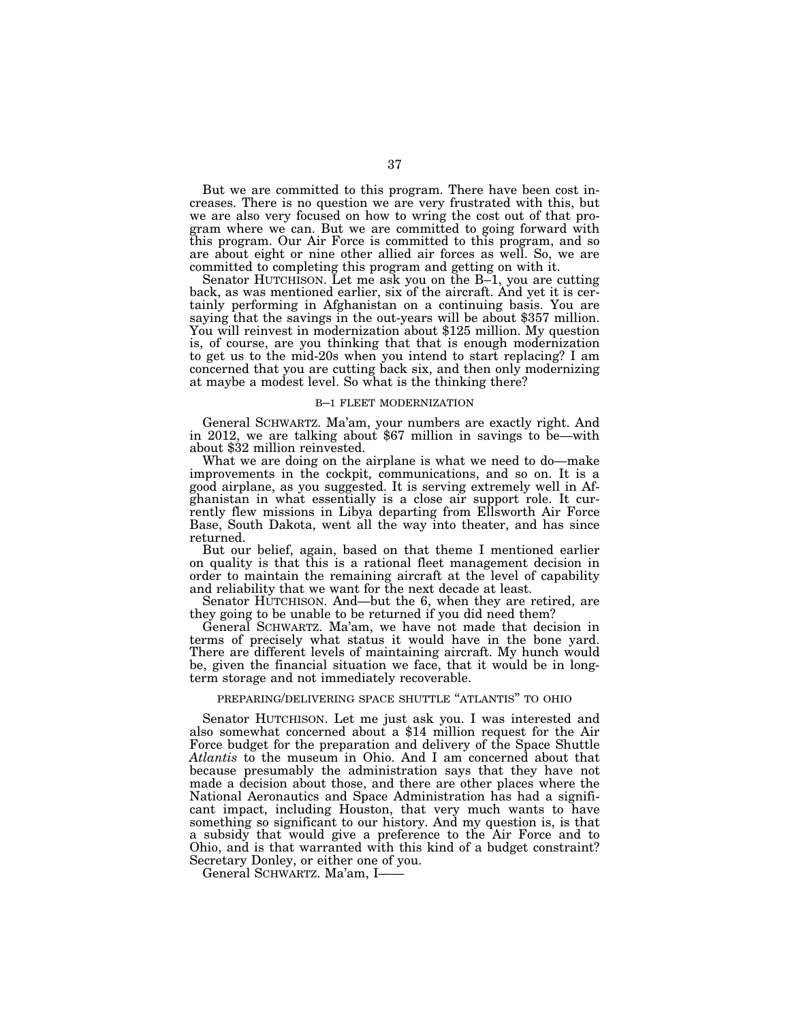But we are committed to this program. There have been cost increases. There is no question we are very frustrated with this, but we are also very focused on how to wring the cost out of that program where we can. But we are committed to going forward with this program. Our Air Force is committed to this program, and so are about eight or nine other allied air forces as well. So, we are committed to completing this program and getting on with it.

Senator HUTCHISON. Let me ask you on the B–1, you are cutting back, as was mentioned earlier, six of the aircraft. And yet it is certainly performing in Afghanistan on a continuing basis. You are saying that the savings in the out-years will be about \$357 million. You will reinvest in modernization about \$125 million. My question is, of course, are you thinking that that is enough modernization to get us to the mid-20s when you intend to start replacing? I am concerned that you are cutting back six, and then only modernizing at maybe a modest level. So what is the thinking there?

## B–1 FLEET MODERNIZATION

General SCHWARTZ. Ma'am, your numbers are exactly right. And in 2012, we are talking about \$67 million in savings to be—with about \$32 million reinvested.

What we are doing on the airplane is what we need to do—make improvements in the cockpit, communications, and so on. It is a good airplane, as you suggested. It is serving extremely well in Afghanistan in what essentially is a close air support role. It currently flew missions in Libya departing from Ellsworth Air Force Base, South Dakota, went all the way into theater, and has since returned.

But our belief, again, based on that theme I mentioned earlier on quality is that this is a rational fleet management decision in order to maintain the remaining aircraft at the level of capability and reliability that we want for the next decade at least.

Senator HUTCHISON. And—but the 6, when they are retired, are they going to be unable to be returned if you did need them?

General SCHWARTZ. Ma'am, we have not made that decision in terms of precisely what status it would have in the bone yard. There are different levels of maintaining aircraft. My hunch would be, given the financial situation we face, that it would be in longterm storage and not immediately recoverable.

## PREPARING/DELIVERING SPACE SHUTTLE ''ATLANTIS'' TO OHIO

Senator HUTCHISON. Let me just ask you. I was interested and also somewhat concerned about a \$14 million request for the Air Force budget for the preparation and delivery of the Space Shuttle *Atlantis* to the museum in Ohio. And I am concerned about that because presumably the administration says that they have not made a decision about those, and there are other places where the National Aeronautics and Space Administration has had a significant impact, including Houston, that very much wants to have something so significant to our history. And my question is, is that a subsidy that would give a preference to the Air Force and to Ohio, and is that warranted with this kind of a budget constraint? Secretary Donley, or either one of you.

General SCHWARTZ. Ma'am, I——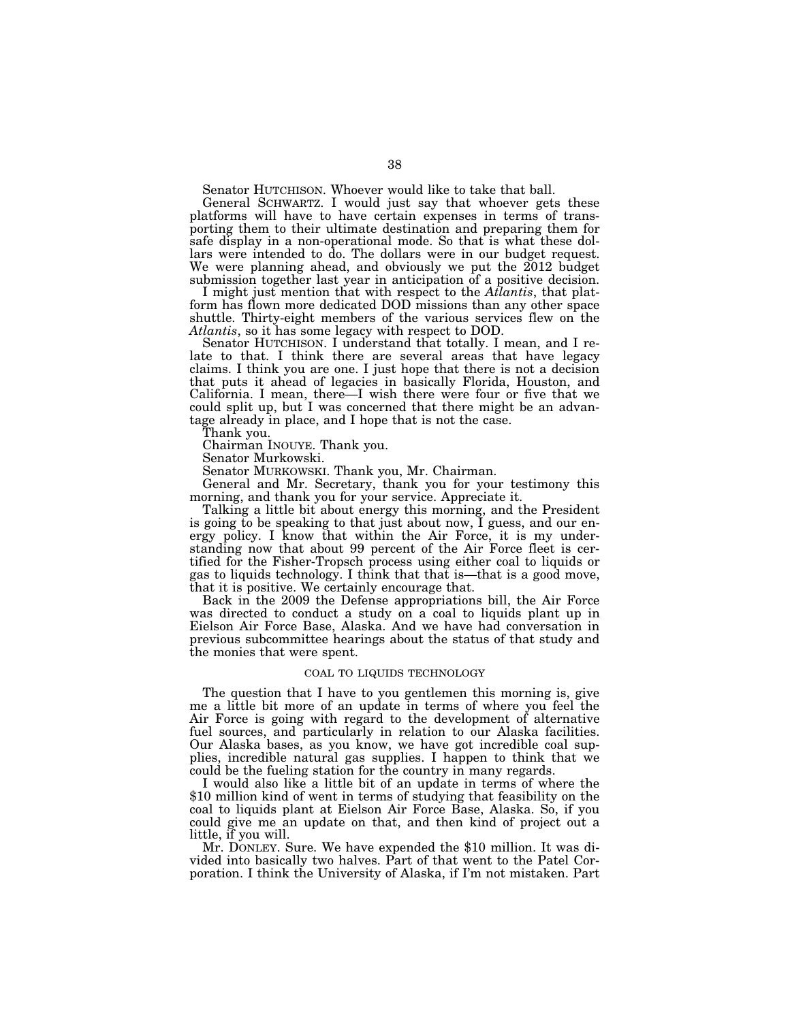Senator HUTCHISON. Whoever would like to take that ball.

General SCHWARTZ. I would just say that whoever gets these platforms will have to have certain expenses in terms of transporting them to their ultimate destination and preparing them for safe display in a non-operational mode. So that is what these dollars were intended to do. The dollars were in our budget request. We were planning ahead, and obviously we put the 2012 budget submission together last year in anticipation of a positive decision.

I might just mention that with respect to the *Atlantis*, that platform has flown more dedicated DOD missions than any other space shuttle. Thirty-eight members of the various services flew on the *Atlantis*, so it has some legacy with respect to DOD.

Senator HUTCHISON. I understand that totally. I mean, and I relate to that. I think there are several areas that have legacy claims. I think you are one. I just hope that there is not a decision that puts it ahead of legacies in basically Florida, Houston, and California. I mean, there—I wish there were four or five that we could split up, but I was concerned that there might be an advantage already in place, and I hope that is not the case.

Thank you.

Chairman INOUYE. Thank you.

Senator Murkowski.

Senator MURKOWSKI. Thank you, Mr. Chairman.

General and Mr. Secretary, thank you for your testimony this morning, and thank you for your service. Appreciate it.

Talking a little bit about energy this morning, and the President is going to be speaking to that just about now,  $\overline{I}$  guess, and our energy policy. I know that within the Air Force, it is my understanding now that about 99 percent of the Air Force fleet is certified for the Fisher-Tropsch process using either coal to liquids or gas to liquids technology. I think that that is—that is a good move, that it is positive. We certainly encourage that.

Back in the 2009 the Defense appropriations bill, the Air Force was directed to conduct a study on a coal to liquids plant up in Eielson Air Force Base, Alaska. And we have had conversation in previous subcommittee hearings about the status of that study and the monies that were spent.

## COAL TO LIQUIDS TECHNOLOGY

The question that I have to you gentlemen this morning is, give me a little bit more of an update in terms of where you feel the Air Force is going with regard to the development of alternative fuel sources, and particularly in relation to our Alaska facilities. Our Alaska bases, as you know, we have got incredible coal supplies, incredible natural gas supplies. I happen to think that we could be the fueling station for the country in many regards.

I would also like a little bit of an update in terms of where the \$10 million kind of went in terms of studying that feasibility on the coal to liquids plant at Eielson Air Force Base, Alaska. So, if you could give me an update on that, and then kind of project out a little, if you will.

Mr. DONLEY. Sure. We have expended the \$10 million. It was divided into basically two halves. Part of that went to the Patel Corporation. I think the University of Alaska, if I'm not mistaken. Part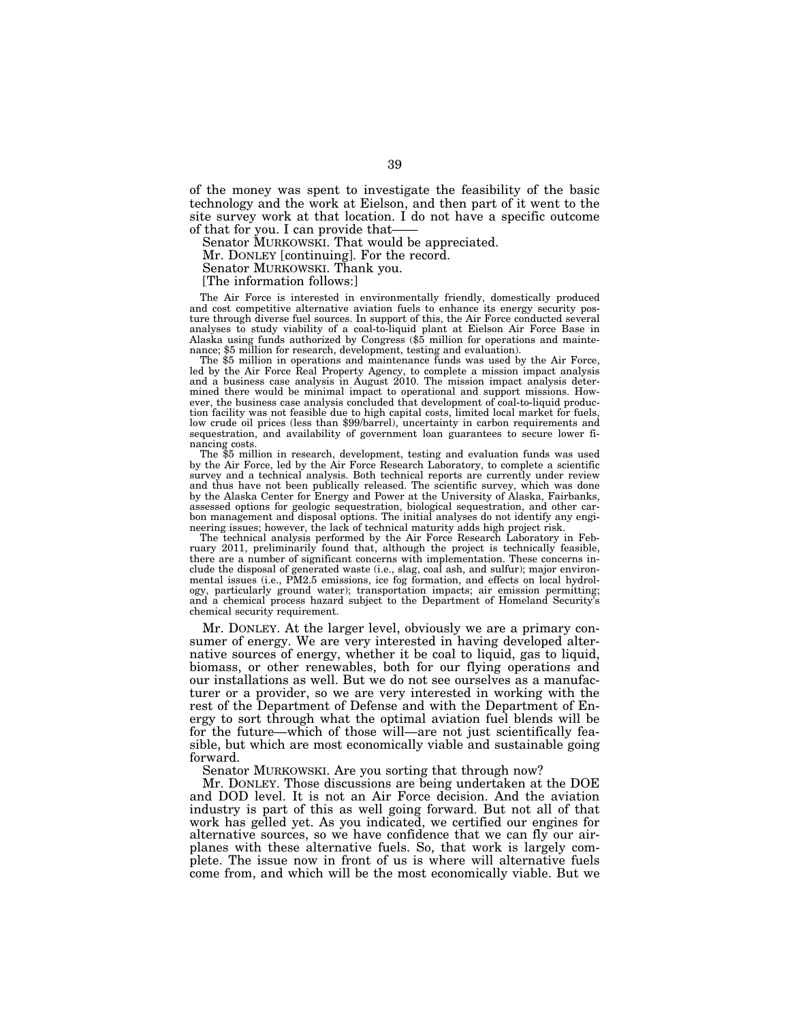of the money was spent to investigate the feasibility of the basic technology and the work at Eielson, and then part of it went to the site survey work at that location. I do not have a specific outcome of that for you. I can provide that-

Senator MURKOWSKI. That would be appreciated.

Mr. DONLEY [continuing]. For the record.

Senator MURKOWSKI. Thank you.

[The information follows:]

The Air Force is interested in environmentally friendly, domestically produced and cost competitive alternative aviation fuels to enhance its energy security posture through diverse fuel sources. In support of this, the Air Force conducted several analyses to study viability of a coal-to-liquid plant at Eielson Air Force Base in Alaska using funds authorized by Congress (\$5 million for operations and maintenance; \$5 million for research, development, testing and evaluation).

The \$5 million in operations and maintenance funds was used by the Air Force, led by the Air Force Real Property Agency, to complete a mission impact analysis and a business case analysis in August 2010. The mission impact analysis determined there would be minimal impact to operational and support missions. However, the business case analysis concluded that development of coal-to-liquid production facility was not feasible due to high capital costs, limited local market for fuels, low crude oil prices (less than \$99/barrel), uncertainty in carbon requirements and sequestration, and availability of government loan guarantees to secure lower financing costs.

The \$5 million in research, development, testing and evaluation funds was used by the Air Force, led by the Air Force Research Laboratory, to complete a scientific survey and a technical analysis. Both technical reports are currently under review and thus have not been publically released. The scientific survey, which was done by the Alaska Center for Energy and Power at the University of Alaska, Fairbanks, assessed options for geologic sequestration, biological sequestration, and other carbon management and disposal options. The initial analyses do not identify any engineering issues; however, the lack of technical maturity adds high project risk.

The technical analysis performed by the Air Force Research Laboratory in February 2011, preliminarily found that, although the project is technically feasible, there are a number of significant concerns with implementation. These concerns include the disposal of generated waste (i.e., slag, coal ash, and sulfur); major environmental issues (i.e., PM2.5 emissions, ice fog formation, and effects on local hydrology, particularly ground water); transportation impacts; air emission permitting; and a chemical process hazard subject to the Department of Homeland Security's chemical security requirement.

Mr. DONLEY. At the larger level, obviously we are a primary consumer of energy. We are very interested in having developed alternative sources of energy, whether it be coal to liquid, gas to liquid, biomass, or other renewables, both for our flying operations and our installations as well. But we do not see ourselves as a manufacturer or a provider, so we are very interested in working with the rest of the Department of Defense and with the Department of Energy to sort through what the optimal aviation fuel blends will be for the future—which of those will—are not just scientifically feasible, but which are most economically viable and sustainable going forward.

Senator MURKOWSKI. Are you sorting that through now?

Mr. DONLEY. Those discussions are being undertaken at the DOE and DOD level. It is not an Air Force decision. And the aviation industry is part of this as well going forward. But not all of that work has gelled yet. As you indicated, we certified our engines for alternative sources, so we have confidence that we can fly our airplanes with these alternative fuels. So, that work is largely complete. The issue now in front of us is where will alternative fuels come from, and which will be the most economically viable. But we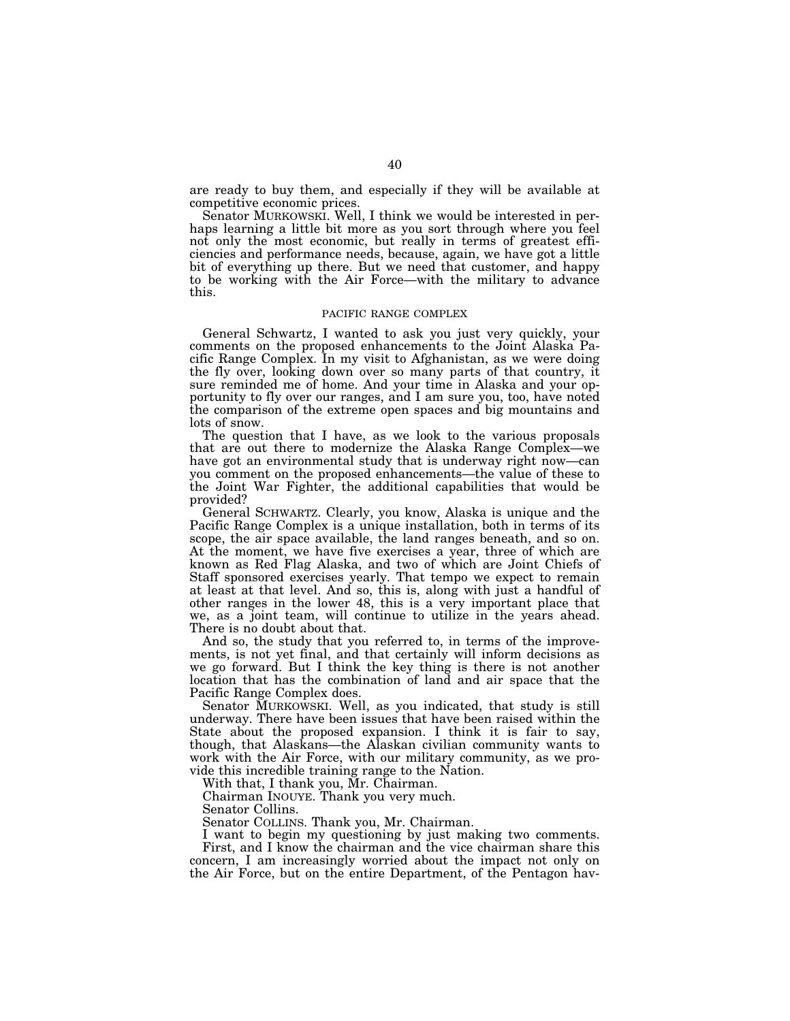are ready to buy them, and especially if they will be available at competitive economic prices.

Senator MURKOWSKI. Well, I think we would be interested in perhaps learning a little bit more as you sort through where you feel not only the most economic, but really in terms of greatest efficiencies and performance needs, because, again, we have got a little bit of everything up there. But we need that customer, and happy to be working with the Air Force—with the military to advance this.

## PACIFIC RANGE COMPLEX

General Schwartz, I wanted to ask you just very quickly, your comments on the proposed enhancements to the Joint Alaska Pacific Range Complex. In my visit to Afghanistan, as we were doing the fly over, looking down over so many parts of that country, it sure reminded me of home. And your time in Alaska and your opportunity to fly over our ranges, and I am sure you, too, have noted the comparison of the extreme open spaces and big mountains and lots of snow.

The question that I have, as we look to the various proposals that are out there to modernize the Alaska Range Complex—we have got an environmental study that is underway right now—can you comment on the proposed enhancements—the value of these to the Joint War Fighter, the additional capabilities that would be provided?

General SCHWARTZ. Clearly, you know, Alaska is unique and the Pacific Range Complex is a unique installation, both in terms of its scope, the air space available, the land ranges beneath, and so on. At the moment, we have five exercises a year, three of which are known as Red Flag Alaska, and two of which are Joint Chiefs of Staff sponsored exercises yearly. That tempo we expect to remain at least at that level. And so, this is, along with just a handful of other ranges in the lower 48, this is a very important place that we, as a joint team, will continue to utilize in the years ahead. There is no doubt about that.

And so, the study that you referred to, in terms of the improvements, is not yet final, and that certainly will inform decisions as we go forward. But I think the key thing is there is not another location that has the combination of land and air space that the Pacific Range Complex does.

Senator MURKOWSKI. Well, as you indicated, that study is still underway. There have been issues that have been raised within the State about the proposed expansion. I think it is fair to say, though, that Alaskans—the Alaskan civilian community wants to work with the Air Force, with our military community, as we provide this incredible training range to the Nation.

With that, I thank you, Mr. Chairman.

Chairman INOUYE. Thank you very much.

Senator Collins.

Senator COLLINS. Thank you, Mr. Chairman.

I want to begin my questioning by just making two comments. First, and I know the chairman and the vice chairman share this concern, I am increasingly worried about the impact not only on the Air Force, but on the entire Department, of the Pentagon hav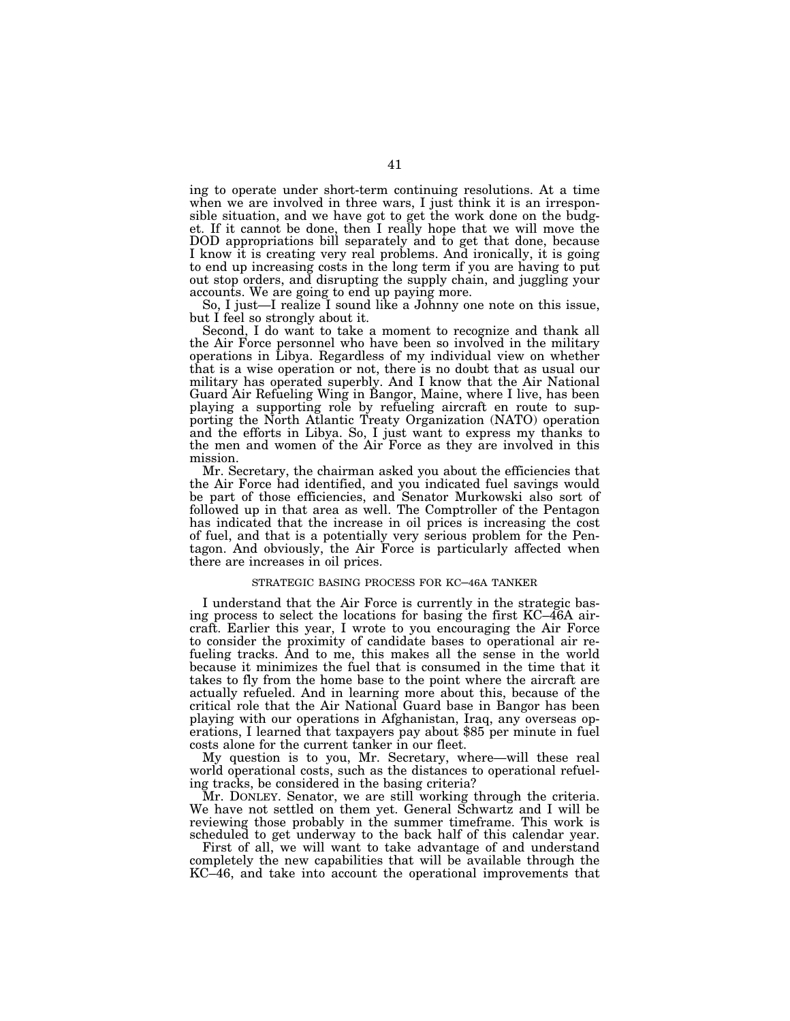ing to operate under short-term continuing resolutions. At a time when we are involved in three wars, I just think it is an irresponsible situation, and we have got to get the work done on the budget. If it cannot be done, then I really hope that we will move the DOD appropriations bill separately and to get that done, because I know it is creating very real problems. And ironically, it is going to end up increasing costs in the long term if you are having to put out stop orders, and disrupting the supply chain, and juggling your accounts. We are going to end up paying more.

So, I just—I realize I sound like a Johnny one note on this issue, but I feel so strongly about it.

Second, I do want to take a moment to recognize and thank all the Air Force personnel who have been so involved in the military operations in Libya. Regardless of my individual view on whether that is a wise operation or not, there is no doubt that as usual our military has operated superbly. And I know that the Air National Guard Air Refueling Wing in Bangor, Maine, where I live, has been playing a supporting role by refueling aircraft en route to supporting the North Atlantic Treaty Organization (NATO) operation and the efforts in Libya. So, I just want to express my thanks to the men and women of the Air Force as they are involved in this mission.

Mr. Secretary, the chairman asked you about the efficiencies that the Air Force had identified, and you indicated fuel savings would be part of those efficiencies, and Senator Murkowski also sort of followed up in that area as well. The Comptroller of the Pentagon has indicated that the increase in oil prices is increasing the cost of fuel, and that is a potentially very serious problem for the Pentagon. And obviously, the Air Force is particularly affected when there are increases in oil prices.

## STRATEGIC BASING PROCESS FOR KC–46A TANKER

I understand that the Air Force is currently in the strategic basing process to select the locations for basing the first KC–46A aircraft. Earlier this year, I wrote to you encouraging the Air Force to consider the proximity of candidate bases to operational air refueling tracks. And to me, this makes all the sense in the world because it minimizes the fuel that is consumed in the time that it takes to fly from the home base to the point where the aircraft are actually refueled. And in learning more about this, because of the critical role that the Air National Guard base in Bangor has been playing with our operations in Afghanistan, Iraq, any overseas operations, I learned that taxpayers pay about \$85 per minute in fuel costs alone for the current tanker in our fleet.

My question is to you, Mr. Secretary, where—will these real world operational costs, such as the distances to operational refueling tracks, be considered in the basing criteria?

Mr. DONLEY. Senator, we are still working through the criteria. We have not settled on them yet. General Schwartz and I will be reviewing those probably in the summer timeframe. This work is scheduled to get underway to the back half of this calendar year.

First of all, we will want to take advantage of and understand completely the new capabilities that will be available through the KC–46, and take into account the operational improvements that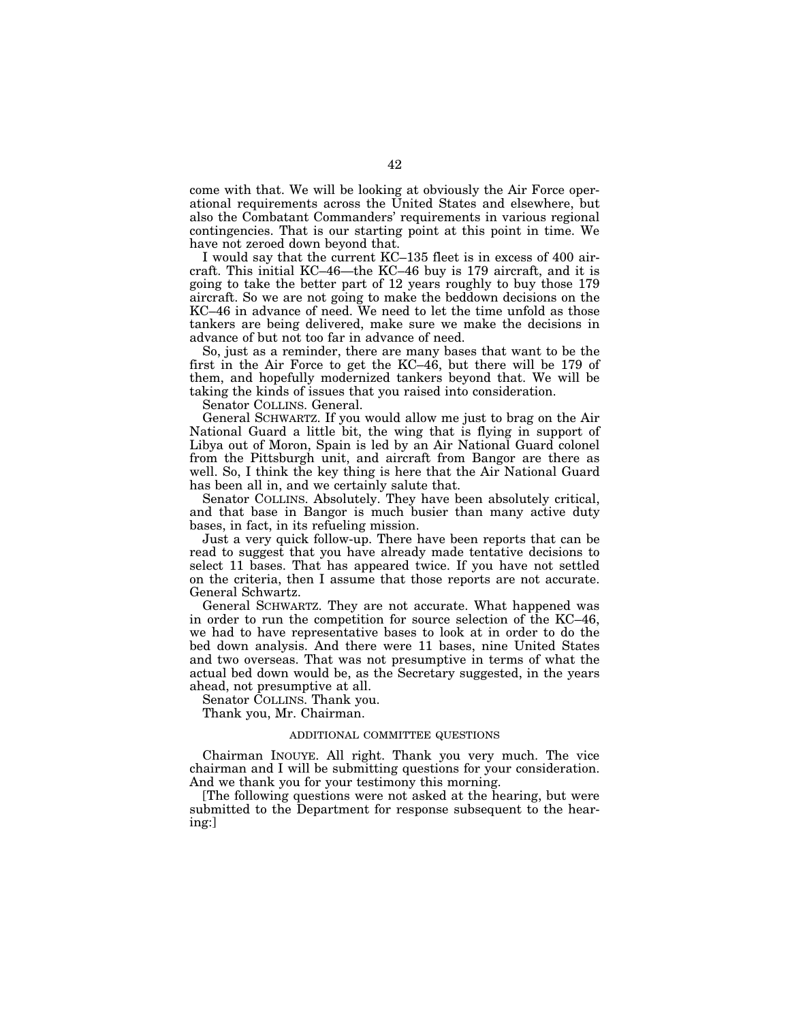come with that. We will be looking at obviously the Air Force operational requirements across the United States and elsewhere, but also the Combatant Commanders' requirements in various regional contingencies. That is our starting point at this point in time. We have not zeroed down beyond that.

I would say that the current KC–135 fleet is in excess of 400 aircraft. This initial KC–46—the KC–46 buy is 179 aircraft, and it is going to take the better part of 12 years roughly to buy those 179 aircraft. So we are not going to make the beddown decisions on the KC–46 in advance of need. We need to let the time unfold as those tankers are being delivered, make sure we make the decisions in advance of but not too far in advance of need.

So, just as a reminder, there are many bases that want to be the first in the Air Force to get the KC–46, but there will be 179 of them, and hopefully modernized tankers beyond that. We will be taking the kinds of issues that you raised into consideration.

Senator COLLINS. General.

General SCHWARTZ. If you would allow me just to brag on the Air National Guard a little bit, the wing that is flying in support of Libya out of Moron, Spain is led by an Air National Guard colonel from the Pittsburgh unit, and aircraft from Bangor are there as well. So, I think the key thing is here that the Air National Guard has been all in, and we certainly salute that.

Senator COLLINS. Absolutely. They have been absolutely critical, and that base in Bangor is much busier than many active duty bases, in fact, in its refueling mission.

Just a very quick follow-up. There have been reports that can be read to suggest that you have already made tentative decisions to select 11 bases. That has appeared twice. If you have not settled on the criteria, then I assume that those reports are not accurate. General Schwartz.

General SCHWARTZ. They are not accurate. What happened was in order to run the competition for source selection of the KC–46, we had to have representative bases to look at in order to do the bed down analysis. And there were 11 bases, nine United States and two overseas. That was not presumptive in terms of what the actual bed down would be, as the Secretary suggested, in the years ahead, not presumptive at all.

Senator COLLINS. Thank you.

Thank you, Mr. Chairman.

## ADDITIONAL COMMITTEE QUESTIONS

Chairman INOUYE. All right. Thank you very much. The vice chairman and I will be submitting questions for your consideration. And we thank you for your testimony this morning.

[The following questions were not asked at the hearing, but were submitted to the Department for response subsequent to the hearing:]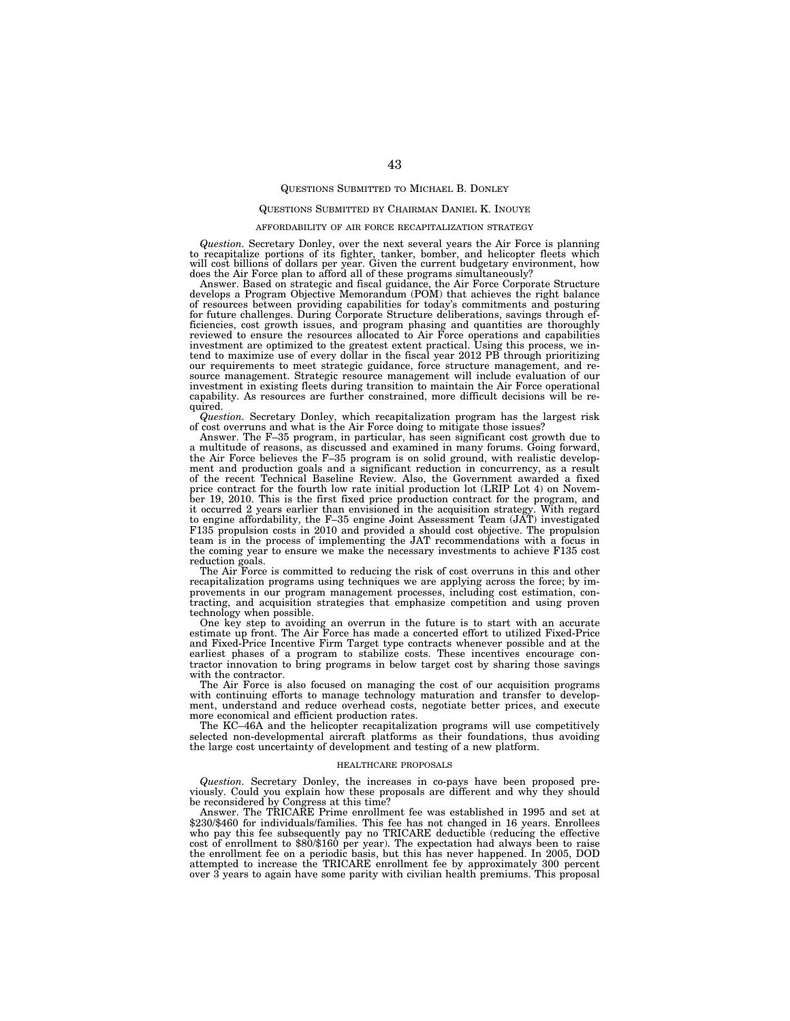## QUESTIONS SUBMITTED TO MICHAEL B. DONLEY

## QUESTIONS SUBMITTED BY CHAIRMAN DANIEL K. INOUYE

#### AFFORDABILITY OF AIR FORCE RECAPITALIZATION STRATEGY

*Question.* Secretary Donley, over the next several years the Air Force is planning to recapitalize portions of its fighter, tanker, bomber, and helicopter fleets which will cost billions of dollars per year. Given the current budgetary environment, how does the Air Force plan to afford all of these programs simultaneously?

Answer. Based on strategic and fiscal guidance, the Air Force Corporate Structure develops a Program Objective Memorandum (POM) that achieves the right balance of resources between providing capabilities for today's commitments and posturing for future challenges. During Corporate Structure deliberations, savings through efficiencies, cost growth issues, and program phasing and quantities are thoroughly<br>reviewed to ensure the resources allocated to Air Force operations and capabilities<br>investment are optimized to the greatest extent practica our requirements to meet strategic guidance, force structure management, and resource management. Strategic resource management will include evaluation of our investment in existing fleets during transition to maintain the Air Force operational capability. As resources are further constrained, more difficult decisions will be required.

*Question.* Secretary Donley, which recapitalization program has the largest risk of cost overruns and what is the Air Force doing to mitigate those issues?

Answer. The F–35 program, in particular, has seen significant cost growth due to a multitude of reasons, as discussed and examined in many forums. Going forward, the Air Force believes the F–35 program is on solid ground, with realistic development and production goals and a significant reduction in concurrency, as a result of the recent Technical Baseline Review. Also, the Government awarded a fixed price contract for the fourth low rate initial production lot (LRIP Lot 4) on November 19, 2010. This is the first fixed price production contract for the program, and it occurred 2 years earlier than envisioned in the acquisition strategy. With regard to engine affordability, the F–35 engine Joint Assessment Team (JAT) investigated F135 propulsion costs in 2010 and provided a should cost objective. The propulsion team is in the process of implementing the JAT recommendations with a focus in the coming year to ensure we make the necessary investments to achieve F135 cost reduction goals.

The Air Force is committed to reducing the risk of cost overruns in this and other recapitalization programs using techniques we are applying across the force; by improvements in our program management processes, including cost estimation, contracting, and acquisition strategies that emphasize competition and using proven technology when possible.

One key step to avoiding an overrun in the future is to start with an accurate estimate up front. The Air Force has made a concerted effort to utilized Fixed-Price and Fixed-Price Incentive Firm Target type contracts whenever possible and at the earliest phases of a program to stabilize costs. These incentives encourage contractor innovation to bring programs in below target cost by sharing those savings with the contractor.

The Air Force is also focused on managing the cost of our acquisition programs with continuing efforts to manage technology maturation and transfer to development, understand and reduce overhead costs, negotiate better prices, and execute more economical and efficient production rates.

The KC–46A and the helicopter recapitalization programs will use competitively selected non-developmental aircraft platforms as their foundations, thus avoiding the large cost uncertainty of development and testing of a new platform.

#### HEALTHCARE PROPOSALS

*Question.* Secretary Donley, the increases in co-pays have been proposed previously. Could you explain how these proposals are different and why they should be reconsidered by Congress at this time?

Answer. The TRICARE Prime enrollment fee was established in 1995 and set at \$230/\$460 for individuals/families. This fee has not changed in 16 years. Enrollees who pay this fee subsequently pay no TRICARE deductible (reducing the effective cost of enrollment to \$80/\$160 per year). The expectation had always been to raise the enrollment fee on a periodic basis, but this has never happened. In 2005, DOD attempted to increase the TRICARE enrollment fee by approximately 300 percent over 3 years to again have some parity with civilian health premiums. This proposal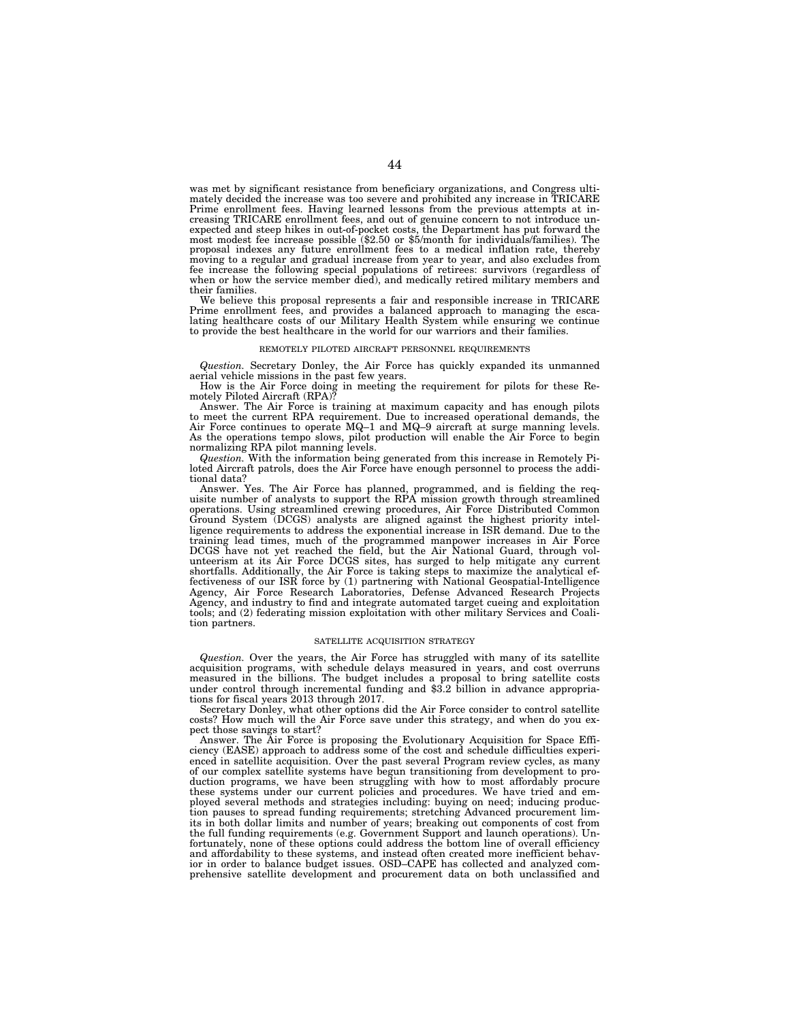was met by significant resistance from beneficiary organizations, and Congress ultimately decided the increase was too severe and prohibited any increase in TRICARE Prime enrollment fees. Having learned lessons from the previous attempts at increasing TRICARE enrollment fees, and out of genuine concern to not introduce unexpected and steep hikes in out-of-pocket costs, the Department has put forward the most modest fee increase possible (\$2.50 or \$5/month for individuals/families). The proposal indexes any future enrollment fees to a medic moving to a regular and gradual increase from year to year, and also excludes from fee increase the following special populations of retirees: survivors (regardless of when or how the service member died), and medically retired military members and their families.

We believe this proposal represents a fair and responsible increase in TRICARE Prime enrollment fees, and provides a balanced approach to managing the escalating healthcare costs of our Military Health System while ensuring we continue to provide the best healthcare in the world for our warriors and their families.

#### REMOTELY PILOTED AIRCRAFT PERSONNEL REQUIREMENTS

*Question.* Secretary Donley, the Air Force has quickly expanded its unmanned aerial vehicle missions in the past few years.

How is the Air Force doing in meeting the requirement for pilots for these Re-motely Piloted Aircraft (RPA)?

Answer. The Air Force is training at maximum capacity and has enough pilots to meet the current RPA requirement. Due to increased operational demands, the Air Force continues to operate MQ–1 and MQ–9 aircraft at surge manning levels. As the operations tempo slows, pilot production will enable the Air Force to begin normalizing RPA pilot manning levels.

*Question.* With the information being generated from this increase in Remotely Piloted Aircraft patrols, does the Air Force have enough personnel to process the additional data?

Answer. Yes. The Air Force has planned, programmed, and is fielding the requisite number of analysts to support the RPA mission growth through streamlined operations. Using streamlined crewing procedures, Air Force Distributed Common Ground System (DCGS) analysts are aligned against the highest priority intelligence requirements to address the exponential increase in ISR demand. Due to the training lead times, much of the programmed manpower increases in Air Force DCGS have not yet reached the field, but the Air National Guard, through volunteerism at its Air Force DCGS sites, has surged to help mitigate any current shortfalls. Additionally, the Air Force is taking steps to maximize the analytical effectiveness of our ISR force by (1) partnering with National Geospatial-Intelligence Agency, Air Force Research Laboratories, Defense Advanced Research Projects Agency, and industry to find and integrate automated target cueing and exploitation tools; and (2) federating mission exploitation with other military Services and Coalition partners.

#### SATELLITE ACQUISITION STRATEGY

*Question.* Over the years, the Air Force has struggled with many of its satellite acquisition programs, with schedule delays measured in years, and cost overruns measured in the billions. The budget includes a proposal to bring satellite costs under control through incremental funding and \$3.2 billion in advance appropriations for fiscal years 2013 through 2017.

Secretary Donley, what other options did the Air Force consider to control satellite costs? How much will the Air Force save under this strategy, and when do you expect those savings to start?

Answer. The Air Force is proposing the Evolutionary Acquisition for Space Efficiency (EASE) approach to address some of the cost and schedule difficulties experienced in satellite acquisition. Over the past several Program review cycles, as many of our complex satellite systems have begun transitioning from development to production programs, we have been struggling with how to most affordably procure these systems under our current policies and procedures. We have tried and employed several methods and strategies including: buying on need; inducing production pauses to spread funding requirements; stretching Advanced procurement limits in both dollar limits and number of years; breaking out components of cost from the full funding requirements (e.g. Government Support and launch operations). Unfortunately, none of these options could address the bottom line of overall efficiency and affordability to these systems, and instead often created more inefficient behavior in order to balance budget issues. OSD–CAPE has collected and analyzed comprehensive satellite development and procurement data on both unclassified and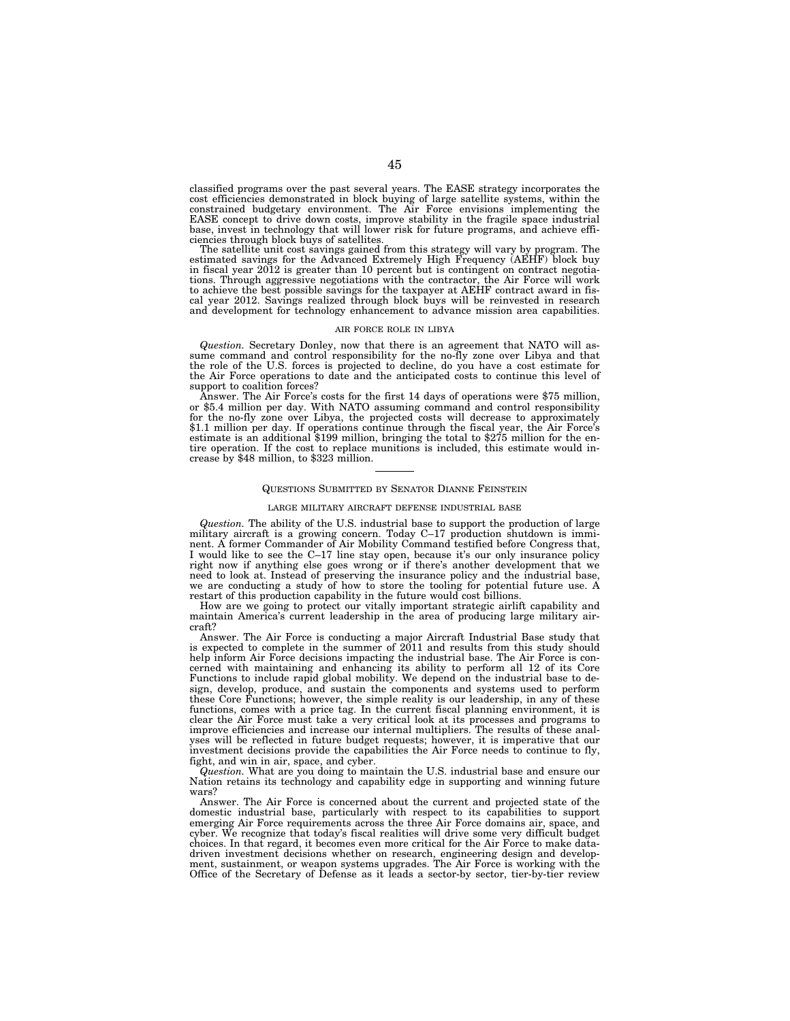classified programs over the past several years. The EASE strategy incorporates the cost efficiencies demonstrated in block buying of large satellite systems, within the constrained budgetary environment. The Air Force envisions implementing the EASE concept to drive down costs, improve stability in the fragile space industrial base, invest in technology that will lower risk for future programs, and achieve efficiencies through block buys of satellites.

The satellite unit cost savings gained from this strategy will vary by program. The estimated savings for the Advanced Extremely High Frequency (AEHF) block buy in fiscal year 2012 is greater than 10 percent but is contingent on contract negotiations. Through aggressive negotiations with the contractor, the Air Force will work to achieve the best possible savings for the taxpayer at AEHF contract award in fiscal year 2012. Savings realized through block buys will be reinvested in research and development for technology enhancement to advance mission area capabilities.

#### AIR FORCE ROLE IN LIBYA

*Question.* Secretary Donley, now that there is an agreement that NATO will assume command and control responsibility for the no-fly zone over Libya and that the role of the U.S. forces is projected to decline, do you have a cost estimate for the Air Force operations to date and the anticipated costs to continue this level of support to coalition forces?

Answer. The Air Force's costs for the first 14 days of operations were \$75 million, or \$5.4 million per day. With NATO assuming command and control responsibility for the no-fly zone over Libya, the projected costs will decrease to approximately \$1.1 million per day. If operations continue through the fiscal year, the Air Force's estimate is an additional \$199 million, bringing the total to \$275 million for the entire operation. If the cost to replace munitions is included, this estimate would increase by \$48 million, to \$323 million.

#### QUESTIONS SUBMITTED BY SENATOR DIANNE FEINSTEIN

#### LARGE MILITARY AIRCRAFT DEFENSE INDUSTRIAL BASE

*Question.* The ability of the U.S. industrial base to support the production of large military aircraft is a growing concern. Today C–17 production shutdown is imminent. A former Commander of Air Mobility Command testified before Congress that, I would like to see the C–17 line stay open, because it's our only insurance policy right now if anything else goes wrong or if there's another development that we need to look at. Instead of preserving the insurance policy and the industrial base, we are conducting a study of how to store the tooling for potential future use. A restart of this production capability in the future would cost billions.

How are we going to protect our vitally important strategic airlift capability and maintain America's current leadership in the area of producing large military aircraft?

Answer. The Air Force is conducting a major Aircraft Industrial Base study that is expected to complete in the summer of 2011 and results from this study should help inform Air Force decisions impacting the industrial base. The Air Force is concerned with maintaining and enhancing its ability to perform all 12 of its Core Functions to include rapid global mobility. We depend on the industrial base to design, develop, produce, and sustain the components and systems used to perform these Core Functions; however, the simple reality is our leadership, in any of these functions, comes with a price tag. In the current fiscal planning environment, it is clear the Air Force must take a very critical look at its processes and programs to improve efficiencies and increase our internal multipliers. The results of these analyses will be reflected in future budget requests; however, it is imperative that our investment decisions provide the capabilities the Air Force needs to continue to fly, fight, and win in air, space, and cyber.

*Question.* What are you doing to maintain the U.S. industrial base and ensure our Nation retains its technology and capability edge in supporting and winning future wars?

Answer. The Air Force is concerned about the current and projected state of the domestic industrial base, particularly with respect to its capabilities to support emerging Air Force requirements across the three Air Force domains air, space, and cyber. We recognize that today's fiscal realities will drive some very difficult budget choices. In that regard, it becomes even more critical for the Air Force to make datadriven investment decisions whether on research, engineering design and develop-ment, sustainment, or weapon systems upgrades. The Air Force is working with the Office of the Secretary of Defense as it leads a sector-by sector, tier-by-tier review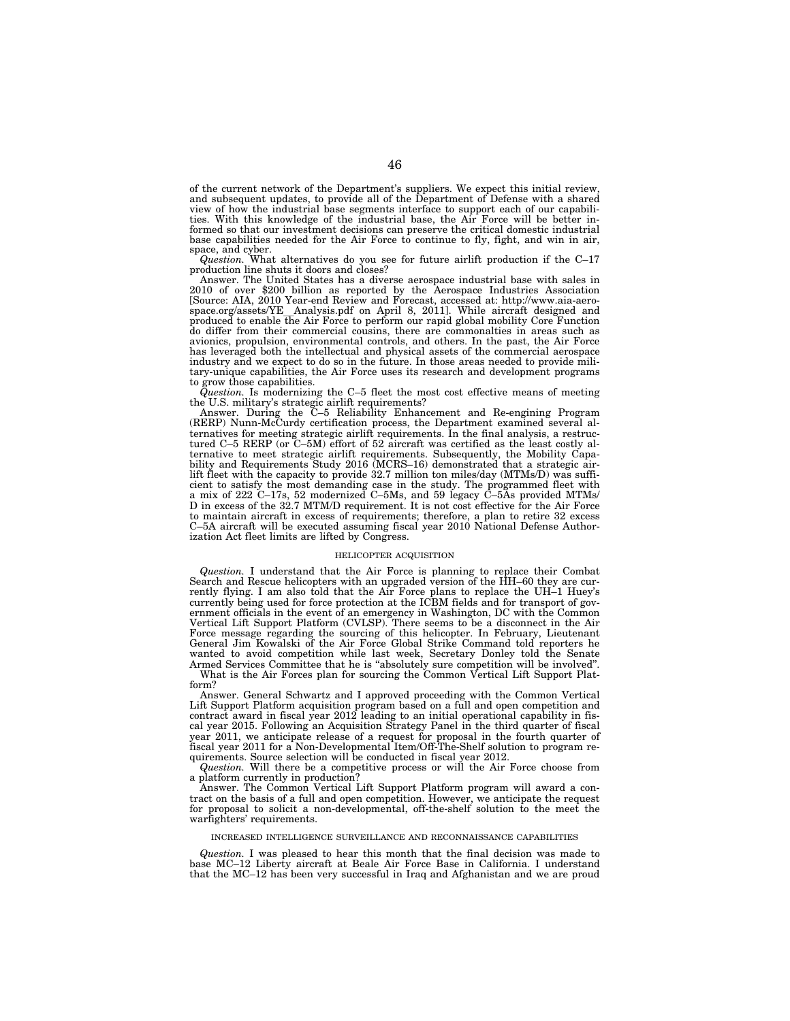of the current network of the Department's suppliers. We expect this initial review, and subsequent updates, to provide all of the Department of Defense with a shared view of how the industrial base segments interface to support each of our capabilities. With this knowledge of the industrial base, the Air Force will be better informed so that our investment decisions can preserve the critical domestic industrial base capabilities needed for the Air Force to continue to fly, fight, and win in air,

space, and cyber.<br>*Question*. What alternatives do you see for future airlift production if the C–17<br>production line shuts it doors and closes?

Answer. The United States has a diverse aerospace industrial base with sales in 2010 of over \$200 billion as reported by the Aerospace Industries Association [Source: AIA, 2010 Year-end Review and Forecast, accessed at: http://www.aia-aero-<br>space.org/assets/YE\_Analysis.pdf on April 8, 2011]. While aircraft designed and<br>produced to enable the Air Force to perform our rapid globa produced to enable the Air Force to perform our rapid global mobility Core Function do differ from their commercial cousins, there are commonalties in areas such as avionics, propulsion, environmental controls, and others. In the past, the Air Force has leveraged both the intellectual and physical assets of the commercial aerospace industry and we expect to do so in the future. In those areas needed to provide mili-tary-unique capabilities, the Air Force uses its research and development programs

to grow those capabilities. *Question.* Is modernizing the C–5 fleet the most cost effective means of meeting the U.S. military's strategic airlift requirements?

Answer. During the C–5 Reliability Enhancement and Re-engining Program (RERP) Nunn-McCurdy certification process, the Department examined several alternatives for meeting strategic airlift requirements. In the final analysis, a restructured C–5 RERP (or C–5M) effort of 52 aircraft was certified as the least costly alternative to meet strategic airlift requirements. Subsequently, the Mobility Capability and Requirements Study 2016 (MCRS–16) demonstrated that a strategic airlift fleet with the capacity to provide 32.7 million ton miles/day (MTMs/D) was sufficient to satisfy the most demanding case in the study. The programmed fleet with a mix of 222 C–17s, 52 modernized C–5Ms, and 59 legacy C–5As provided MTMs/ D in excess of the 32.7 MTM/D requirement. It is not cost effective for the Air Force to maintain aircraft in excess of requirements; therefore, a plan to retire 32 excess C–5A aircraft will be executed assuming fiscal year 2010 National Defense Authorization Act fleet limits are lifted by Congress.

#### HELICOPTER ACQUISITION

*Question.* I understand that the Air Force is planning to replace their Combat Search and Rescue helicopters with an upgraded version of the HH–60 they are currently flying. I am also told that the Air Force plans to replace the UH–1 Huey's currently being used for force protection at the ICBM fields and for transport of government officials in the event of an emergency in Washington, DC with the Common Vertical Lift Support Platform (CVLSP). There seems to be a disconnect in the Air Force message regarding the sourcing of this helicopter. In February, Lieutenant General Jim Kowalski of the Air Force Global Strike Command told reporters he wanted to avoid competition while last week, Secretary Donley told the Senate Armed Services Committee that he is ''absolutely sure competition will be involved''.

What is the Air Forces plan for sourcing the Common Vertical Lift Support Platform?

Answer. General Schwartz and I approved proceeding with the Common Vertical Lift Support Platform acquisition program based on a full and open competition and contract award in fiscal year 2012 leading to an initial operational capability in fiscal year 2015. Following an Acquisition Strategy Panel in the third quarter of fiscal year 2011, we anticipate release of a request for proposal in the fourth quarter of fiscal year 2011 for a Non-Developmental Item/Off-The-Shelf solution to program requirements. Source selection will be conducted in fiscal year 2012.

*Question.* Will there be a competitive process or will the Air Force choose from a platform currently in production?

Answer. The Common Vertical Lift Support Platform program will award a contract on the basis of a full and open competition. However, we anticipate the request for proposal to solicit a non-developmental, off-the-shelf solution to the meet the warfighters' requirements.

## INCREASED INTELLIGENCE SURVEILLANCE AND RECONNAISSANCE CAPABILITIES

*Question.* I was pleased to hear this month that the final decision was made to base MC–12 Liberty aircraft at Beale Air Force Base in California. I understand that the MC–12 has been very successful in Iraq and Afghanistan and we are proud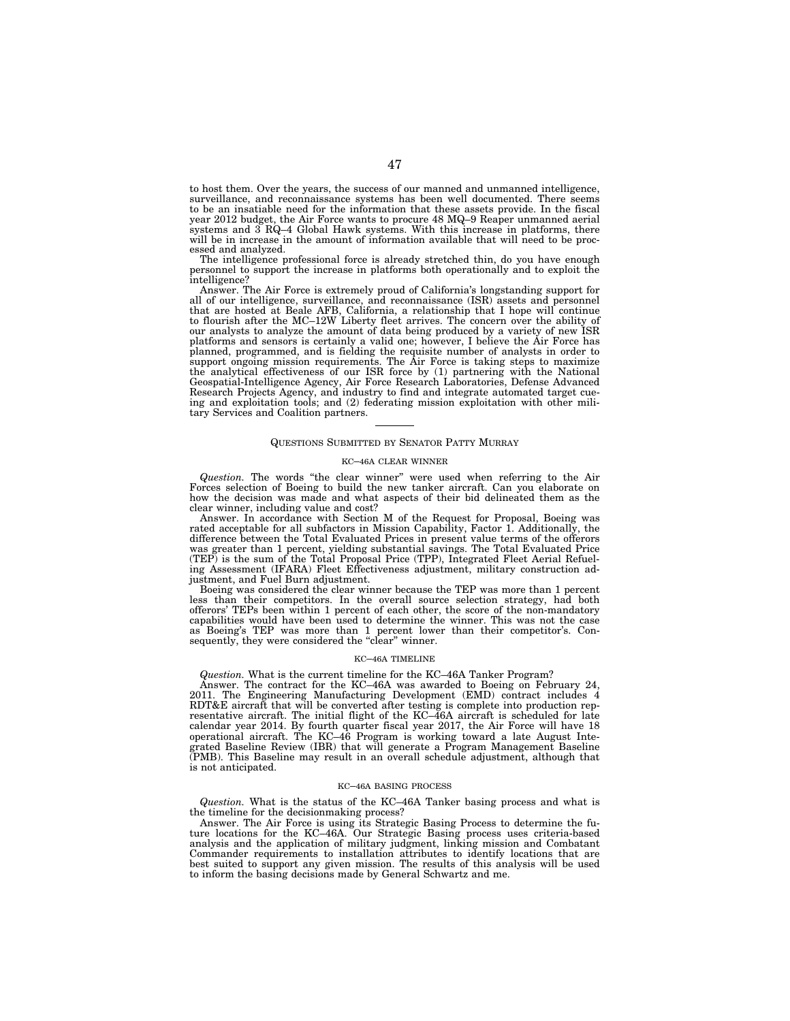to host them. Over the years, the success of our manned and unmanned intelligence, surveillance, and reconnaissance systems has been well documented. There seems to be an insatiable need for the information that these assets provide. In the fiscal year 2012 budget, the Air Force wants to procure 48 MQ–9 Reaper unmanned aerial systems and 3 RQ–4 Global Hawk systems. With this increase in platforms, there will be in increase in the amount of information available that will need to be processed and analyzed.

The intelligence professional force is already stretched thin, do you have enough personnel to support the increase in platforms both operationally and to exploit the intelligence?

Answer. The Air Force is extremely proud of California's longstanding support for all of our intelligence, surveillance, and reconnaissance (ISR) assets and personnel that are hosted at Beale AFB, California, a relationship that I hope will continue to flourish after the MC–12W Liberty fleet arrives. The concern over the ability of our analysts to analyze the amount of data being produced by a variety of new ISR platforms and sensors is certainly a valid one; however, I believe the Air Force has<br>planned, programmed, and is fielding the requisite number of analysts in order to<br>support ongoing mission requirements. The Air Force is Geospatial-Intelligence Agency, Air Force Research Laboratories, Defense Advanced Research Projects Agency, and industry to find and integrate automated target cueing and exploitation tools; and (2) federating mission exploitation with other military Services and Coalition partners.

#### QUESTIONS SUBMITTED BY SENATOR PATTY MURRAY

## KC–46A CLEAR WINNER

*Question.* The words ''the clear winner'' were used when referring to the Air Forces selection of Boeing to build the new tanker aircraft. Can you elaborate on how the decision was made and what aspects of their bid delineated them as the clear winner, including value and cost?

Answer. In accordance with Section M of the Request for Proposal, Boeing was rated acceptable for all subfactors in Mission Capability, Factor 1. Additionally, the difference between the Total Evaluated Prices in present value terms of the offerors was greater than 1 percent, yielding substantial savings. The Total Evaluated Price (TEP) is the sum of the Total Proposal Price (TPP), Integrated Fleet Aerial Refuel-ing Assessment (IFARA) Fleet Effectiveness adjustment, military construction ad-

justment, and Fuel Burn adjustment. Boeing was considered the clear winner because the TEP was more than 1 percent less than their competitors. In the overall source selection strategy, had both offerors' TEPs been within 1 percent of each other, the score of the non-mandatory capabilities would have been used to determine the winner. This was not the case as Boeing's TEP was more than 1 percent lower than their competitor's. Consequently, they were considered the "clear" winner.

#### KC–46A TIMELINE

*Question.* What is the current timeline for the KC–46A Tanker Program? Answer. The contract for the KC–46A was awarded to Boeing on February 24, 2011. The Engineering Manufacturing Development (EMD) contract includes 4 RDT&E aircraft that will be converted after testing is complete into production representative aircraft. The initial flight of the KC–46A aircraft is scheduled for late calendar year 2014. By fourth quarter fiscal year 2017, the Air Force will have 18 operational aircraft. The KC–46 Program is working toward a late August Integrated Baseline Review (IBR) that will generate a Program Management Baseline (PMB). This Baseline may result in an overall schedule adjustment, although that is not anticipated.

#### KC–46A BASING PROCESS

*Question.* What is the status of the KC–46A Tanker basing process and what is the timeline for the decisionmaking process?

Answer. The Air Force is using its Strategic Basing Process to determine the future locations for the KC–46A. Our Strategic Basing process uses criteria-based analysis and the application of military judgment, linking mission and Combatant Commander requirements to installation attributes to identify locations that are best suited to support any given mission. The results of this analysis will be used to inform the basing decisions made by General Schwartz and me.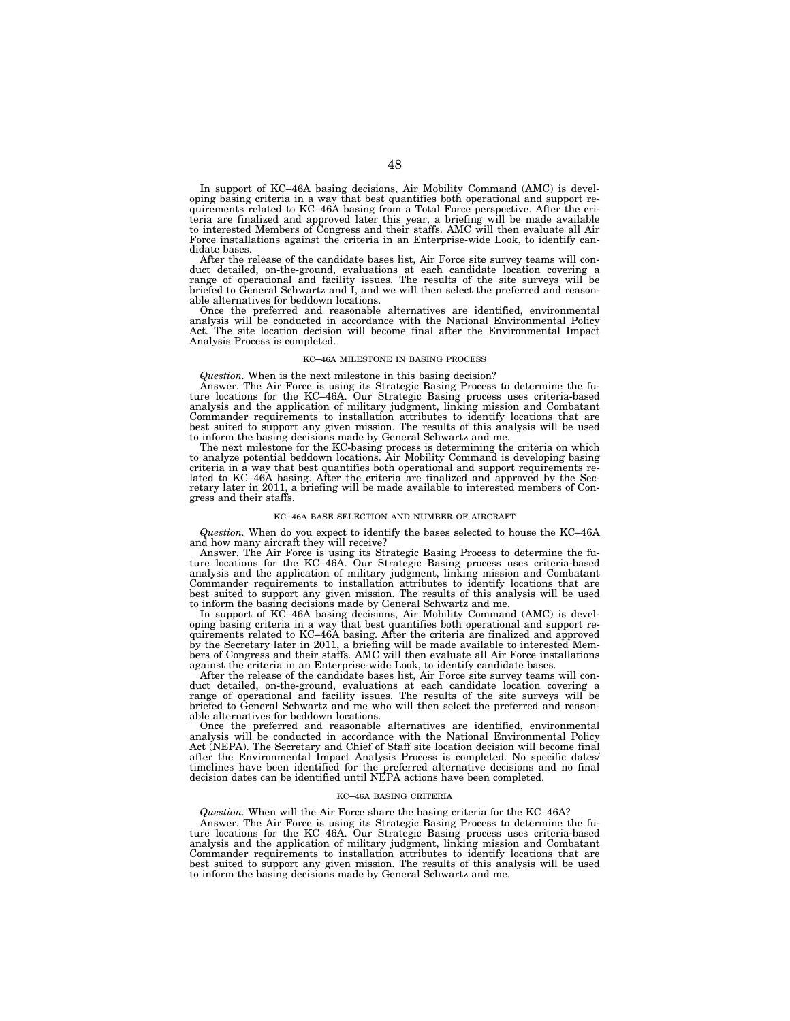In support of KC–46A basing decisions, Air Mobility Command (AMC) is developing basing criteria in a way that best quantifies both operational and support re-quirements related to KC–46A basing from a Total Force perspective. After the criteria are finalized and approved later this year, a briefing will be made available to interested Members of Congress and their staffs. AMC will then evaluate all Air Force installations against the criteria in an Enterprise-wide Look, to identify candidate bases.

After the release of the candidate bases list, Air Force site survey teams will conduct detailed, on-the-ground, evaluations at each candidate location covering a<br>range of operational and facility issues. The results of the site surveys will be<br>briefed to General Schwartz and I, and we will then select t able alternatives for beddown locations.

Once the preferred and reasonable alternatives are identified, environmental analysis will be conducted in accordance with the National Environmental Policy Act. The site location decision will become final after the Environmental Impact Analysis Process is completed.

#### KC–46A MILESTONE IN BASING PROCESS

## *Question.* When is the next milestone in this basing decision?

Answer. The Air Force is using its Strategic Basing Process to determine the future locations for the KC-46A. Our Strategic Basing process uses criteria-based analysis and the application of military judgment, linking miss Commander requirements to installation attributes to identify locations that are best suited to support any given mission. The results of this analysis will be used to inform the basing decisions made by General Schwartz and me. The next milestone for the KC-basing process is determining the criteria on which

to analyze potential beddown locations. Air Mobility Command is developing basing criteria in a way that best quantifies both operational and support requirements related to KC–46A basing. After the criteria are finalized and approved by the Sec-retary later in 2011, a briefing will be made available to interested members of Congress and their staffs.

#### KC–46A BASE SELECTION AND NUMBER OF AIRCRAFT

*Question.* When do you expect to identify the bases selected to house the KC–46A and how many aircraft they will receive?

Answer. The Air Force is using its Strategic Basing Process to determine the fu-ture locations for the KC–46A. Our Strategic Basing process uses criteria-based analysis and the application of military judgment, linking mission and Combatant Commander requirements to installation attributes to identify locations that are best suited to support any given mission. The results of this analysis will be used to inform the basing decisions made by General Schwartz and me.

In support of KC–46A basing decisions, Air Mobility Command (AMC) is devel-oping basing criteria in a way that best quantifies both operational and support requirements related to KC–46A basing. After the criteria are finalized and approved by the Secretary later in 2011, a briefing will be made available to interested Members of Congress and their staffs. AMC will then evaluate all Air Force installations against the criteria in an Enterprise-wide Look, to identify candidate bases.

After the release of the candidate bases list, Air Force site survey teams will conduct detailed, on-the-ground, evaluations at each candidate location covering a range of operational and facility issues. The results of the site surveys will be briefed to General Schwartz and me who will then select the preferred and reasonable alternatives for beddown locations.

Once the preferred and reasonable alternatives are identified, environmental analysis will be conducted in accordance with the National Environmental Policy Act (NEPA). The Secretary and Chief of Staff site location decision will become final after the Environmental Impact Analysis Process is completed. No specific dates/ timelines have been identified for the preferred alternative decisions and no final decision dates can be identified until NEPA actions have been completed.

#### KC–46A BASING CRITERIA

*Question.* When will the Air Force share the basing criteria for the KC–46A?

Answer. The Air Force is using its Strategic Basing Process to determine the future locations for the KC–46A. Our Strategic Basing process uses criteria-based analysis and the application of military judgment, linking mission and Combatant Commander requirements to installation attributes to identify locations that are best suited to support any given mission. The results of this analysis will be used to inform the basing decisions made by General Schwartz and me.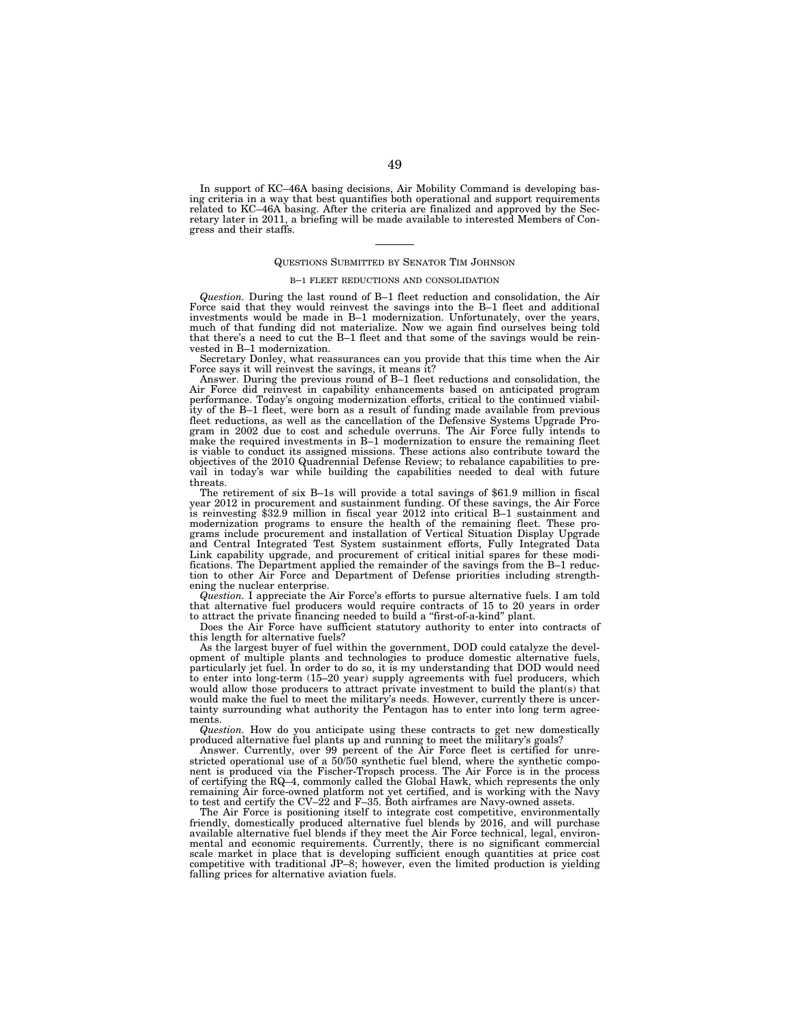In support of KC–46A basing decisions, Air Mobility Command is developing basing criteria in a way that best quantifies both operational and support requirements related to KC–46A basing. After the criteria are finalized and approved by the Secretary later in 2011, a briefing will be made available to interested Members of Congress and their staffs.

#### QUESTIONS SUBMITTED BY SENATOR TIM JOHNSON

#### B–1 FLEET REDUCTIONS AND CONSOLIDATION

*Question.* During the last round of B–1 fleet reduction and consolidation, the Air Force said that they would reinvest the savings into the B–1 fleet and additional investments would be made in B–1 modernization. Unfortunately, over the years, much of that funding did not materialize. Now we again find ourselves being told that there's a need to cut the B–1 fleet and that some of the savings would be reinvested in B–1 modernization.

Secretary Donley, what reassurances can you provide that this time when the Air Force says it will reinvest the savings, it means it?

Answer. During the previous round of B–1 fleet reductions and consolidation, the Air Force did reinvest in capability enhancements based on anticipated program performance. Today's ongoing modernization efforts, critical to the continued viability of the B–1 fleet, were born as a result of funding made available from previous fleet reductions, as well as the cancellation of the Defensive Systems Upgrade Program in 2002 due to cost and schedule overruns. The Air Force fully intends to make the required investments in B–1 modernization to ensure the remaining fleet is viable to conduct its assigned missions. These actions also contribute toward the objectives of the 2010 Quadrennial Defense Review; to rebalance capabilities to prevail in today's war while building the capabilities needed to deal with future threats.

The retirement of six B–1s will provide a total savings of \$61.9 million in fiscal year 2012 in procurement and sustainment funding. Of these savings, the Air Force is reinvesting \$32.9 million in fiscal year 2012 into critical B–1 sustainment and modernization programs to ensure the health of the remaining fleet. These programs include procurement and installation of Vertical Situation Display Upgrade and Central Integrated Test System sustainment efforts, Fully Integrated Data Link capability upgrade, and procurement of critical initial spares for these modifications. The Department applied the remainder of the savings from the B–1 reduction to other Air Force and Department of Defense priorities including strengthening the nuclear enterprise.

*Question.* I appreciate the Air Force's efforts to pursue alternative fuels. I am told that alternative fuel producers would require contracts of 15 to 20 years in order to attract the private financing needed to build a ''first-of-a-kind'' plant.

Does the Air Force have sufficient statutory authority to enter into contracts of this length for alternative fuels?

As the largest buyer of fuel within the government, DOD could catalyze the development of multiple plants and technologies to produce domestic alternative fuels, particularly jet fuel. In order to do so, it is my understanding that DOD would need to enter into long-term (15–20 year) supply agreements with fuel producers, which would allow those producers to attract private investment to build the plant(s) that would make the fuel to meet the military's needs. However, currently there is uncertainty surrounding what authority the Pentagon has to enter into long term agreements.

*Question.* How do you anticipate using these contracts to get new domestically produced alternative fuel plants up and running to meet the military's goals?

Answer. Currently, over 99 percent of the Air Force fleet is certified for unrestricted operational use of a 50/50 synthetic fuel blend, where the synthetic component is produced via the Fischer-Tropsch process. The Air Force is in the process of certifying the RQ–4, commonly called the Global Hawk, which represents the only remaining Air force-owned platform not yet certified, and is working with the Navy to test and certify the CV–22 and F–35. Both airframes are Navy-owned assets.

The Air Force is positioning itself to integrate cost competitive, environmentally friendly, domestically produced alternative fuel blends by 2016, and will purchase available alternative fuel blends if they meet the Air Force technical, legal, environmental and economic requirements. Currently, there is no significant commercial scale market in place that is developing sufficient enough quantities at price cost competitive with traditional JP–8; however, even the limited production is yielding falling prices for alternative aviation fuels.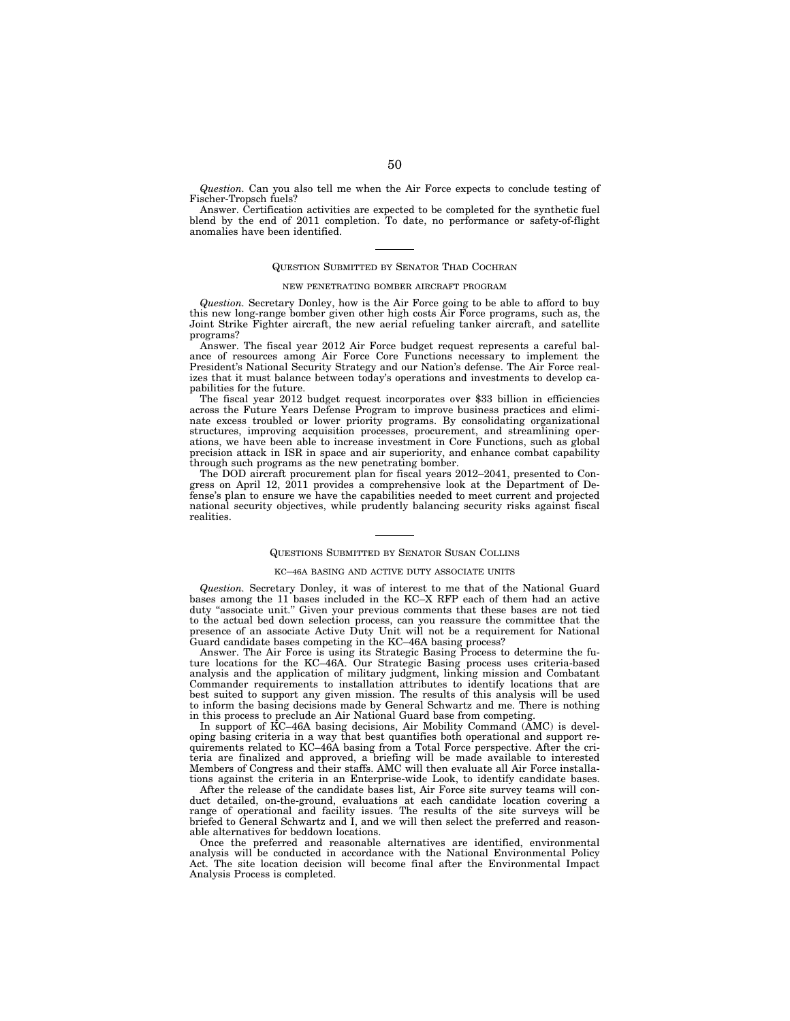*Question.* Can you also tell me when the Air Force expects to conclude testing of Fischer-Tropsch fuels?

Answer. Certification activities are expected to be completed for the synthetic fuel blend by the end of 2011 completion. To date, no performance or safety-of-flight anomalies have been identified.

#### QUESTION SUBMITTED BY SENATOR THAD COCHRAN

#### NEW PENETRATING BOMBER AIRCRAFT PROGRAM

*Question.* Secretary Donley, how is the Air Force going to be able to afford to buy this new long-range bomber given other high costs Air Force programs, such as, the Joint Strike Fighter aircraft, the new aerial refueling tanker aircraft, and satellite programs?

Answer. The fiscal year 2012 Air Force budget request represents a careful balance of resources among Air Force Core Functions necessary to implement the President's National Security Strategy and our Nation's defense. The Air Force realizes that it must balance between today's operations and investments to develop capabilities for the future.

The fiscal year 2012 budget request incorporates over \$33 billion in efficiencies across the Future Years Defense Program to improve business practices and eliminate excess troubled or lower priority programs. By consolidating organizational structures, improving acquisition processes, procurement, and streamlining operations, we have been able to increase investment in Core Functions, such as global precision attack in ISR in space and air superiority, and enhance combat capability through such programs as the new penetrating bomber.

The DOD aircraft procurement plan for fiscal years 2012–2041, presented to Congress on April 12, 2011 provides a comprehensive look at the Department of Defense's plan to ensure we have the capabilities needed to meet current and projected national security objectives, while prudently balancing security risks against fiscal realities.

#### QUESTIONS SUBMITTED BY SENATOR SUSAN COLLINS

## KC–46A BASING AND ACTIVE DUTY ASSOCIATE UNITS

*Question.* Secretary Donley, it was of interest to me that of the National Guard bases among the 11 bases included in the KC–X RFP each of them had an active duty "associate unit." Given your previous comments that these bases are not tied to the actual bed down selection process, can you reassure the committee that the presence of an associate Active Duty Unit will not be a requirement for National Guard candidate bases competing in the KC–46A basing process?

Answer. The Air Force is using its Strategic Basing Process to determine the future locations for the KC–46A. Our Strategic Basing process uses criteria-based analysis and the application of military judgment, linking mission and Combatant Commander requirements to installation attributes to identify locations that are best suited to support any given mission. The results of this analysis will be used to inform the basing decisions made by General Schwartz and me. There is nothing in this process to preclude an Air National Guard base from competing.

In support of KC–46A basing decisions, Air Mobility Command (AMC) is developing basing criteria in a way that best quantifies both operational and support requirements related to KC–46A basing from a Total Force perspective. After the criteria are finalized and approved, a briefing will be made available to interested Members of Congress and their staffs. AMC will then evaluate all Air Force installations against the criteria in an Enterprise-wide Look, to identify candidate bases.

After the release of the candidate bases list, Air Force site survey teams will conduct detailed, on-the-ground, evaluations at each candidate location covering a range of operational and facility issues. The results of the site surveys will be briefed to General Schwartz and I, and we will then select the preferred and reasonable alternatives for beddown locations.

Once the preferred and reasonable alternatives are identified, environmental analysis will be conducted in accordance with the National Environmental Policy Act. The site location decision will become final after the Environmental Impact Analysis Process is completed.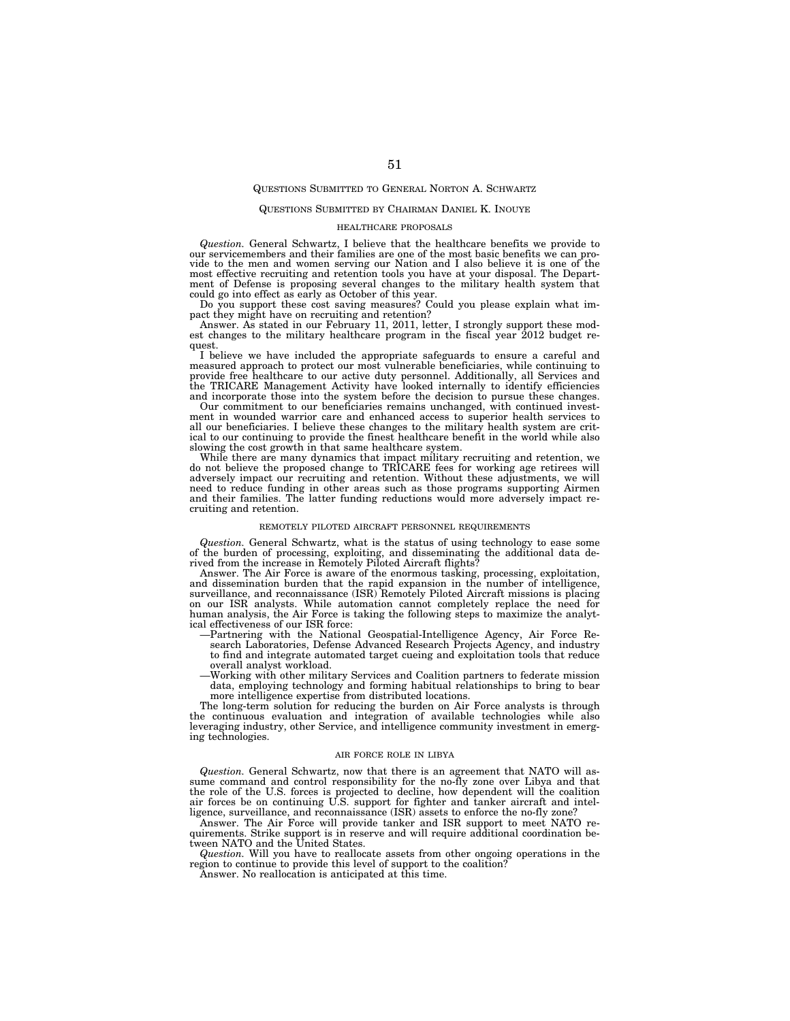## QUESTIONS SUBMITTED TO GENERAL NORTON A. SCHWARTZ

#### QUESTIONS SUBMITTED BY CHAIRMAN DANIEL K. INOUYE

#### HEALTHCARE PROPOSALS

*Question.* General Schwartz, I believe that the healthcare benefits we provide to our servicemembers and their families are one of the most basic benefits we can provide to the men and women serving our Nation and I also believe it is one of the most effective recruiting and retention tools you have at your disposal. The Department of Defense is proposing several changes to the military health system that could go into effect as early as October of this year.

Do you support these cost saving measures? Could you please explain what impact they might have on recruiting and retention?

Answer. As stated in our February 11, 2011, letter, I strongly support these modest changes to the military healthcare program in the fiscal year 2012 budget request.

I believe we have included the appropriate safeguards to ensure a careful and measured approach to protect our most vulnerable beneficiaries, while continuing to provide free healthcare to our active duty personnel. Additionally, all Services and the TRICARE Management Activity have looked internally to identify efficiencies and incorporate those into the system before the decision to pursue these changes.

Our commitment to our beneficiaries remains unchanged, with continued investment in wounded warrior care and enhanced access to superior health services to all our beneficiaries. I believe these changes to the military health system are critical to our continuing to provide the finest healthcare benefit in the world while also slowing the cost growth in that same healthcare system.

While there are many dynamics that impact military recruiting and retention, we do not believe the proposed change to TRICARE fees for working age retirees will adversely impact our recruiting and retention. Without these adjustments, we will need to reduce funding in other areas such as those programs supporting Airmen and their families. The latter funding reductions would more adversely impact recruiting and retention.

#### REMOTELY PILOTED AIRCRAFT PERSONNEL REQUIREMENTS

*Question.* General Schwartz, what is the status of using technology to ease some of the burden of processing, exploiting, and disseminating the additional data de-rived from the increase in Remotely Piloted Aircraft flights?

Answer. The Air Force is aware of the enormous tasking, processing, exploitation, and dissemination burden that the rapid expansion in the number of intelligence, surveillance, and reconnaissance (ISR) Remotely Piloted Aircraft missions is placing on our ISR analysts. While automation cannot completely replace the need for human analysis, the Air Force is taking the following steps to maximize the analytical effectiveness of our ISR force:

- —Partnering with the National Geospatial-Intelligence Agency, Air Force Research Laboratories, Defense Advanced Research Projects Agency, and industry to find and integrate automated target cueing and exploitation tools that reduce overall analyst workload.
- —Working with other military Services and Coalition partners to federate mission data, employing technology and forming habitual relationships to bring to bear more intelligence expertise from distributed locations.

The long-term solution for reducing the burden on Air Force analysts is through the continuous evaluation and integration of available technologies while also leveraging industry, other Service, and intelligence community investment in emerging technologies.

#### AIR FORCE ROLE IN LIBYA

*Question.* General Schwartz, now that there is an agreement that NATO will assume command and control responsibility for the no-fly zone over Libya and that the role of the U.S. forces is projected to decline, how dependent will the coalition air forces be on continuing U.S. support for fighter and tanker aircraft and intelligence, surveillance, and reconnaissance (ISR) assets to enforce the no-fly zone?

Answer. The Air Force will provide tanker and ISR support to meet NATO requirements. Strike support is in reserve and will require additional coordination between NATO and the United States.

*Question.* Will you have to reallocate assets from other ongoing operations in the region to continue to provide this level of support to the coalition?

Answer. No reallocation is anticipated at this time.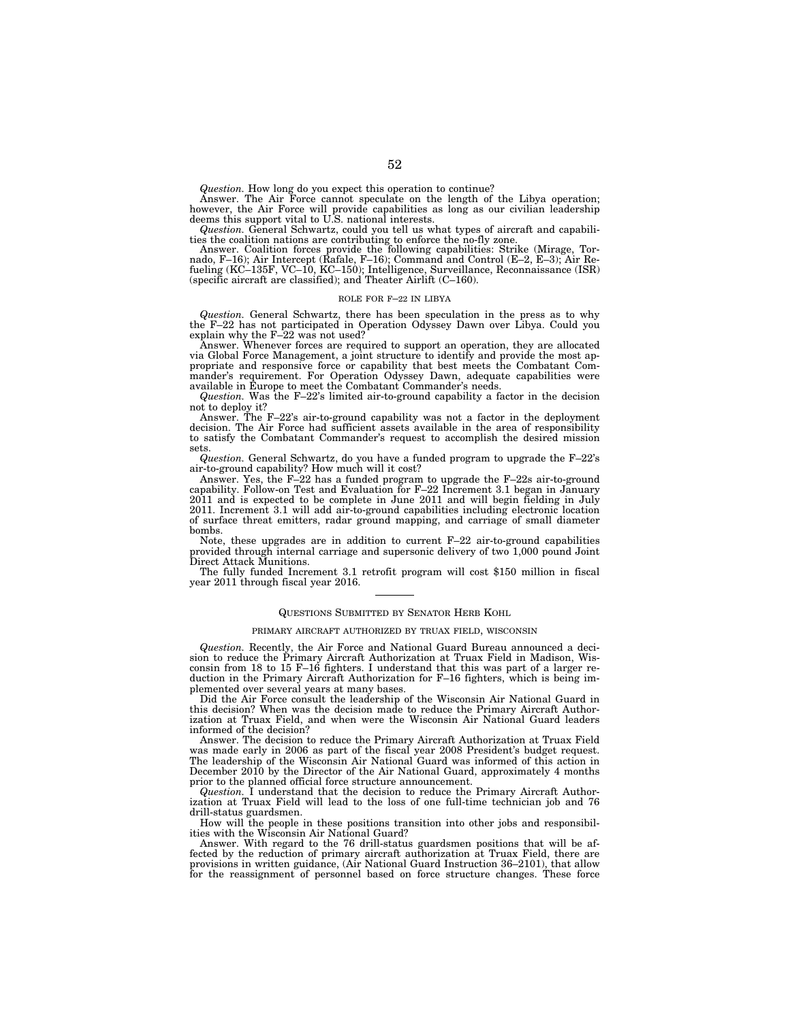*Question.* How long do you expect this operation to continue? Answer. The Air Force cannot speculate on the length of the Libya operation;

however, the Air Force will provide capabilities as long as our civilian leadership deems this support vital to U.S. national interests.

*Question.* General Schwartz, could you tell us what types of aircraft and capabilities the coalition nations are contributing to enforce the no-fly zone.

Answer. Coalition forces provide the following capabilities: Strike (Mirage, Tornado, F-16); Air Intercept (Rafale, F-16); Command and Control (E-2, E-3); Air Refueling (KC-135F, VC-10, KC-150); Intelligence, Surveillance, (specific aircraft are classified); and Theater Airlift (C–160).

#### ROLE FOR F–22 IN LIBYA

*Question.* General Schwartz, there has been speculation in the press as to why the F–22 has not participated in Operation Odyssey Dawn over Libya. Could you explain why the F–22 was not used? Answer. Whenever forces are required to support an operation, they are allocated

via Global Force Management, a joint structure to identify and provide the most appropriate and responsive force or capability that best meets the Combatant Commander's requirement. For Operation Odyssey Dawn, adequate capabilities were available in Europe to meet the Combatant Commander's needs.

*Question.* Was the F–22's limited air-to-ground capability a factor in the decision not to deploy it?

Answer. The F–22's air-to-ground capability was not a factor in the deployment decision. The Air Force had sufficient assets available in the area of responsibility to satisfy the Combatant Commander's request to accomplish the desired mission sets.

*Question.* General Schwartz, do you have a funded program to upgrade the F–22's air-to-ground capability? How much will it cost?

Answer. Yes, the F–22 has a funded program to upgrade the F–22s air-to-ground capability. Follow-on Test and Evaluation for F–22 Increment 3.1 began in January 2011 and is expected to be complete in June 2011 and will begin fielding in July 2011. Increment 3.1 will add air-to-ground capabilities including electronic location of surface threat emitters, radar ground mapping, and carriage of small diameter bombs.

Note, these upgrades are in addition to current  $F-22$  air-to-ground capabilities provided through internal carriage and supersonic delivery of two 1,000 pound Joint Direct Attack Munitions.

The fully funded Increment 3.1 retrofit program will cost \$150 million in fiscal year 2011 through fiscal year 2016.

#### QUESTIONS SUBMITTED BY SENATOR HERB KOHL

#### PRIMARY AIRCRAFT AUTHORIZED BY TRUAX FIELD, WISCONSIN

*Question.* Recently, the Air Force and National Guard Bureau announced a decision to reduce the Primary Aircraft Authorization at Truax Field in Madison, Wisconsin from 18 to 15 F–16 fighters. I understand that this was part of a larger reduction in the Primary Aircraft Authorization for F–16 fighters, which is being implemented over several years at many bases.

Did the Air Force consult the leadership of the Wisconsin Air National Guard in this decision? When was the decision made to reduce the Primary Aircraft Authorization at Truax Field, and when were the Wisconsin Air National Guard leaders informed of the decision?

Answer. The decision to reduce the Primary Aircraft Authorization at Truax Field was made early in 2006 as part of the fiscal year 2008 President's budget request. The leadership of the Wisconsin Air National Guard was informed of this action in December 2010 by the Director of the Air National Guard, approximately 4 months prior to the planned official force structure announcement.

*Question.* I understand that the decision to reduce the Primary Aircraft Authorization at Truax Field will lead to the loss of one full-time technician job and 76 drill-status guardsmen.

How will the people in these positions transition into other jobs and responsibilities with the Wisconsin Air National Guard?

Answer. With regard to the 76 drill-status guardsmen positions that will be affected by the reduction of primary aircraft authorization at Truax Field, there are provisions in written guidance, (Air National Guard Instruction 36–2101), that allow for the reassignment of personnel based on force structure changes. These force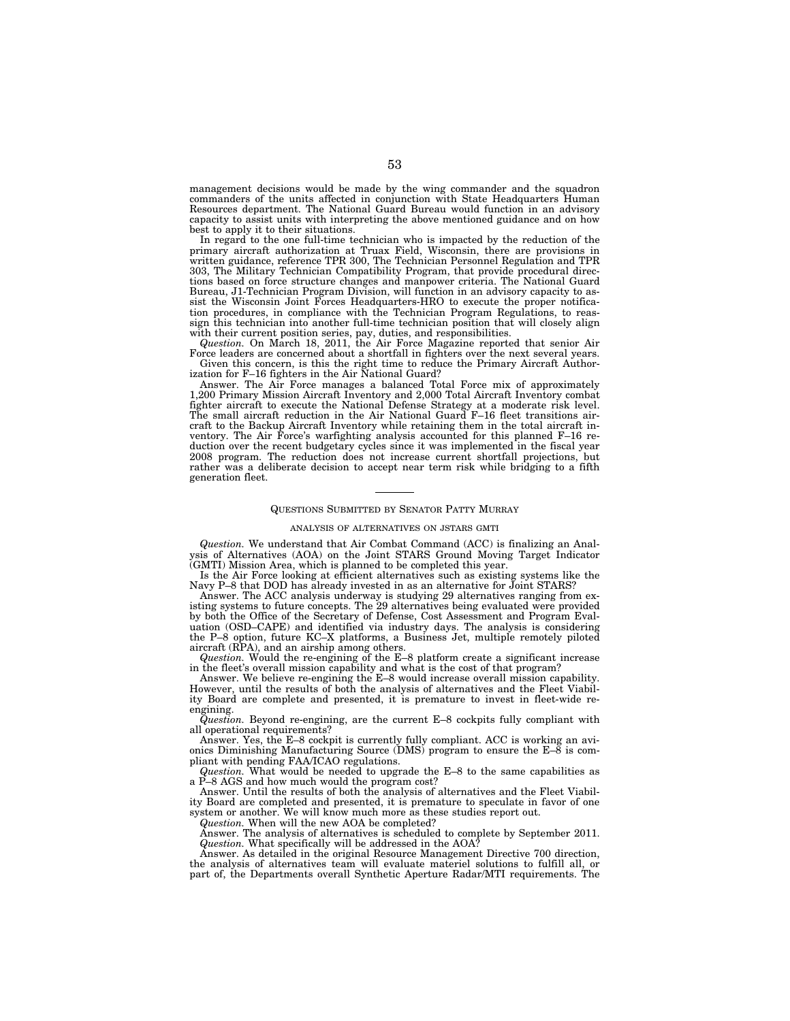management decisions would be made by the wing commander and the squadron commanders of the units affected in conjunction with State Headquarters Human Resources department. The National Guard Bureau would function in an advisory capacity to assist units with interpreting the above mentioned guidance and on how best to apply it to their situations.

In regard to the one full-time technician who is impacted by the reduction of the primary aircraft authorization at Truax Field, Wisconsin, there are provisions in written guidance, reference TPR 300, The Technician Personnel Regulation and TPR 303, The Military Technician Compatibility Program, that provide procedural directions based on force structure changes and manpower criteria. The National Guard Bureau, J1-Technician Program Division, will function in an advisory capacity to assist the Wisconsin Joint Forces Headquarters-HRO to execute the proper notification procedures, in compliance with the Technician Program Regulations, to reassign this technician into another full-time technician position that will closely align with their current position series, pay, duties, and responsibilities.

*Question.* On March 18, 2011, the Air Force Magazine reported that senior Air Force leaders are concerned about a shortfall in fighters over the next several years. Given this concern, is this the right time to reduce the Primary Aircraft Authorization for F–16 fighters in the Air National Guard?

Answer. The Air Force manages a balanced Total Force mix of approximately 1,200 Primary Mission Aircraft Inventory and 2,000 Total Aircraft Inventory combat fighter aircraft to execute the National Defense Strategy at a moderate risk level. The small aircraft reduction in the Air National Guard F–16 fleet transitions aircraft to the Backup Aircraft Inventory while retaining them in the total aircraft inventory. The Air Force's warfighting analysis accounted for this planned F–16 reduction over the recent budgetary cycles since it was implemented in the fiscal year 2008 program. The reduction does not increase current shortfall projections, but rather was a deliberate decision to accept near term risk while bridging to a fifth generation fleet.

#### QUESTIONS SUBMITTED BY SENATOR PATTY MURRAY

#### ANALYSIS OF ALTERNATIVES ON JSTARS GMTI

*Question.* We understand that Air Combat Command (ACC) is finalizing an Analysis of Alternatives (AOA) on the Joint STARS Ground Moving Target Indicator (GMTI) Mission Area, which is planned to be completed this year.

Is the Air Force looking at efficient alternatives such as existing systems like the Navy P–8 that DOD has already invested in as an alternative for Joint STARS?

Answer. The ACC analysis underway is studying 29 alternatives ranging from existing systems to future concepts. The 29 alternatives being evaluated were provided by both the Office of the Secretary of Defense, Cost Assessment and Program Evaluation (OSD–CAPE) and identified via industry days. The analysis is considering the P–8 option, future KC–X platforms, a Business Jet, multiple remotely piloted aircraft (RPA), and an airship among others.

*Question.* Would the re-engining of the E–8 platform create a significant increase in the fleet's overall mission capability and what is the cost of that program?

Answer. We believe re-engining the E–8 would increase overall mission capability. However, until the results of both the analysis of alternatives and the Fleet Viability Board are complete and presented, it is premature to invest in fleet-wide reengining.

*Question.* Beyond re-engining, are the current E–8 cockpits fully compliant with all operational requirements?

Answer. Yes, the E–8 cockpit is currently fully compliant. ACC is working an avionics Diminishing Manufacturing Source (DMS) program to ensure the  $E-\overline{8}$  is compliant with pending FAA/ICAO regulations.

*Question.* What would be needed to upgrade the E–8 to the same capabilities as a P–8 AGS and how much would the program cost?

Answer. Until the results of both the analysis of alternatives and the Fleet Viability Board are completed and presented, it is premature to speculate in favor of one system or another. We will know much more as these studies report out.

*Question.* When will the new AOA be completed?

Answer. The analysis of alternatives is scheduled to complete by September 2011. *Question.* What specifically will be addressed in the AOA?

Answer. As detailed in the original Resource Management Directive 700 direction, the analysis of alternatives team will evaluate materiel solutions to fulfill all, or part of, the Departments overall Synthetic Aperture Radar/MTI requirements. The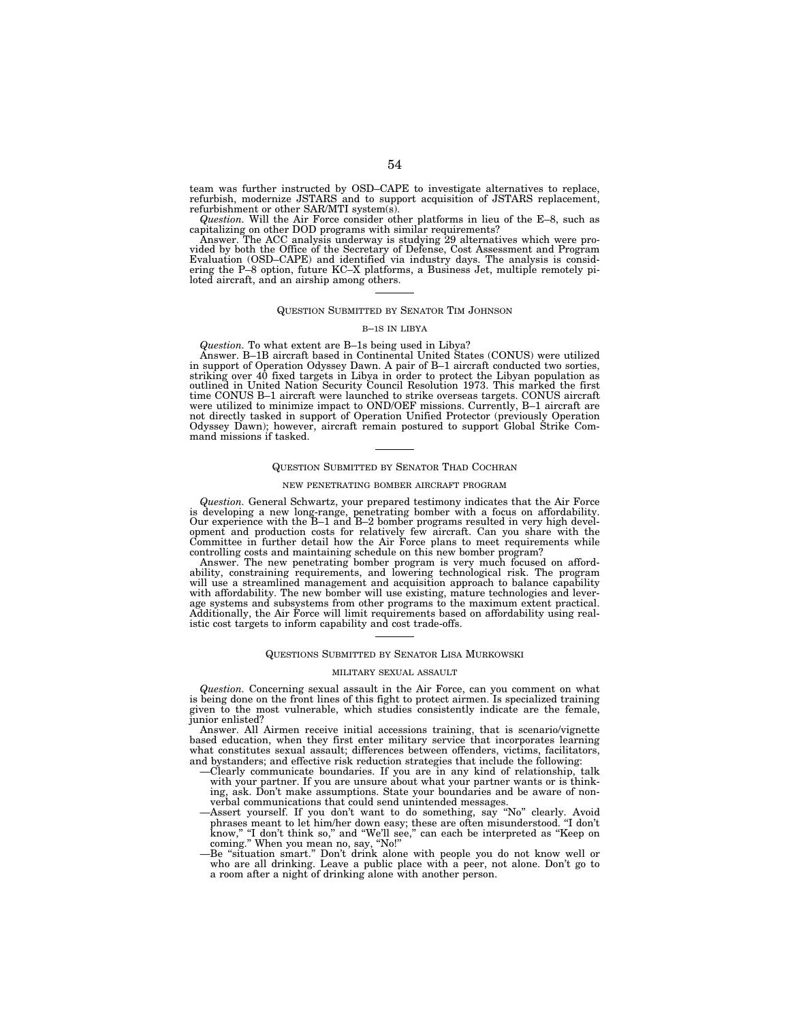team was further instructed by OSD–CAPE to investigate alternatives to replace, refurbish, modernize JSTARS and to support acquisition of JSTARS replacement, refurbishment or other SAR/MTI system(s).

*Question.* Will the Air Force consider other platforms in lieu of the E–8, such as capitalizing on other DOD programs with similar requirements?

Answer. The ACC analysis underway is studying 29 alternatives which were provided by both the Office of the Secretary of Defense, Cost Assessment and Program Evaluation (OSD–CAPE) and identified via industry days. The anal ering the P–8 option, future KC–X platforms, a Business Jet, multiple remotely piloted aircraft, and an airship among others.

## QUESTION SUBMITTED BY SENATOR TIM JOHNSON

#### B–1S IN LIBYA

*Question.* To what extent are B–1s being used in Libya?

Answer. B–1B aircraft based in Continental United States (CONUS) were utilized in support of Operation Odyssey Dawn. A pair of B–1 aircraft conducted two sorties,<br>striking over 40 fixed targets in Libya in order to protect the Libyan population as<br>outlined in United Nation Security Council Resolution time CONUS B–1 aircraft were launched to strike overseas targets. CONUS aircraft were utilized to minimize impact to OND/OEF missions. Currently, B–1 aircraft are not directly tasked in support of Operation Unified Protector (previously Operation Odyssey Dawn); however, aircraft remain postured to support Global Strike Command missions if tasked.

#### QUESTION SUBMITTED BY SENATOR THAD COCHRAN

#### NEW PENETRATING BOMBER AIRCRAFT PROGRAM

*Question.* General Schwartz, your prepared testimony indicates that the Air Force is developing a new long-range, penetrating bomber with a focus on affordability. Our experience with the B–1 and B–2 bomber programs resulted in very high development and production costs for relatively few aircraft. Can you share with the Committee in further detail how the Air Force plans to meet requirements while controlling costs and maintaining schedule on this new bomber program?<br>Answer. The new penetrating bomber program is very much focused on affor

will use a streamlined management and acquisition approach to balance capability with affordability. The new bomber will use existing, mature technologies and lever-age systems and subsystems from other programs to the maximum extent practical. Additionally, the Air Force will limit requirements based on affordability using realistic cost targets to inform capability and cost trade-offs.

#### QUESTIONS SUBMITTED BY SENATOR LISA MURKOWSKI

#### MILITARY SEXUAL ASSAULT

*Question.* Concerning sexual assault in the Air Force, can you comment on what is being done on the front lines of this fight to protect airmen. Is specialized training given to the most vulnerable, which studies consistently indicate are the female, junior enlisted?

Answer. All Airmen receive initial accessions training, that is scenario/vignette based education, when they first enter military service that incorporates learning what constitutes sexual assault; differences between offenders, victims, facilitators, and bystanders; and effective risk reduction strategies that include the following:

- —Clearly communicate boundaries. If you are in any kind of relationship, talk with your partner. If you are unsure about what your partner wants or is thinking, ask. Don't make assumptions. State your boundaries and be aware of nonverbal communications that could send unintended messages.
- —Assert yourself. If you don't want to do something, say ''No'' clearly. Avoid phrases meant to let him/her down easy; these are often misunderstood. ''I don't phrases meant to let him/her down easy; these are often misunderstood. "I don't know," "I don't think so," and "We'll see," can each be interpreted as "Keep on coming.'' When you mean no, say, ''No!''
- —Be ''situation smart.'' Don't drink alone with people you do not know well or who are all drinking. Leave a public place with a peer, not alone. Don't go to a room after a night of drinking alone with another person.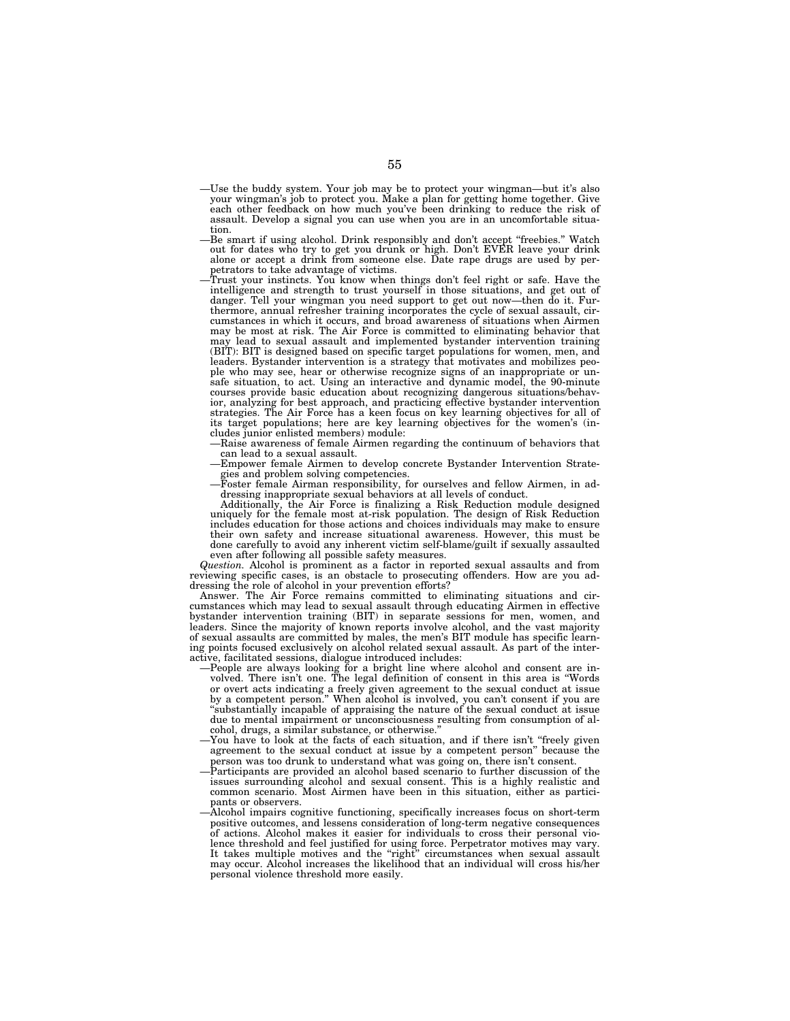- —Use the buddy system. Your job may be to protect your wingman—but it's also your wingman's job to protect you. Make a plan for getting home together. Give each other feedback on how much you've been drinking to reduce the risk of assault. Develop a signal you can use when you are in an uncomfortable situation.
- —Be smart if using alcohol. Drink responsibly and don't accept ''freebies.'' Watch out for dates who try to get you drunk or high. Don't EVER leave your drink alone or accept a drink from someone else. Date rape drugs are used by perpetrators to take advantage of victims.
- —Trust your instincts. You know when things don't feel right or safe. Have the intelligence and strength to trust yourself in those situations, and get out of danger. Tell your wingman you need support to get out now—then do it. Fur-thermore, annual refresher training incorporates the cycle of sexual assault, circumstances in which it occurs, and broad awareness of situations when Airmen may be most at risk. The Air Force is committed to eliminating behavior that may lead to sexual assault and implemented bystander intervention training (BIT): BIT is designed based on specific target populations for women, men, and leaders. Bystander intervention is a strategy that motivates and mobilizes people who may see, hear or otherwise recognize signs of an inappropriate or unsafe situation, to act. Using an interactive and dynamic model, the 90-minute courses provide basic education about recognizing dangerous situations/behavior, analyzing for best approach, and practicing effective bystander intervention strategies. The Air Force has a keen focus on key learning objectives for all of its target populations; here are key learning objectives for the women's (includes junior enlisted members) module:
	- —Raise awareness of female Airmen regarding the continuum of behaviors that can lead to a sexual assault.
	- —Empower female Airmen to develop concrete Bystander Intervention Strate-
	- gies and problem solving competencies. —Foster female Airman responsibility, for ourselves and fellow Airmen, in addressing inappropriate sexual behaviors at all levels of conduct.

Additionally, the Air Force is finalizing a Risk Reduction module designed uniquely for the female most at-risk population. The design of Risk Reduction includes education for those actions and choices individuals may make to ensure their own safety and increase situational awareness. However, this must be done carefully to avoid any inherent victim self-blame/guilt if sexually assaulted even after following all possible safety measures.

*Question.* Alcohol is prominent as a factor in reported sexual assaults and from reviewing specific cases, is an obstacle to prosecuting offenders. How are you addressing the role of alcohol in your prevention efforts?

Answer. The Air Force remains committed to eliminating situations and circumstances which may lead to sexual assault through educating Airmen in effective bystander intervention training (BIT) in separate sessions for men, women, and leaders. Since the majority of known reports involve alcohol, and the vast majority of sexual assaults are committed by males, the men's BIT module has specific learning points focused exclusively on alcohol related sexual assault. As part of the interactive, facilitated sessions, dialogue introduced includes:

- —People are always looking for a bright line where alcohol and consent are involved. There isn't one. The legal definition of consent in this area is ''Words or overt acts indicating a freely given agreement to the sexual conduct at issue by a competent person.'' When alcohol is involved, you can't consent if you are ''substantially incapable of appraising the nature of the sexual conduct at issue due to mental impairment or unconsciousness resulting from consumption of alcohol, drugs, a similar substance, or otherwise.
- —You have to look at the facts of each situation, and if there isn't ''freely given agreement to the sexual conduct at issue by a competent person'' because the person was too drunk to understand what was going on, there isn't consent.
- —Participants are provided an alcohol based scenario to further discussion of the issues surrounding alcohol and sexual consent. This is a highly realistic and common scenario. Most Airmen have been in this situation, either as participants or observers.
- —Alcohol impairs cognitive functioning, specifically increases focus on short-term positive outcomes, and lessens consideration of long-term negative consequences of actions. Alcohol makes it easier for individuals to cross their personal violence threshold and feel justified for using force. Perpetrator motives may vary. It takes multiple motives and the ''right'' circumstances when sexual assault may occur. Alcohol increases the likelihood that an individual will cross his/her personal violence threshold more easily.